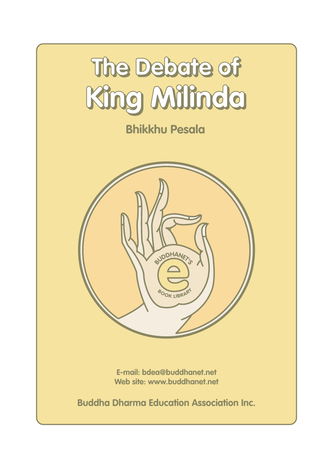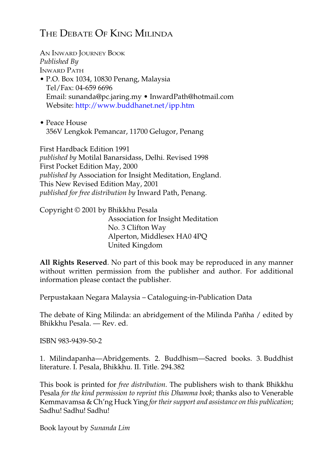#### The Debate Of King Milinda

An Inward Journey Book *Published By* INWARD PATH • P.O. Box 1034, 10830 Penang, Malaysia Tel/Fax: 04-659 6696 Email: sunanda@pc.jaring.my • InwardPath@hotmail.com Websi[te: http://www.buddhanet.net/ipp.htm](http://www.buddhanet.net/ipp.htm)

• Peace House 356V Lengkok Pemancar, 11700 Gelugor, Penang

First Hardback Edition 1991 *published by* Motilal Banarsidass, Delhi. Revised 1998 First Pocket Edition May, 2000 *published by* Association for Insight Meditation, England. This New Revised Edition May, 2001 *published for free distribution by* Inward Path, Penang.

Copyright © 2001 by Bhikkhu Pesala Association for Insight Meditation No. 3 Clifton Way Alperton, Middlesex HA0 4PQ United Kingdom

**All Rights Reserved**. No part of this book may be reproduced in any manner without written permission from the publisher and author. For additional information please contact the publisher.

Perpustakaan Negara Malaysia – Cataloguing-in-Publication Data

The debate of King Milinda: an abridgement of the Milinda Pañha / edited by Bhikkhu Pesala. — Rev. ed.

ISBN 983-9439-50-2

1. Milindapanha—Abridgements. 2. Buddhism—Sacred books. 3. Buddhist literature. I. Pesala, Bhikkhu. II. Title. 294.382

This book is printed for *free distribution*. The publishers wish to thank Bhikkhu Pesala *for the kind permission to reprint this Dhamma book*; thanks also to Venerable Kemmavamsa & Ch'ng Huck Ying *for their support and assistance on this publication;* Sadhu! Sadhu! Sadhu!

Book layout by *Sunanda Lim*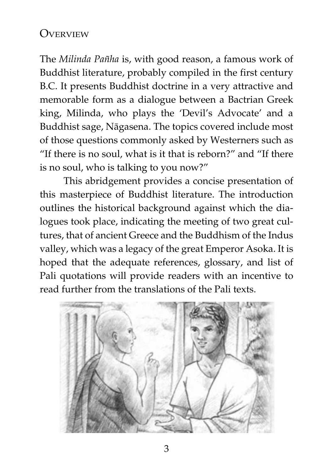#### <span id="page-2-0"></span>**OVERVIEW**

The *Milinda Pa¤ha* is, with good reason, a famous work of Buddhist literature, probably compiled in the first century B.C. It presents Buddhist doctrine in a very attractive and memorable form as a dialogue between a Bactrian Greek king, Milinda, who plays the 'Devil's Advocate' and a Buddhist sage, Nàgasena. The topics covered include most of those questions commonly asked by Westerners such as "If there is no soul, what is it that is reborn?" and "If there is no soul, who is talking to you now?"

This abridgement provides a concise presentation of this masterpiece of Buddhist literature. The introduction outlines the historical background against which the dialogues took place, indicating the meeting of two great cultures, that of ancient Greece and the Buddhism of the Indus valley, which was a legacy of the great Emperor Asoka. It is hoped that the adequate references, glossary, and list of Pali quotations will provide readers with an incentive to read further from the translations of the Pali texts.

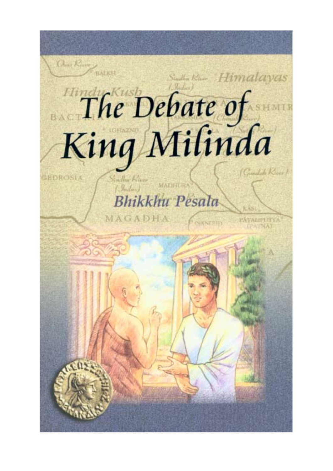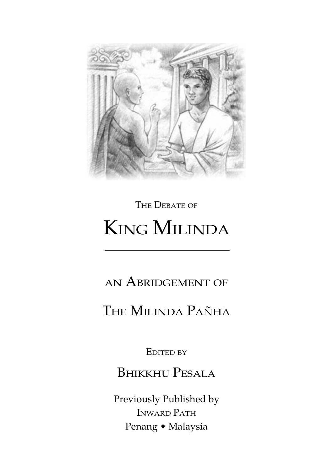

# THE DEBATE OF King Milinda

an Abridgement of

## THE MILINDA PAÑHA

EDITED BY

Bhikkhu Pesala

Previously Published by INWARD PATH Penang • Malaysia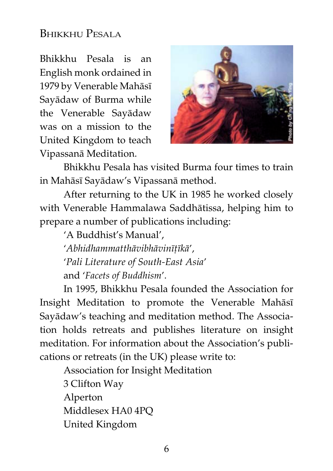#### Bhikkhu Pesala

Bhikkhu Pesala is an English monk ordained in 1979 by Venerable Mahàsã Sayàdaw of Burma while the Venerable Sayàdaw was on a mission to the United Kingdom to teach Vipassanà Meditation.



Bhikkhu Pesala has visited Burma four times to train in Mahàsã Sayàdaw's Vipassanà method.

After returning to the UK in 1985 he worked closely with Venerable Hammalawa Saddhàtissa, helping him to prepare a number of publications including:

'A Buddhist's Manual', '*Abhidhammatthàvibhàvinãñãkà*', '*Pali Literature of South-East Asia*' and '*Facets of Buddhism*'.

In 1995, Bhikkhu Pesala founded the Association for Insight Meditation to promote the Venerable Mahāsī Sayàdaw's teaching and meditation method. The Association holds retreats and publishes literature on insight meditation. For information about the Association's publications or retreats (in the UK) please write to:

Association for Insight Meditation 3 Clifton Way Alperton Middlesex HA0 4PQ United Kingdom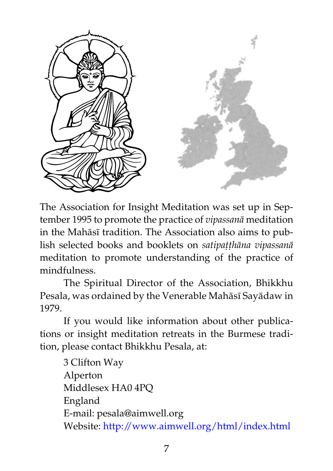

The Association for Insight Meditation was set up in September 1995 to promote the practice of *vipassanà* meditation in the Mahàsã tradition. The Association also aims to publish selected books and booklets on satipațțhāna vipassanā meditation to promote understanding of the practice of mindfulness.

The Spiritual Director of the Association, Bhikkhu Pesala, was ordained by the Venerable Mahāsī Sayādaw in 1979.

If you would like information about other publications or insight meditation retreats in the Burmese tradition, please contact Bhikkhu Pesala, at:

3 Clifton Way Alperton Middlesex HA0 4PQ England E-mail: pesala@aimwell.org Website:<http://www.aimwell.org/html/index.html>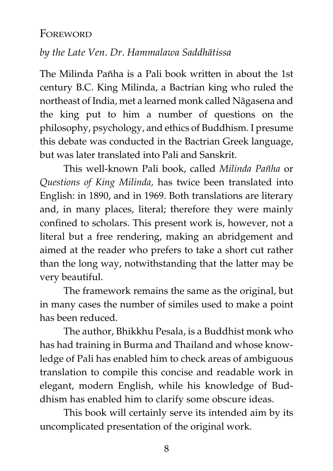#### <span id="page-7-0"></span>**FOREWORD**

#### *by the Late Ven*. *Dr*. *Hammalawa Saddhàtissa*

The Milinda Pañha is a Pali book written in about the 1st century B.C. King Milinda, a Bactrian king who ruled the northeast of India, met a learned monk called Nàgasena and the king put to him a number of questions on the philosophy, psychology, and ethics of Buddhism. I presume this debate was conducted in the Bactrian Greek language, but was later translated into Pali and Sanskrit.

This well-known Pali book, called *Milinda Pa¤ha* or *Questions of King Milinda,* has twice been translated into English: in 1890, and in 1969. Both translations are literary and, in many places, literal; therefore they were mainly confined to scholars. This present work is, however, not a literal but a free rendering, making an abridgement and aimed at the reader who prefers to take a short cut rather than the long way, notwithstanding that the latter may be very beautiful.

The framework remains the same as the original, but in many cases the number of similes used to make a point has been reduced.

The author, Bhikkhu Pesala, is a Buddhist monk who has had training in Burma and Thailand and whose knowledge of Pali has enabled him to check areas of ambiguous translation to compile this concise and readable work in elegant, modern English, while his knowledge of Buddhism has enabled him to clarify some obscure ideas.

This book will certainly serve its intended aim by its uncomplicated presentation of the original work.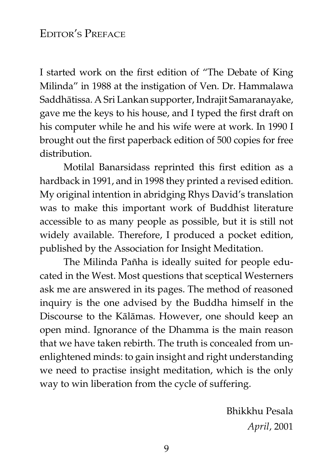#### <span id="page-8-0"></span>Editor's Preface

I started work on the first edition of "The Debate of King Milinda" in 1988 at the instigation of Ven. Dr. Hammalawa Saddhàtissa. A Sri Lankan supporter, Indrajit Samaranayake, gave me the keys to his house, and I typed the first draft on his computer while he and his wife were at work. In 1990 I brought out the first paperback edition of 500 copies for free distribution.

Motilal Banarsidass reprinted this first edition as a hardback in 1991, and in 1998 they printed a revised edition. My original intention in abridging Rhys David's translation was to make this important work of Buddhist literature accessible to as many people as possible, but it is still not widely available. Therefore, I produced a pocket edition, published by the Association for Insight Meditation.

The Milinda Pañha is ideally suited for people educated in the West. Most questions that sceptical Westerners ask me are answered in its pages. The method of reasoned inquiry is the one advised by the Buddha himself in the Discourse to the Kàlàmas. However, one should keep an open mind. Ignorance of the Dhamma is the main reason that we have taken rebirth. The truth is concealed from unenlightened minds: to gain insight and right understanding we need to practise insight meditation, which is the only way to win liberation from the cycle of suffering.

> Bhikkhu Pesala *April*, 2001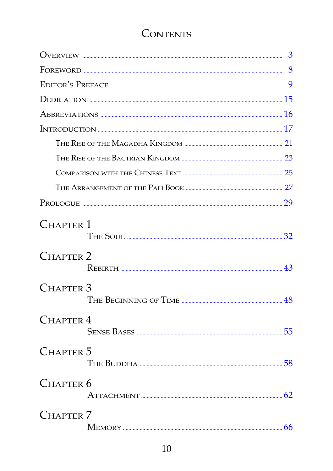### CONTENTS

| CHAPTER 1        | 32 |
|------------------|----|
| <b>CHAPTER 2</b> |    |
| <b>CHAPTER 3</b> | 48 |
| CHAPTER 4        | 55 |
| <b>CHAPTER 5</b> | 58 |
| <b>CHAPTER 6</b> |    |
| CHAPTER 7        |    |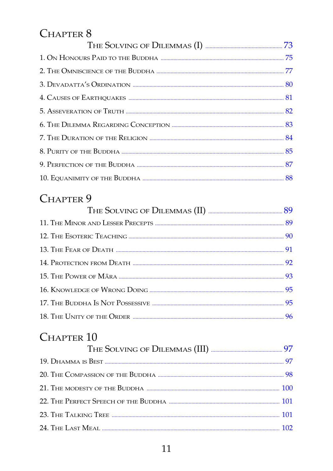## CHAPTER 9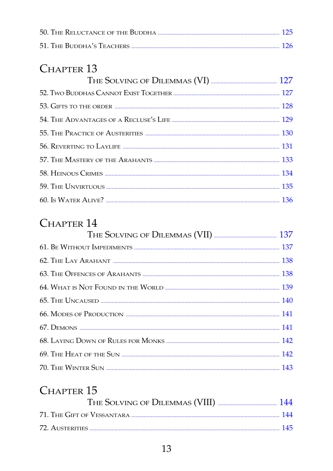## CHAPTER 14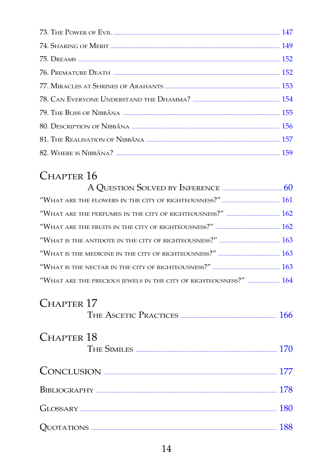| "WHAT ARE THE PRECIOUS JEWELS IN THE CITY OF RIGHTEOUSNESS?"  164 |  |
|-------------------------------------------------------------------|--|

## CHAPTER 17

|--|--|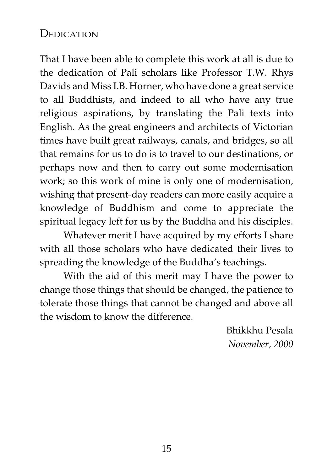#### <span id="page-14-0"></span>Dedication

That I have been able to complete this work at all is due to the dedication of Pali scholars like Professor T.W. Rhys Davids and Miss I.B. Horner, who have done a great service to all Buddhists, and indeed to all who have any true religious aspirations, by translating the Pali texts into English. As the great engineers and architects of Victorian times have built great railways, canals, and bridges, so all that remains for us to do is to travel to our destinations, or perhaps now and then to carry out some modernisation work; so this work of mine is only one of modernisation, wishing that present-day readers can more easily acquire a knowledge of Buddhism and come to appreciate the spiritual legacy left for us by the Buddha and his disciples.

Whatever merit I have acquired by my efforts I share with all those scholars who have dedicated their lives to spreading the knowledge of the Buddha's teachings.

With the aid of this merit may I have the power to change those things that should be changed, the patience to tolerate those things that cannot be changed and above all the wisdom to know the difference.

> Bhikkhu Pesala *November, 2000*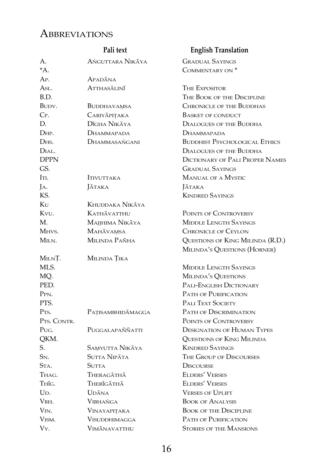### <span id="page-15-0"></span>**ABBREVIATIONS**

|                          | Pali text              | <b>English Translation</b>             |
|--------------------------|------------------------|----------------------------------------|
| А.                       | ANGUTTARA NIKĀYA       | <b>GRADUAL SAYINGS</b>                 |
| $^*A.$                   |                        | COMMENTARY ON <sup>*</sup>             |
| A <sub>P</sub> .         | APADĀNA                |                                        |
| Asl.                     | ATTHASĀLINĪ            | <b>THE EXPOSITOR</b>                   |
| B.D.                     |                        | THE BOOK OF THE DISCIPLINE             |
| BUDV.                    | <b>BUDDHAVAMSA</b>     | <b>CHRONICLE OF THE BUDDHAS</b>        |
| $C_{P}$ .                | CARIYĀPIȚAKA           | <b>BASKET OF CONDUCT</b>               |
| D.                       | Dīgha Nikāya           | <b>DIALOGUES OF THE BUDDHA</b>         |
| D <sub>HP</sub> .        | DHAMMAPADA             | DHAMMAPADA                             |
| D <sub>HS</sub> .        | DHAMMASANGANI          | <b>BUDDHIST PSYCHOLOGICAL ETHICS</b>   |
| DIAL.                    |                        | <b>DIALOGUES OF THE BUDDHA</b>         |
| <b>DPPN</b>              |                        | <b>DICTIONARY OF PALI PROPER NAMES</b> |
| GS.                      |                        | <b>GRADUAL SAYINGS</b>                 |
| ITI.                     | <b>ITIVUTTAKA</b>      | <b>MANUAL OF A MYSTIC</b>              |
| JA.                      | JĀTAKA                 | JĀTAKA                                 |
| KS.                      |                        | <b>KINDRED SAYINGS</b>                 |
| $K_{U}$                  | KHUDDAKA NIKĀYA        |                                        |
| K <sub>VU</sub> .        | KATHĀVATTHU            | POINTS OF CONTROVERSY                  |
| M.                       | MAJJHIMA NIKĀYA        | <b>MIDDLE LENGTH SAYINGS</b>           |
| MHVS.                    | MAHĀVAMSA              | <b>CHRONICLE OF CEYLON</b>             |
| MILN.                    | MILINDA PAÑHA          | QUESTIONS OF KING MILINDA (R.D.)       |
|                          |                        | MILINDA'S QUESTIONS (HORNER)           |
| MILNȚ.                   | MILINDA ȚIKA           |                                        |
| MLS.                     |                        | <b>MIDDLE LENGTH SAYINGS</b>           |
| MQ.                      |                        | MILINDA'S QUESTIONS                    |
| PED.                     |                        | PALI-ENGLISH DICTIONARY                |
| P <sub>PN</sub> .        |                        | PATH OF PURIFICATION                   |
| PTS.                     |                        | PALI TEXT SOCIETY                      |
| P <sub>TS</sub> .        | PAȚISAMBHIDĀMAGGA      | PATH OF DISCRIMINATION                 |
| P <sub>TS</sub> . CONTR. |                        | POINTS OF CONTROVERSY                  |
| P <sub>UG</sub> .        | PUGGALAPAÑÑATTI        | <b>DESIGNATION OF HUMAN TYPES</b>      |
| QKM.                     |                        | <b>QUESTIONS OF KING MILINDA</b>       |
| S.                       | <b>SAMYUTTA NIKĀYA</b> | <b>KINDRED SAYINGS</b>                 |
| Sn.                      | <b>SUTTA NIPĀTA</b>    | <b>THE GROUP OF DISCOURSES</b>         |
| STA.                     | Sutta                  | <b>DISCOURSE</b>                       |
| Thag.                    | THERAGĀTHĀ             | <b>ELDERS' VERSES</b>                  |
| Thig.                    | THERĪGĀTHĀ             | <b>ELDERS' VERSES</b>                  |
| U <sub>D</sub> .         | UDĀNA                  | <b>VERSES OF UPLIFT</b>                |
| V <sub>BH</sub> .        | <b>VIBHANGA</b>        | <b>BOOK OF ANALYSIS</b>                |
| V <sub>IN</sub> .        | VINAYAPITAKA           | <b>BOOK OF THE DISCIPLINE</b>          |
| VISM.                    | <b>VISUDDHIMAGGA</b>   | PATH OF PURIFICATION                   |
| Vv.                      | <b>VIMĀNAVATTHU</b>    | <b>STORIES OF THE MANSIONS</b>         |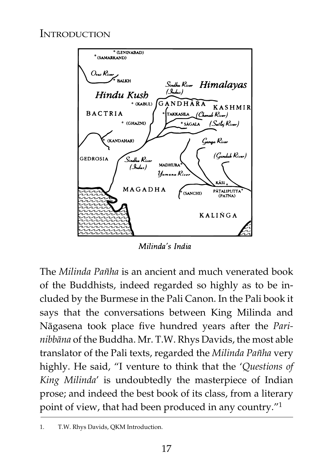#### <span id="page-16-0"></span>**INTRODUCTION**



Milinda's India

The *Milinda Pa¤ha* is an ancient and much venerated book of the Buddhists, indeed regarded so highly as to be included by the Burmese in the Pali Canon. In the Pali book it says that the conversations between King Milinda and Nàgasena took place five hundred years after the *Parinibbàna* of the Buddha. Mr. T.W. Rhys Davids, the most able translator of the Pali texts, regarded the *Milinda Pa¤ha* very highly. He said, "I venture to think that the '*Questions of King Milinda*' is undoubtedly the masterpiece of Indian prose; and indeed the best book of its class, from a literary point of view, that had been produced in any country."<sup>1</sup>

<sup>1.</sup> T.W. Rhys Davids, QKM Introduction.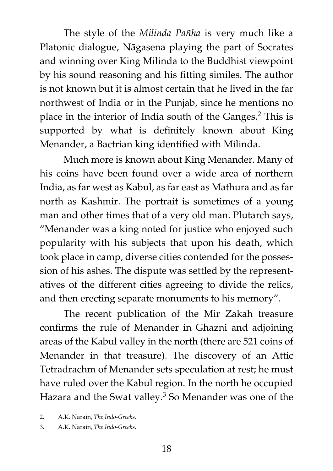The style of the *Milinda Pa¤ha* is very much like a Platonic dialogue, Nàgasena playing the part of Socrates and winning over King Milinda to the Buddhist viewpoint by his sound reasoning and his fitting similes. The author is not known but it is almost certain that he lived in the far northwest of India or in the Punjab, since he mentions no place in the interior of India south of the Ganges.2 This is supported by what is definitely known about King Menander, a Bactrian king identified with Milinda.

Much more is known about King Menander. Many of his coins have been found over a wide area of northern India, as far west as Kabul, as far east as Mathura and as far north as Kashmir. The portrait is sometimes of a young man and other times that of a very old man. Plutarch says, "Menander was a king noted for justice who enjoyed such popularity with his subjects that upon his death, which took place in camp, diverse cities contended for the possession of his ashes. The dispute was settled by the representatives of the different cities agreeing to divide the relics, and then erecting separate monuments to his memory".

The recent publication of the Mir Zakah treasure confirms the rule of Menander in Ghazni and adjoining areas of the Kabul valley in the north (there are 521 coins of Menander in that treasure). The discovery of an Attic Tetradrachm of Menander sets speculation at rest; he must have ruled over the Kabul region. In the north he occupied Hazara and the Swat valley.<sup>3</sup> So Menander was one of the

<sup>2.</sup> A.K. Narain, *The Indo-Greeks*.

<sup>3.</sup> A.K. Narain, *The Indo-Greeks*.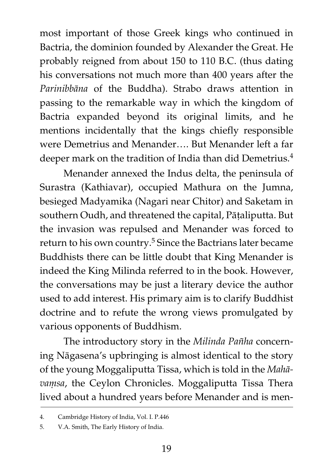most important of those Greek kings who continued in Bactria, the dominion founded by Alexander the Great. He probably reigned from about 150 to 110 B.C. (thus dating his conversations not much more than 400 years after the *Parinibbàna* of the Buddha). Strabo draws attention in passing to the remarkable way in which the kingdom of Bactria expanded beyond its original limits, and he mentions incidentally that the kings chiefly responsible were Demetrius and Menander…. But Menander left a far deeper mark on the tradition of India than did Demetrius.<sup>4</sup>

Menander annexed the Indus delta, the peninsula of Surastra (Kathiavar), occupied Mathura on the Jumna, besieged Madyamika (Nagari near Chitor) and Saketam in southern Oudh, and threatened the capital, Pāṭaliputta. But the invasion was repulsed and Menander was forced to return to his own country.<sup>5</sup> Since the Bactrians later became Buddhists there can be little doubt that King Menander is indeed the King Milinda referred to in the book. However, the conversations may be just a literary device the author used to add interest. His primary aim is to clarify Buddhist doctrine and to refute the wrong views promulgated by various opponents of Buddhism.

The introductory story in the *Milinda Pa¤ha* concerning Nàgasena's upbringing is almost identical to the story of the young Moggaliputta Tissa, which is told in the *Mahàvamsa*, the Ceylon Chronicles. Moggaliputta Tissa Thera lived about a hundred years before Menander and is men-

<sup>4.</sup> Cambridge History of India, Vol. I. P.446

<sup>5.</sup> V.A. Smith, The Early History of India.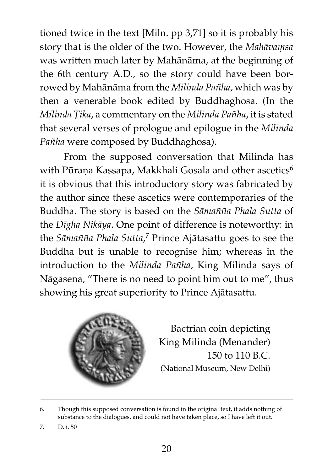tioned twice in the text [Miln. pp 3,71] so it is probably his story that is the older of the two. However, the *Mahāvamsa* was written much later by Mahànàma, at the beginning of the 6th century A.D., so the story could have been borrowed by Mahànàma from the *Milinda Pa¤ha*, which was by then a venerable book edited by Buddhaghosa. (In the *Milinda Țika*, a commentary on the *Milinda Pañha*, it is stated that several verses of prologue and epilogue in the *Milinda Pa¤ha* were composed by Buddhaghosa).

From the supposed conversation that Milinda has with Pūraņa Kassapa, Makkhali Gosala and other ascetics<sup>6</sup> it is obvious that this introductory story was fabricated by the author since these ascetics were contemporaries of the Buddha. The story is based on the *Sàma¤¤a Phala Sutta* of the *Dãgha Nikàya*. One point of difference is noteworthy: in the *Sàma¤¤a Phala Sutta*, 7 Prince Ajàtasattu goes to see the Buddha but is unable to recognise him; whereas in the introduction to the *Milinda Pa¤ha*, King Milinda says of Nàgasena, "There is no need to point him out to me", thus showing his great superiority to Prince Ajàtasattu.



Bactrian coin depicting King Milinda (Menander) 150 to 110 B.C. (National Museum, New Delhi)

- 6. Though this supposed conversation is found in the original text, it adds nothing of substance to the dialogues, and could not have taken place, so I have left it out.
- 7. D. i. 50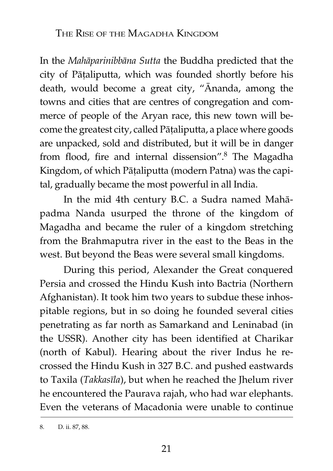#### <span id="page-20-0"></span>The Rise of the Magadha Kingdom

In the *Mahàparinibbàna Sutta* the Buddha predicted that the city of Pāṭaliputta, which was founded shortly before his death, would become a great city, "ânanda, among the towns and cities that are centres of congregation and commerce of people of the Aryan race, this new town will become the greatest city, called Pāṭaliputta, a place where goods are unpacked, sold and distributed, but it will be in danger from flood, fire and internal dissension".<sup>8</sup> The Magadha Kingdom, of which Pāṭaliputta (modern Patna) was the capital, gradually became the most powerful in all India.

In the mid 4th century B.C. a Sudra named Mahàpadma Nanda usurped the throne of the kingdom of Magadha and became the ruler of a kingdom stretching from the Brahmaputra river in the east to the Beas in the west. But beyond the Beas were several small kingdoms.

During this period, Alexander the Great conquered Persia and crossed the Hindu Kush into Bactria (Northern Afghanistan). It took him two years to subdue these inhospitable regions, but in so doing he founded several cities penetrating as far north as Samarkand and Leninabad (in the USSR). Another city has been identified at Charikar (north of Kabul). Hearing about the river Indus he recrossed the Hindu Kush in 327 B.C. and pushed eastwards to Taxila (*Takkasãla*), but when he reached the Jhelum river he encountered the Paurava rajah, who had war elephants. Even the veterans of Macadonia were unable to continue

<sup>8.</sup> D. ii. 87, 88.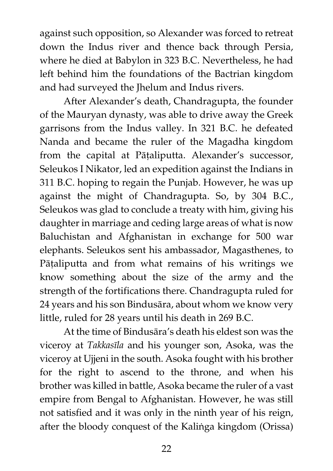against such opposition, so Alexander was forced to retreat down the Indus river and thence back through Persia, where he died at Babylon in 323 B.C. Nevertheless, he had left behind him the foundations of the Bactrian kingdom and had surveyed the Jhelum and Indus rivers.

After Alexander's death, Chandragupta, the founder of the Mauryan dynasty, was able to drive away the Greek garrisons from the Indus valley. In 321 B.C. he defeated Nanda and became the ruler of the Magadha kingdom from the capital at Pāṭaliputta. Alexander's successor, Seleukos I Nikator, led an expedition against the Indians in 311 B.C. hoping to regain the Punjab. However, he was up against the might of Chandragupta. So, by 304 B.C., Seleukos was glad to conclude a treaty with him, giving his daughter in marriage and ceding large areas of what is now Baluchistan and Afghanistan in exchange for 500 war elephants. Seleukos sent his ambassador, Magasthenes, to Pāṭaliputta and from what remains of his writings we know something about the size of the army and the strength of the fortifications there. Chandragupta ruled for 24 years and his son Bindusàra, about whom we know very little, ruled for 28 years until his death in 269 B.C.

At the time of Bindusàra's death his eldest son was the viceroy at *Takkasãla* and his younger son, Asoka, was the viceroy at Ujjeni in the south. Asoka fought with his brother for the right to ascend to the throne, and when his brother was killed in battle, Asoka became the ruler of a vast empire from Bengal to Afghanistan. However, he was still not satisfied and it was only in the ninth year of his reign, after the bloody conquest of the Kalinga kingdom (Orissa)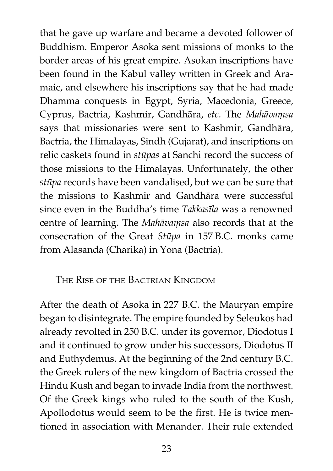that he gave up warfare and became a devoted follower of Buddhism. Emperor Asoka sent missions of monks to the border areas of his great empire. Asokan inscriptions have been found in the Kabul valley written in Greek and Aramaic, and elsewhere his inscriptions say that he had made Dhamma conquests in Egypt, Syria, Macedonia, Greece, Cyprus, Bactria, Kashmir, Gandhāra, etc. The Mahāvamsa says that missionaries were sent to Kashmir, Gandhàra, Bactria, the Himalayas, Sindh (Gujarat), and inscriptions on relic caskets found in *ståpas* at Sanchi record the success of those missions to the Himalayas. Unfortunately, the other *ståpa* records have been vandalised, but we can be sure that the missions to Kashmir and Gandhàra were successful since even in the Buddha's time *Takkasãla* was a renowned centre of learning. The *Mahāvaṃsa* also records that at the consecration of the Great *Ståpa* in 157 B.C. monks came from Alasanda (Charika) in Yona (Bactria).

<span id="page-22-0"></span>The Rise of the Bactrian Kingdom

After the death of Asoka in 227 B.C. the Mauryan empire began to disintegrate. The empire founded by Seleukos had already revolted in 250 B.C. under its governor, Diodotus I and it continued to grow under his successors, Diodotus II and Euthydemus. At the beginning of the 2nd century B.C. the Greek rulers of the new kingdom of Bactria crossed the Hindu Kush and began to invade India from the northwest. Of the Greek kings who ruled to the south of the Kush, Apollodotus would seem to be the first. He is twice mentioned in association with Menander. Their rule extended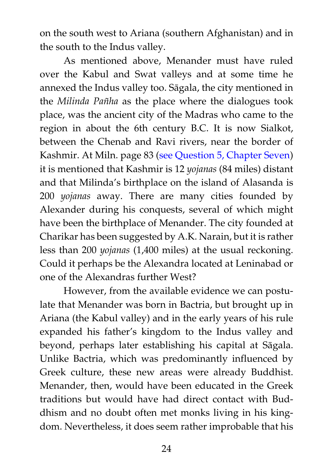on the south west to Ariana (southern Afghanistan) and in the south to the Indus valley.

As mentioned above, Menander must have ruled over the Kabul and Swat valleys and at some time he annexed the Indus valley too. Sàgala, the city mentioned in the *Milinda Pa¤ha* as the place where the dialogues took place, was the ancient city of the Madras who came to the region in about the 6th century B.C. It is now Sialkot, between the Chenab and Ravi rivers, near the border of Kashmir. At Miln. page 83 [\(see Question 5, Chapter Seven\)](#page-68-0) it is mentioned that Kashmir is 12 *yojanas* (84 miles) distant and that Milinda's birthplace on the island of Alasanda is 200 *yojanas* away. There are many cities founded by Alexander during his conquests, several of which might have been the birthplace of Menander. The city founded at Charikar has been suggested by A.K. Narain, but it is rather less than 200 *yojanas* (1,400 miles) at the usual reckoning. Could it perhaps be the Alexandra located at Leninabad or one of the Alexandras further West?

However, from the available evidence we can postulate that Menander was born in Bactria, but brought up in Ariana (the Kabul valley) and in the early years of his rule expanded his father's kingdom to the Indus valley and beyond, perhaps later establishing his capital at Sàgala. Unlike Bactria, which was predominantly influenced by Greek culture, these new areas were already Buddhist. Menander, then, would have been educated in the Greek traditions but would have had direct contact with Buddhism and no doubt often met monks living in his kingdom. Nevertheless, it does seem rather improbable that his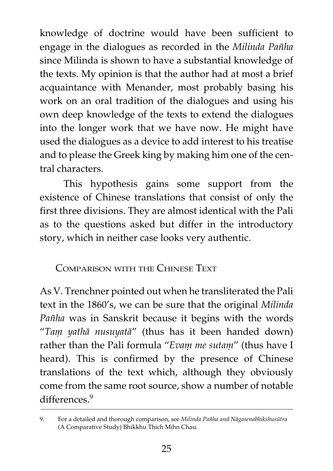knowledge of doctrine would have been sufficient to engage in the dialogues as recorded in the *Milinda Pa¤ha* since Milinda is shown to have a substantial knowledge of the texts. My opinion is that the author had at most a brief acquaintance with Menander, most probably basing his work on an oral tradition of the dialogues and using his own deep knowledge of the texts to extend the dialogues into the longer work that we have now. He might have used the dialogues as a device to add interest to his treatise and to please the Greek king by making him one of the central characters.

This hypothesis gains some support from the existence of Chinese translations that consist of only the first three divisions. They are almost identical with the Pali as to the questions asked but differ in the introductory story, which in neither case looks very authentic.

<span id="page-24-0"></span>Comparison with the Chinese Text

As V. Trenchner pointed out when he transliterated the Pali text in the 1860's, we can be sure that the original *Milinda Pa¤ha* was in Sanskrit because it begins with the words "*Taü yathà nusuyatà*" (thus has it been handed down) rather than the Pali formula "*Evam me sutam*" (thus have I heard). This is confirmed by the presence of Chinese translations of the text which, although they obviously come from the same root source, show a number of notable differences.<sup>9</sup>

<sup>9.</sup> For a detailed and thorough comparison, see *Milinda Pa¤ha and Nàgasenabhikshusåtra* (A Comparative Study) Bhikkhu Thich Mihn Chau.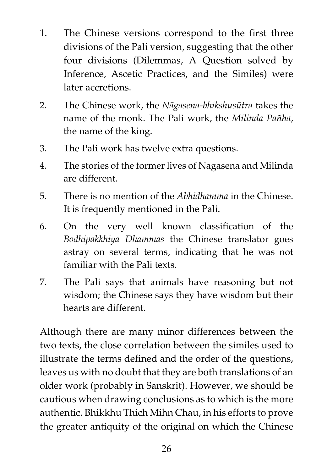- 1. The Chinese versions correspond to the first three divisions of the Pali version, suggesting that the other four divisions (Dilemmas, A Question solved by Inference, Ascetic Practices, and the Similes) were later accretions.
- 2. The Chinese work, the *Nàgasena-bhikshusåtra* takes the name of the monk. The Pali work, the *Milinda Pa¤ha*, the name of the king.
- 3. The Pali work has twelve extra questions.
- 4. The stories of the former lives of Nàgasena and Milinda are different.
- 5. There is no mention of the *Abhidhamma* in the Chinese. It is frequently mentioned in the Pali.
- 6. On the very well known classification of the *Bodhipakkhiya Dhammas* the Chinese translator goes astray on several terms, indicating that he was not familiar with the Pali texts.
- 7. The Pali says that animals have reasoning but not wisdom; the Chinese says they have wisdom but their hearts are different.

Although there are many minor differences between the two texts, the close correlation between the similes used to illustrate the terms defined and the order of the questions, leaves us with no doubt that they are both translations of an older work (probably in Sanskrit). However, we should be cautious when drawing conclusions as to which is the more authentic. Bhikkhu Thich Mihn Chau, in his efforts to prove the greater antiquity of the original on which the Chinese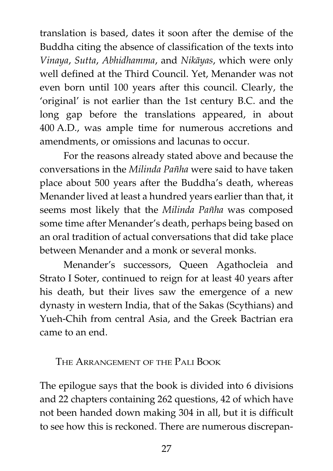translation is based, dates it soon after the demise of the Buddha citing the absence of classification of the texts into *Vinaya*, *Sutta*, *Abhidhamma*, and *Nikàyas*, which were only well defined at the Third Council. Yet, Menander was not even born until 100 years after this council. Clearly, the 'original' is not earlier than the 1st century B.C. and the long gap before the translations appeared, in about 400 A.D., was ample time for numerous accretions and amendments, or omissions and lacunas to occur.

For the reasons already stated above and because the conversations in the *Milinda Pa¤ha* were said to have taken place about 500 years after the Buddha's death, whereas Menander lived at least a hundred years earlier than that, it seems most likely that the *Milinda Pa¤ha* was composed some time after Menander's death, perhaps being based on an oral tradition of actual conversations that did take place between Menander and a monk or several monks.

Menander's successors, Queen Agathocleia and Strato I Soter, continued to reign for at least 40 years after his death, but their lives saw the emergence of a new dynasty in western India, that of the Sakas (Scythians) and Yueh-Chih from central Asia, and the Greek Bactrian era came to an end.

<span id="page-26-0"></span>The Arrangement of the Pali Book

The epilogue says that the book is divided into 6 divisions and 22 chapters containing 262 questions, 42 of which have not been handed down making 304 in all, but it is difficult to see how this is reckoned. There are numerous discrepan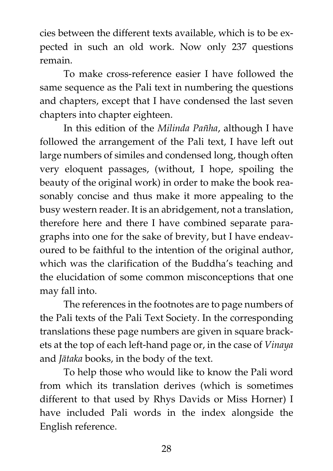cies between the different texts available, which is to be expected in such an old work. Now only 237 questions remain.

To make cross-reference easier I have followed the same sequence as the Pali text in numbering the questions and chapters, except that I have condensed the last seven chapters into chapter eighteen.

In this edition of the *Milinda Pa¤ha*, although I have followed the arrangement of the Pali text, I have left out large numbers of similes and condensed long, though often very eloquent passages, (without, I hope, spoiling the beauty of the original work) in order to make the book reasonably concise and thus make it more appealing to the busy western reader. It is an abridgement, not a translation, therefore here and there I have combined separate paragraphs into one for the sake of brevity, but I have endeavoured to be faithful to the intention of the original author, which was the clarification of the Buddha's teaching and the elucidation of some common misconceptions that one may fall into.

The references in the footnotes are to page numbers of the Pali texts of the Pali Text Society. In the corresponding translations these page numbers are given in square brackets at the top of each left-hand page or, in the case of *Vinaya* and *Jàtaka* books, in the body of the text.

To help those who would like to know the Pali word from which its translation derives (which is sometimes different to that used by Rhys Davids or Miss Horner) I have included Pali words in the index alongside the English reference.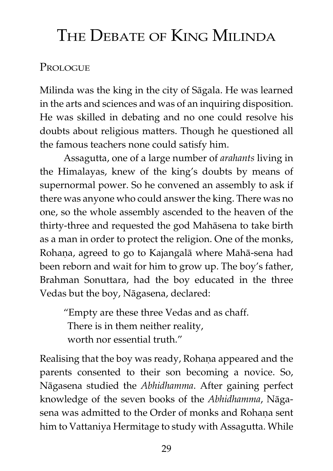## THE DEBATE OF KING MILINDA

### <span id="page-28-0"></span>**PROLOGUE**

Milinda was the king in the city of Sàgala. He was learned in the arts and sciences and was of an inquiring disposition. He was skilled in debating and no one could resolve his doubts about religious matters. Though he questioned all the famous teachers none could satisfy him.

Assagutta, one of a large number of *arahants* living in the Himalayas, knew of the king's doubts by means of supernormal power. So he convened an assembly to ask if there was anyone who could answer the king. There was no one, so the whole assembly ascended to the heaven of the thirty-three and requested the god Mahàsena to take birth as a man in order to protect the religion. One of the monks, Rohaṇa, agreed to go to Kajangalā where Mahā-sena had been reborn and wait for him to grow up. The boy's father, Brahman Sonuttara, had the boy educated in the three Vedas but the boy, Nàgasena, declared:

"Empty are these three Vedas and as chaff. There is in them neither reality, worth nor essential truth."

Realising that the boy was ready, Rohaṇa appeared and the parents consented to their son becoming a novice. So, Nàgasena studied the *Abhidhamma*. After gaining perfect knowledge of the seven books of the *Abhidhamma*, Nàgasena was admitted to the Order of monks and Rohana sent him to Vattaniya Hermitage to study with Assagutta. While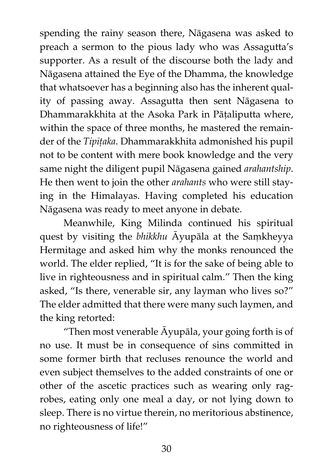spending the rainy season there, Nàgasena was asked to preach a sermon to the pious lady who was Assagutta's supporter. As a result of the discourse both the lady and Nàgasena attained the Eye of the Dhamma, the knowledge that whatsoever has a beginning also has the inherent quality of passing away. Assagutta then sent Nàgasena to Dhammarakkhita at the Asoka Park in Pāṭaliputta where, within the space of three months, he mastered the remainder of the *Tipiṭaka*. Dhammarakkhita admonished his pupil not to be content with mere book knowledge and the very same night the diligent pupil Nàgasena gained *arahantship*. He then went to join the other *arahants* who were still staying in the Himalayas. Having completed his education Nàgasena was ready to meet anyone in debate.

Meanwhile, King Milinda continued his spiritual quest by visiting the *bhikkhu* Ayupala at the Samkheyya Hermitage and asked him why the monks renounced the world. The elder replied, "It is for the sake of being able to live in righteousness and in spiritual calm." Then the king asked, "Is there, venerable sir, any layman who lives so?" The elder admitted that there were many such laymen, and the king retorted:

"Then most venerable  $\bar{A}$ yupāla, your going forth is of no use. It must be in consequence of sins committed in some former birth that recluses renounce the world and even subject themselves to the added constraints of one or other of the ascetic practices such as wearing only ragrobes, eating only one meal a day, or not lying down to sleep. There is no virtue therein, no meritorious abstinence, no righteousness of life!"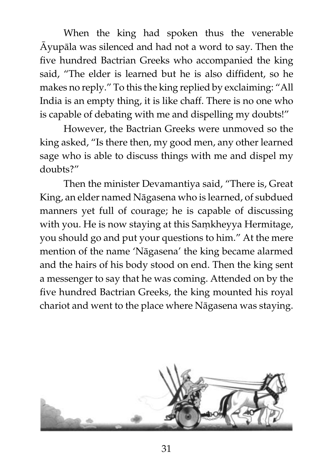When the king had spoken thus the venerable âyupàla was silenced and had not a word to say. Then the five hundred Bactrian Greeks who accompanied the king said, "The elder is learned but he is also diffident, so he makes no reply." To this the king replied by exclaiming: "All India is an empty thing, it is like chaff. There is no one who is capable of debating with me and dispelling my doubts!"

However, the Bactrian Greeks were unmoved so the king asked, "Is there then, my good men, any other learned sage who is able to discuss things with me and dispel my doubts?"

Then the minister Devamantiya said, "There is, Great King, an elder named Nàgasena who is learned, of subdued manners yet full of courage; he is capable of discussing with you. He is now staying at this Samkheyya Hermitage, you should go and put your questions to him." At the mere mention of the name 'Nàgasena' the king became alarmed and the hairs of his body stood on end. Then the king sent a messenger to say that he was coming. Attended on by the five hundred Bactrian Greeks, the king mounted his royal chariot and went to the place where Nàgasena was staying.

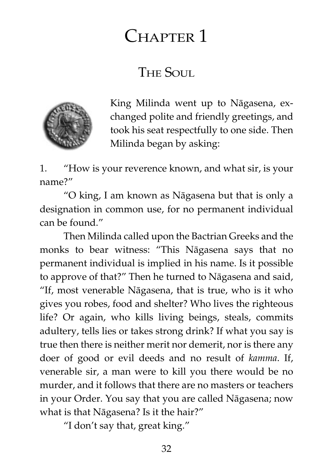## The Soul

<span id="page-31-0"></span>

King Milinda went up to Nàgasena, exchanged polite and friendly greetings, and took his seat respectfully to one side. Then Milinda began by asking:

1. "How is your reverence known, and what sir, is your name?"

"O king, I am known as Nàgasena but that is only a designation in common use, for no permanent individual can be found."

Then Milinda called upon the Bactrian Greeks and the monks to bear witness: "This Nàgasena says that no permanent individual is implied in his name. Is it possible to approve of that?" Then he turned to Nàgasena and said, "If, most venerable Nàgasena, that is true, who is it who gives you robes, food and shelter? Who lives the righteous life? Or again, who kills living beings, steals, commits adultery, tells lies or takes strong drink? If what you say is true then there is neither merit nor demerit, nor is there any doer of good or evil deeds and no result of *kamma*. If, venerable sir, a man were to kill you there would be no murder, and it follows that there are no masters or teachers in your Order. You say that you are called Nàgasena; now what is that Nàgasena? Is it the hair?"

"I don't say that, great king."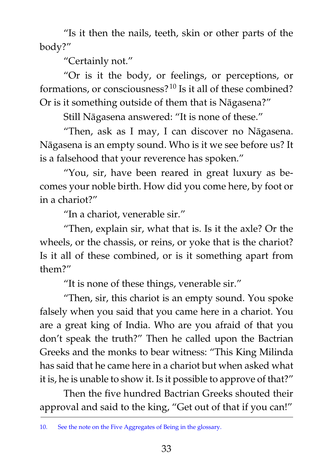"Is it then the nails, teeth, skin or other parts of the body?"

"Certainly not."

"Or is it the body, or feelings, or perceptions, or formations, or consciousness? $10$  Is it all of these combined? Or is it something outside of them that is Nàgasena?"

Still Nàgasena answered: "It is none of these."

"Then, ask as I may, I can discover no Nàgasena. Nàgasena is an empty sound. Who is it we see before us? It is a falsehood that your reverence has spoken."

"You, sir, have been reared in great luxury as becomes your noble birth. How did you come here, by foot or in a chariot?"

"In a chariot, venerable sir."

"Then, explain sir, what that is. Is it the axle? Or the wheels, or the chassis, or reins, or yoke that is the chariot? Is it all of these combined, or is it something apart from them?"

"It is none of these things, venerable sir."

"Then, sir, this chariot is an empty sound. You spoke falsely when you said that you came here in a chariot. You are a great king of India. Who are you afraid of that you don't speak the truth?" Then he called upon the Bactrian Greeks and the monks to bear witness: "This King Milinda has said that he came here in a chariot but when asked what it is, he is unable to show it. Is it possible to approve of that?"

Then the five hundred Bactrian Greeks shouted their approval and said to the king, "Get out of that if you can!"

<sup>10.</sup> [See the note on the Five Aggregates of Being in the glossary.](#page-180-0)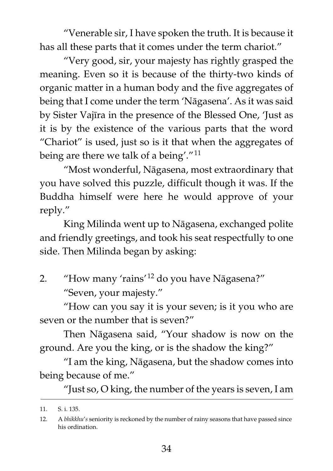<span id="page-33-0"></span>"Venerable sir, I have spoken the truth. It is because it has all these parts that it comes under the term chariot."

"Very good, sir, your majesty has rightly grasped the meaning. Even so it is because of the thirty-two kinds of organic matter in a human body and the five aggregates of being that I come under the term 'Nàgasena'. As it was said by Sister Vajīra in the presence of the Blessed One, 'Just as it is by the existence of the various parts that the word "Chariot" is used, just so is it that when the aggregates of being are there we talk of a being'."<sup>11</sup>

"Most wonderful, Nàgasena, most extraordinary that you have solved this puzzle, difficult though it was. If the Buddha himself were here he would approve of your reply."

King Milinda went up to Nàgasena, exchanged polite and friendly greetings, and took his seat respectfully to one side. Then Milinda began by asking:

2. "How many 'rains'12 do you have Nàgasena?" "Seven, your majesty."

"How can you say it is your seven; is it you who are seven or the number that is seven?"

Then Nàgasena said, "Your shadow is now on the ground. Are you the king, or is the shadow the king?"

"I am the king, Nàgasena, but the shadow comes into being because of me."

"Just so, O king, the number of the years is seven, I am

<sup>11.</sup> S. i. 135.

<sup>12.</sup> A *bhikkhu*'*s* seniority is reckoned by the number of rainy seasons that have passed since his ordination.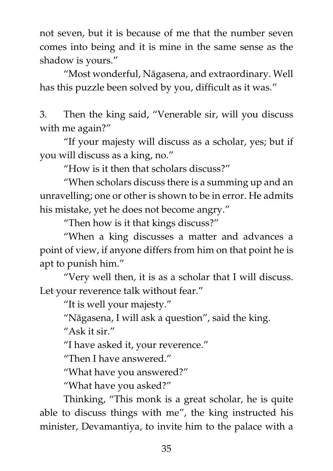not seven, but it is because of me that the number seven comes into being and it is mine in the same sense as the shadow is yours."

"Most wonderful, Nàgasena, and extraordinary. Well has this puzzle been solved by you, difficult as it was."

3. Then the king said, "Venerable sir, will you discuss with me again?"

"If your majesty will discuss as a scholar, yes; but if you will discuss as a king, no."

"How is it then that scholars discuss?"

"When scholars discuss there is a summing up and an unravelling; one or other is shown to be in error. He admits his mistake, yet he does not become angry."

"Then how is it that kings discuss?"

"When a king discusses a matter and advances a point of view, if anyone differs from him on that point he is apt to punish him."

"Very well then, it is as a scholar that I will discuss. Let your reverence talk without fear."

"It is well your majesty."

"Nàgasena, I will ask a question", said the king.

"Ask it sir."

"I have asked it, your reverence."

"Then I have answered."

"What have you answered?"

"What have you asked?"

Thinking, "This monk is a great scholar, he is quite able to discuss things with me", the king instructed his minister, Devamantiya, to invite him to the palace with a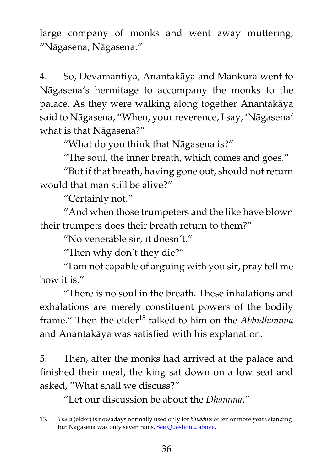large company of monks and went away muttering, "Nàgasena, Nàgasena."

4. So, Devamantiya, Anantakàya and Mankura went to Nàgasena's hermitage to accompany the monks to the palace. As they were walking along together Anantakàya said to Nàgasena, "When, your reverence, I say, 'Nàgasena' what is that Nàgasena?"

"What do you think that Nàgasena is?"

"The soul, the inner breath, which comes and goes."

"But if that breath, having gone out, should not return would that man still be alive?"

"Certainly not."

"And when those trumpeters and the like have blown their trumpets does their breath return to them?"

"No venerable sir, it doesn't."

"Then why don't they die?"

"I am not capable of arguing with you sir, pray tell me how it is."

"There is no soul in the breath. These inhalations and exhalations are merely constituent powers of the bodily frame." Then the elder<sup>13</sup> talked to him on the *Abhidhamma* and Anantakàya was satisfied with his explanation.

5. Then, after the monks had arrived at the palace and finished their meal, the king sat down on a low seat and asked, "What shall we discuss?"

"Let our discussion be about the *Dhamma*."

<sup>13.</sup> *Thera* (elder) is nowadays normally used only for *bhikkhus* of ten or more years standing but Nàgasena was only seven rains. [See Question 2 above.](#page-33-0)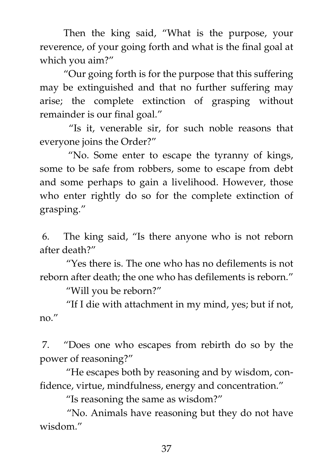Then the king said, "What is the purpose, your reverence, of your going forth and what is the final goal at which you aim?"

"Our going forth is for the purpose that this suffering may be extinguished and that no further suffering may arise; the complete extinction of grasping without remainder is our final goal."

 "Is it, venerable sir, for such noble reasons that everyone joins the Order?"

 "No. Some enter to escape the tyranny of kings, some to be safe from robbers, some to escape from debt and some perhaps to gain a livelihood. However, those who enter rightly do so for the complete extinction of grasping."

 6. The king said, "Is there anyone who is not reborn after death?"

 "Yes there is. The one who has no defilements is not reborn after death; the one who has defilements is reborn."

"Will you be reborn?"

 "If I die with attachment in my mind, yes; but if not, no."

 7. "Does one who escapes from rebirth do so by the power of reasoning?"

 "He escapes both by reasoning and by wisdom, confidence, virtue, mindfulness, energy and concentration."

"Is reasoning the same as wisdom?"

 "No. Animals have reasoning but they do not have wisdom."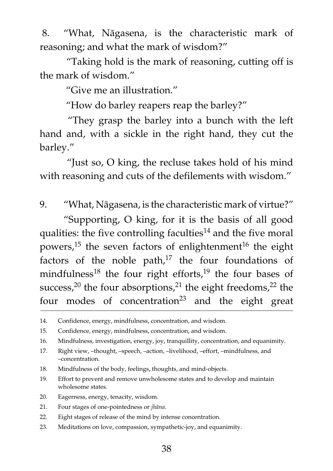8. "What, Nàgasena, is the characteristic mark of reasoning; and what the mark of wisdom?"

 "Taking hold is the mark of reasoning, cutting off is the mark of wisdom."

"Give me an illustration."

"How do barley reapers reap the barley?"

 "They grasp the barley into a bunch with the left hand and, with a sickle in the right hand, they cut the barley."

 "Just so, O king, the recluse takes hold of his mind with reasoning and cuts of the defilements with wisdom."

9. "What, Nàgasena, is the characteristic mark of virtue?"

"Supporting, O king, for it is the basis of all good qualities: the five controlling faculties<sup>14</sup> and the five moral powers, $15$  the seven factors of enlightenment<sup>16</sup> the eight factors of the noble path, $17$  the four foundations of mindfulness<sup>18</sup> the four right efforts,<sup>19</sup> the four bases of success,<sup>20</sup> the four absorptions,<sup>21</sup> the eight freedoms,<sup>22</sup> the four modes of concentration<sup>23</sup> and the eight great

- 18. Mindfulness of the body, feelings, thoughts, and mind-objects.
- 19. Effort to prevent and remove unwholesome states and to develop and maintain wholesome states.
- 20. Eagerness, energy, tenacity, wisdom.
- 21. Four stages of one-pointedness or *jhàna*.
- 22. Eight stages of release of the mind by intense concentration.
- 23. Meditations on love, compassion, sympathetic-joy, and equanimity.

<sup>14.</sup> Confidence, energy, mindfulness, concentration, and wisdom.

<sup>15.</sup> Confidence, energy, mindfulness, concentration, and wisdom.

<sup>16.</sup> Mindfulness, investigation, energy, joy, tranquillity, concentration, and equanimity.

<sup>17.</sup> Right view, –thought, –speech, –action, –livelihood, –effort, –mindfulness, and –concentration.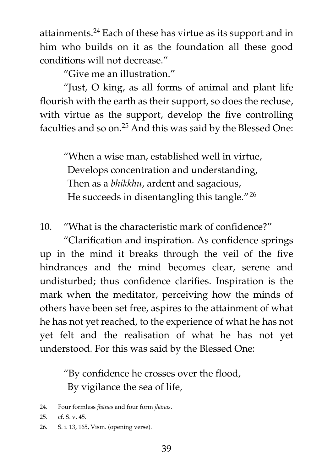attainments.<sup>24</sup> Each of these has virtue as its support and in him who builds on it as the foundation all these good conditions will not decrease."

"Give me an illustration."

"Just, O king, as all forms of animal and plant life flourish with the earth as their support, so does the recluse, with virtue as the support, develop the five controlling faculties and so on.<sup>25</sup> And this was said by the Blessed One:

"When a wise man, established well in virtue, Develops concentration and understanding, Then as a *bhikkhu*, ardent and sagacious, He succeeds in disentangling this tangle."<sup>26</sup>

10. "What is the characteristic mark of confidence?"

"Clarification and inspiration. As confidence springs up in the mind it breaks through the veil of the five hindrances and the mind becomes clear, serene and undisturbed; thus confidence clarifies. Inspiration is the mark when the meditator, perceiving how the minds of others have been set free, aspires to the attainment of what he has not yet reached, to the experience of what he has not yet felt and the realisation of what he has not yet understood. For this was said by the Blessed One:

"By confidence he crosses over the flood, By vigilance the sea of life,

<sup>24.</sup> Four formless *jhànas* and four form *jhànas*.

<sup>25.</sup> cf. S. v. 45.

<sup>26.</sup> S. i. 13, 165, Vism. (opening verse).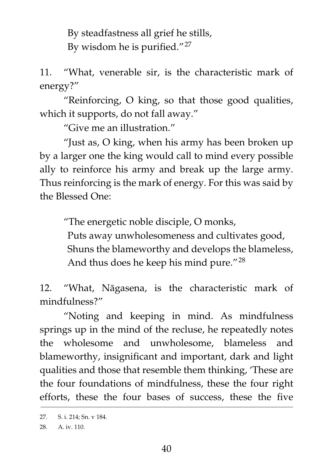By steadfastness all grief he stills, By wisdom he is purified."<sup>27</sup>

11. "What, venerable sir, is the characteristic mark of energy?"

"Reinforcing, O king, so that those good qualities, which it supports, do not fall away."

"Give me an illustration."

"Just as, O king, when his army has been broken up by a larger one the king would call to mind every possible ally to reinforce his army and break up the large army. Thus reinforcing is the mark of energy. For this was said by the Blessed One:

"The energetic noble disciple, O monks,

Puts away unwholesomeness and cultivates good, Shuns the blameworthy and develops the blameless, And thus does he keep his mind pure."<sup>28</sup>

12. "What, Nàgasena, is the characteristic mark of mindfulness?"

"Noting and keeping in mind. As mindfulness springs up in the mind of the recluse, he repeatedly notes the wholesome and unwholesome, blameless and blameworthy, insignificant and important, dark and light qualities and those that resemble them thinking, 'These are the four foundations of mindfulness, these the four right efforts, these the four bases of success, these the five

<sup>27.</sup> S. i. 214; Sn. v 184.

<sup>28.</sup> A. iv. 110.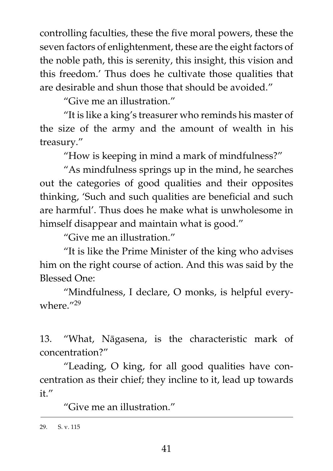controlling faculties, these the five moral powers, these the seven factors of enlightenment, these are the eight factors of the noble path, this is serenity, this insight, this vision and this freedom.' Thus does he cultivate those qualities that are desirable and shun those that should be avoided."

"Give me an illustration."

"It is like a king's treasurer who reminds his master of the size of the army and the amount of wealth in his treasury."

"How is keeping in mind a mark of mindfulness?"

"As mindfulness springs up in the mind, he searches out the categories of good qualities and their opposites thinking, 'Such and such qualities are beneficial and such are harmful'. Thus does he make what is unwholesome in himself disappear and maintain what is good."

"Give me an illustration."

"It is like the Prime Minister of the king who advises him on the right course of action. And this was said by the Blessed One:

"Mindfulness, I declare, O monks, is helpful everywhere."29

13. "What, Nàgasena, is the characteristic mark of concentration?"

"Leading, O king, for all good qualities have concentration as their chief; they incline to it, lead up towards it."

"Give me an illustration."

<sup>29.</sup> S. v. 115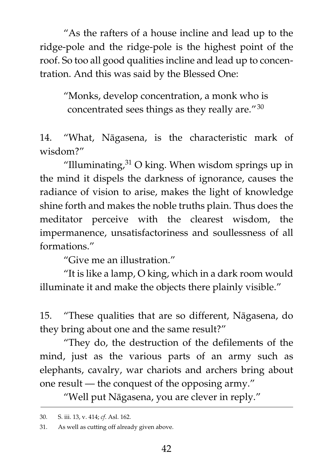"As the rafters of a house incline and lead up to the ridge-pole and the ridge-pole is the highest point of the roof. So too all good qualities incline and lead up to concentration. And this was said by the Blessed One:

"Monks, develop concentration, a monk who is concentrated sees things as they really are."<sup>30</sup>

14. "What, Nàgasena, is the characteristic mark of wisdom?"

"Illuminating, $31$  O king. When wisdom springs up in the mind it dispels the darkness of ignorance, causes the radiance of vision to arise, makes the light of knowledge shine forth and makes the noble truths plain. Thus does the meditator perceive with the clearest wisdom, the impermanence, unsatisfactoriness and soullessness of all formations."

"Give me an illustration."

"It is like a lamp, O king, which in a dark room would illuminate it and make the objects there plainly visible."

15. "These qualities that are so different, Nàgasena, do they bring about one and the same result?"

"They do, the destruction of the defilements of the mind, just as the various parts of an army such as elephants, cavalry, war chariots and archers bring about one result — the conquest of the opposing army."

"Well put Nàgasena, you are clever in reply."

<sup>30.</sup> S. iii. 13, v. 414; *cf*. Asl. 162.

<sup>31.</sup> As well as cutting off already given above.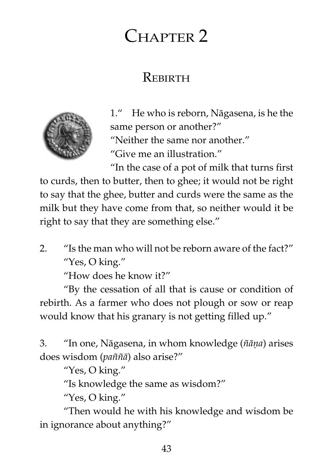## CHAPTER 2

### **REBIRTH**

<span id="page-42-0"></span>

1." He who is reborn, Nàgasena, is he the same person or another?" "Neither the same nor another." "Give me an illustration."

"In the case of a pot of milk that turns first to curds, then to butter, then to ghee; it would not be right to say that the ghee, butter and curds were the same as the milk but they have come from that, so neither would it be right to say that they are something else."

2. "Is the man who will not be reborn aware of the fact?" "Yes, O king."

"How does he know it?"

"By the cessation of all that is cause or condition of rebirth. As a farmer who does not plough or sow or reap would know that his granary is not getting filled up."

3. "In one, Nàgasena, in whom knowledge (*¤àõa*) arises does wisdom (*pa¤¤à*) also arise?"

"Yes, O king."

"Is knowledge the same as wisdom?"

"Yes, O king."

"Then would he with his knowledge and wisdom be in ignorance about anything?"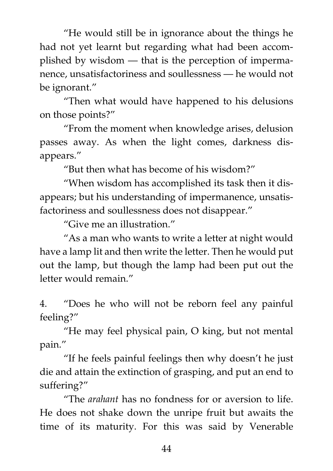"He would still be in ignorance about the things he had not yet learnt but regarding what had been accomplished by wisdom — that is the perception of impermanence, unsatisfactoriness and soullessness — he would not be ignorant."

"Then what would have happened to his delusions on those points?"

"From the moment when knowledge arises, delusion passes away. As when the light comes, darkness disappears."

"But then what has become of his wisdom?"

"When wisdom has accomplished its task then it disappears; but his understanding of impermanence, unsatisfactoriness and soullessness does not disappear."

"Give me an illustration."

"As a man who wants to write a letter at night would have a lamp lit and then write the letter. Then he would put out the lamp, but though the lamp had been put out the letter would remain."

4. "Does he who will not be reborn feel any painful feeling?"

"He may feel physical pain, O king, but not mental pain."

"If he feels painful feelings then why doesn't he just die and attain the extinction of grasping, and put an end to suffering?"

"The *arahant* has no fondness for or aversion to life. He does not shake down the unripe fruit but awaits the time of its maturity. For this was said by Venerable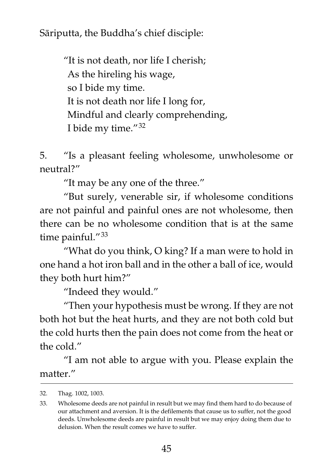Sàriputta, the Buddha's chief disciple:

"It is not death, nor life I cherish; As the hireling his wage, so I bide my time. It is not death nor life I long for, Mindful and clearly comprehending, I bide my time."<sup>32</sup>

5. "Is a pleasant feeling wholesome, unwholesome or neutral?"

"It may be any one of the three."

"But surely, venerable sir, if wholesome conditions are not painful and painful ones are not wholesome, then there can be no wholesome condition that is at the same time painful."<sup>33</sup>

"What do you think, O king? If a man were to hold in one hand a hot iron ball and in the other a ball of ice, would they both hurt him?"

"Indeed they would."

"Then your hypothesis must be wrong. If they are not both hot but the heat hurts, and they are not both cold but the cold hurts then the pain does not come from the heat or the cold."

"I am not able to argue with you. Please explain the matter."

<sup>32.</sup> Thag. 1002, 1003.

<sup>33.</sup> Wholesome deeds are not painful in result but we may find them hard to do because of our attachment and aversion. It is the defilements that cause us to suffer, not the good deeds. Unwholesome deeds are painful in result but we may enjoy doing them due to delusion. When the result comes we have to suffer.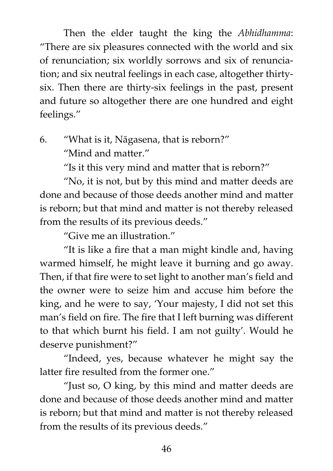Then the elder taught the king the *Abhidhamma*: "There are six pleasures connected with the world and six of renunciation; six worldly sorrows and six of renunciation; and six neutral feelings in each case, altogether thirtysix. Then there are thirty-six feelings in the past, present and future so altogether there are one hundred and eight feelings."

6. "What is it, Nàgasena, that is reborn?" "Mind and matter."

"Is it this very mind and matter that is reborn?"

"No, it is not, but by this mind and matter deeds are done and because of those deeds another mind and matter is reborn; but that mind and matter is not thereby released from the results of its previous deeds."

"Give me an illustration."

"It is like a fire that a man might kindle and, having warmed himself, he might leave it burning and go away. Then, if that fire were to set light to another man's field and the owner were to seize him and accuse him before the king, and he were to say, 'Your majesty, I did not set this man's field on fire. The fire that I left burning was different to that which burnt his field. I am not guilty'. Would he deserve punishment?"

"Indeed, yes, because whatever he might say the latter fire resulted from the former one."

"Just so, O king, by this mind and matter deeds are done and because of those deeds another mind and matter is reborn; but that mind and matter is not thereby released from the results of its previous deeds."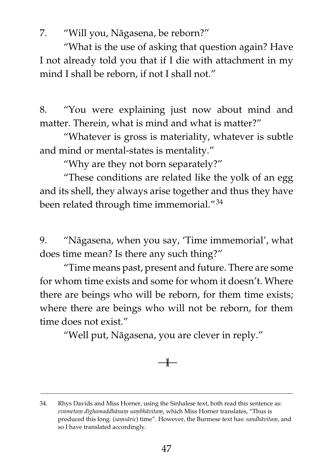7. "Will you, Nàgasena, be reborn?"

"What is the use of asking that question again? Have I not already told you that if I die with attachment in my mind I shall be reborn, if not I shall not."

8. "You were explaining just now about mind and matter. Therein, what is mind and what is matter?"

"Whatever is gross is materiality, whatever is subtle and mind or mental-states is mentality."

"Why are they not born separately?"

"These conditions are related like the yolk of an egg and its shell, they always arise together and thus they have been related through time immemorial."<sup>34</sup>

9. "Nàgasena, when you say, 'Time immemorial', what does time mean? Is there any such thing?"

"Time means past, present and future. There are some for whom time exists and some for whom it doesn't. Where there are beings who will be reborn, for them time exists; where there are beings who will not be reborn, for them time does not exist."

"Well put, Nàgasena, you are clever in reply."



<sup>34.</sup> Rhys Davids and Miss Horner, using the Sinhalese text, both read this sentence as: *evametam dīghamaddhānam sambhāvitam,* which Miss Horner translates, "Thus is produced this long. (*saüsàric*) time". However, the Burmese text has: *sandhàvitaü*, and so I have translated accordingly.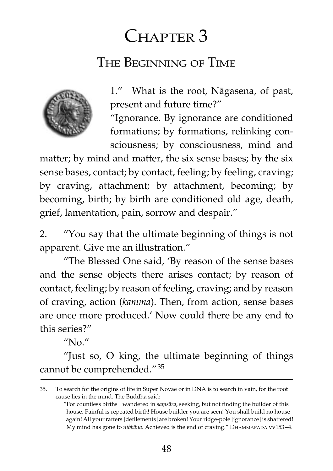# CHAPTER 3

### The Beginning of Time



1." What is the root, Nàgasena, of past, present and future time?"

"Ignorance. By ignorance are conditioned formations; by formations, relinking consciousness; by consciousness, mind and

matter; by mind and matter, the six sense bases; by the six sense bases, contact; by contact, feeling; by feeling, craving; by craving, attachment; by attachment, becoming; by becoming, birth; by birth are conditioned old age, death, grief, lamentation, pain, sorrow and despair."

2. "You say that the ultimate beginning of things is not apparent. Give me an illustration."

"The Blessed One said, 'By reason of the sense bases and the sense objects there arises contact; by reason of contact, feeling; by reason of feeling, craving; and by reason of craving, action (*kamma*). Then, from action, sense bases are once more produced.' Now could there be any end to this series?"

" $No."$ 

"Just so, O king, the ultimate beginning of things cannot be comprehended."<sup>35</sup>

<sup>35.</sup> To search for the origins of life in Super Novae or in DNA is to search in vain, for the root cause lies in the mind. The Buddha said:

<sup>&</sup>quot;For countless births I wandered in *saṃsāra*, seeking, but not finding the builder of this house. Painful is repeated birth! House builder you are seen! You shall build no house again! All your rafters [defilements] are broken! Your ridge-pole [ignorance] is shattered! My mind has gone to *nibbāna*. Achieved is the end of craving." DHAMMAPADA vv153-4.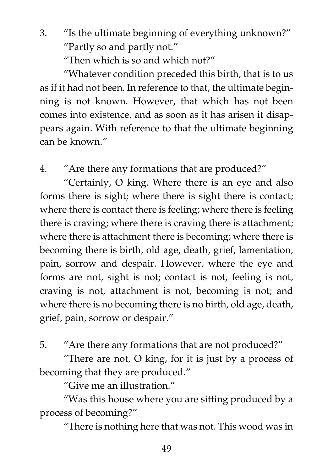3. "Is the ultimate beginning of everything unknown?" "Partly so and partly not."

"Then which is so and which not?"

"Whatever condition preceded this birth, that is to us as if it had not been. In reference to that, the ultimate beginning is not known. However, that which has not been comes into existence, and as soon as it has arisen it disappears again. With reference to that the ultimate beginning can be known."

4. "Are there any formations that are produced?"

"Certainly, O king. Where there is an eye and also forms there is sight; where there is sight there is contact; where there is contact there is feeling; where there is feeling there is craving; where there is craving there is attachment; where there is attachment there is becoming; where there is becoming there is birth, old age, death, grief, lamentation, pain, sorrow and despair. However, where the eye and forms are not, sight is not; contact is not, feeling is not, craving is not, attachment is not, becoming is not; and where there is no becoming there is no birth, old age, death, grief, pain, sorrow or despair."

5. "Are there any formations that are not produced?"

"There are not, O king, for it is just by a process of becoming that they are produced."

"Give me an illustration."

"Was this house where you are sitting produced by a process of becoming?"

"There is nothing here that was not. This wood was in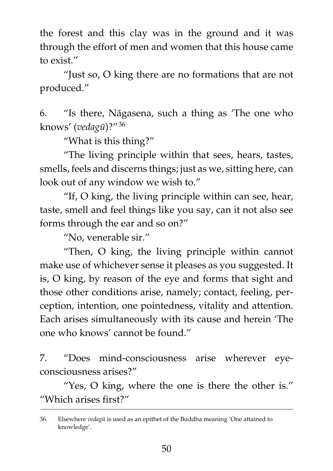the forest and this clay was in the ground and it was through the effort of men and women that this house came to exist."

"Just so, O king there are no formations that are not produced."

6. "Is there, Nàgasena, such a thing as 'The one who knows' (*vedagå*)?"<sup>36</sup>

"What is this thing?"

"The living principle within that sees, hears, tastes, smells, feels and discerns things; just as we, sitting here, can look out of any window we wish to."

"If, O king, the living principle within can see, hear, taste, smell and feel things like you say, can it not also see forms through the ear and so on?"

"No, venerable sir."

"Then, O king, the living principle within cannot make use of whichever sense it pleases as you suggested. It is, O king, by reason of the eye and forms that sight and those other conditions arise, namely; contact, feeling, perception, intention, one pointedness, vitality and attention. Each arises simultaneously with its cause and herein 'The one who knows' cannot be found."

7. "Does mind-consciousness arise wherever eyeconsciousness arises?"

"Yes, O king, where the one is there the other is." "Which arises first?"

<sup>36.</sup> Elsewhere *vedagå* is used as an epithet of the Buddha meaning 'One attained to knowledge'.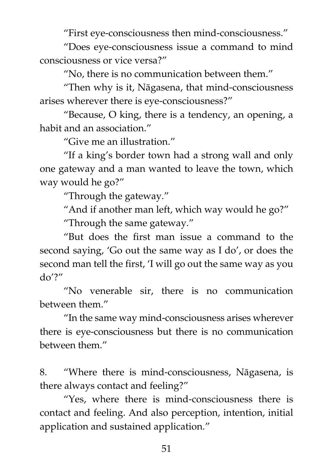"First eye-consciousness then mind-consciousness."

"Does eye-consciousness issue a command to mind consciousness or vice versa?"

"No, there is no communication between them."

"Then why is it, Nàgasena, that mind-consciousness arises wherever there is eye-consciousness?"

"Because, O king, there is a tendency, an opening, a habit and an association."

"Give me an illustration."

"If a king's border town had a strong wall and only one gateway and a man wanted to leave the town, which way would he go?"

"Through the gateway."

"And if another man left, which way would he go?"

"Through the same gateway."

"But does the first man issue a command to the second saying, 'Go out the same way as I do', or does the second man tell the first, 'I will go out the same way as you do'?"

"No venerable sir, there is no communication between them."

"In the same way mind-consciousness arises wherever there is eye-consciousness but there is no communication between them."

8. "Where there is mind-consciousness, Nàgasena, is there always contact and feeling?"

"Yes, where there is mind-consciousness there is contact and feeling. And also perception, intention, initial application and sustained application."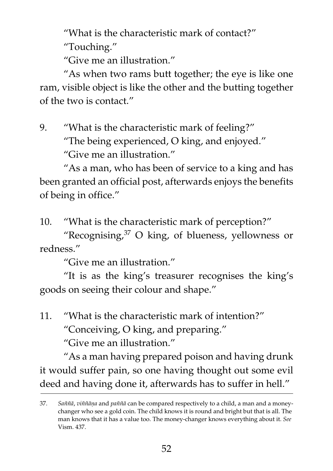"What is the characteristic mark of contact?"

"Touching."

"Give me an illustration."

"As when two rams butt together; the eye is like one ram, visible object is like the other and the butting together of the two is contact."

9. "What is the characteristic mark of feeling?" "The being experienced, O king, and enjoyed." "Give me an illustration."

"As a man, who has been of service to a king and has been granted an official post, afterwards enjoys the benefits of being in office."

10. "What is the characteristic mark of perception?"

"Recognising, $37$  O king, of blueness, yellowness or redness."

"Give me an illustration."

"It is as the king's treasurer recognises the king's goods on seeing their colour and shape."

11. "What is the characteristic mark of intention?"

"Conceiving, O king, and preparing."

"Give me an illustration."

"As a man having prepared poison and having drunk it would suffer pain, so one having thought out some evil deed and having done it, afterwards has to suffer in hell."

<sup>37.</sup> *Saññā, viññāṇa* and *paññā* can be compared respectively to a child, a man and a moneychanger who see a gold coin. The child knows it is round and bright but that is all. The man knows that it has a value too. The money-changer knows everything about it. *See* Vism. 437.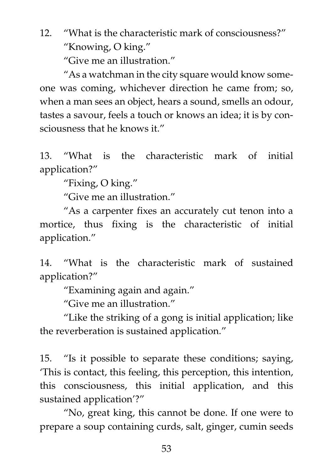12. "What is the characteristic mark of consciousness?" "Knowing, O king."

"Give me an illustration."

"As a watchman in the city square would know someone was coming, whichever direction he came from; so, when a man sees an object, hears a sound, smells an odour, tastes a savour, feels a touch or knows an idea; it is by consciousness that he knows it."

13. "What is the characteristic mark of initial application?"

"Fixing, O king."

"Give me an illustration."

"As a carpenter fixes an accurately cut tenon into a mortice, thus fixing is the characteristic of initial application."

14. "What is the characteristic mark of sustained application?"

"Examining again and again."

"Give me an illustration."

"Like the striking of a gong is initial application; like the reverberation is sustained application."

15. "Is it possible to separate these conditions; saying, 'This is contact, this feeling, this perception, this intention, this consciousness, this initial application, and this sustained application'?"

"No, great king, this cannot be done. If one were to prepare a soup containing curds, salt, ginger, cumin seeds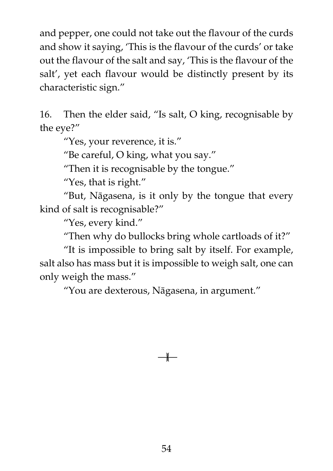and pepper, one could not take out the flavour of the curds and show it saying, 'This is the flavour of the curds' or take out the flavour of the salt and say, 'This is the flavour of the salt', yet each flavour would be distinctly present by its characteristic sign."

16. Then the elder said, "Is salt, O king, recognisable by the eye?"

"Yes, your reverence, it is."

"Be careful, O king, what you say."

"Then it is recognisable by the tongue."

"Yes, that is right."

"But, Nàgasena, is it only by the tongue that every kind of salt is recognisable?"

"Yes, every kind."

"Then why do bullocks bring whole cartloads of it?"

"It is impossible to bring salt by itself. For example, salt also has mass but it is impossible to weigh salt, one can only weigh the mass."

"You are dexterous, Nàgasena, in argument."

 $\frac{1}{\sqrt{2}}$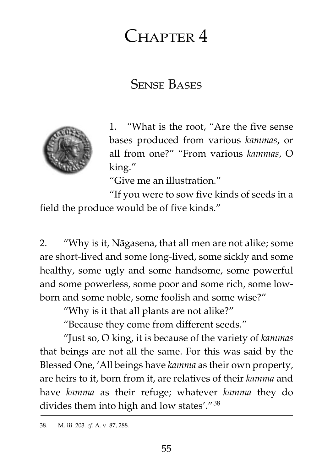## CHAPTER 4

### Sense Bases



1. "What is the root, "Are the five sense bases produced from various *kammas*, or all from one?" "From various *kammas*, O king."

"Give me an illustration."

"If you were to sow five kinds of seeds in a field the produce would be of five kinds."

2. "Why is it, Nàgasena, that all men are not alike; some are short-lived and some long-lived, some sickly and some healthy, some ugly and some handsome, some powerful and some powerless, some poor and some rich, some lowborn and some noble, some foolish and some wise?"

"Why is it that all plants are not alike?"

"Because they come from different seeds."

"Just so, O king, it is because of the variety of *kammas* that beings are not all the same. For this was said by the Blessed One, 'All beings have *kamma* as their own property, are heirs to it, born from it, are relatives of their *kamma* and have *kamma* as their refuge; whatever *kamma* they do divides them into high and low states'."<sup>38</sup>

<sup>38.</sup> M. iii. 203. *cf*. A. v. 87, 288.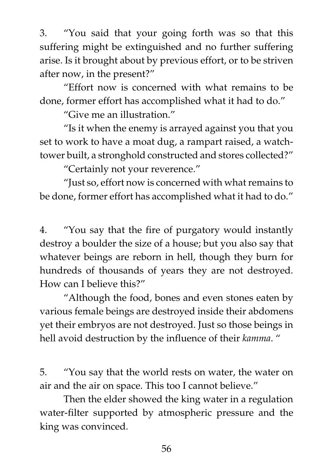3. "You said that your going forth was so that this suffering might be extinguished and no further suffering arise. Is it brought about by previous effort, or to be striven after now, in the present?"

"Effort now is concerned with what remains to be done, former effort has accomplished what it had to do."

"Give me an illustration."

"Is it when the enemy is arrayed against you that you set to work to have a moat dug, a rampart raised, a watchtower built, a stronghold constructed and stores collected?"

"Certainly not your reverence."

"Just so, effort now is concerned with what remains to be done, former effort has accomplished what it had to do."

4. "You say that the fire of purgatory would instantly destroy a boulder the size of a house; but you also say that whatever beings are reborn in hell, though they burn for hundreds of thousands of years they are not destroyed. How can I believe this?"

"Although the food, bones and even stones eaten by various female beings are destroyed inside their abdomens yet their embryos are not destroyed. Just so those beings in hell avoid destruction by the influence of their *kamma*. "

5. "You say that the world rests on water, the water on air and the air on space. This too I cannot believe."

Then the elder showed the king water in a regulation water-filter supported by atmospheric pressure and the king was convinced.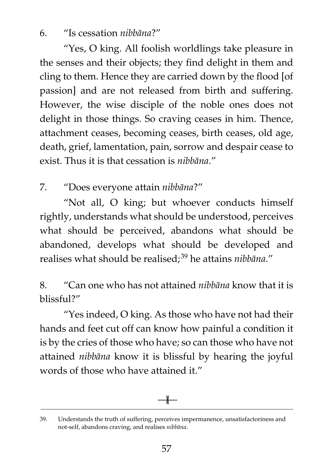#### 6. "Is cessation *nibbàna*?"

"Yes, O king. All foolish worldlings take pleasure in the senses and their objects; they find delight in them and cling to them. Hence they are carried down by the flood [of passion] and are not released from birth and suffering. However, the wise disciple of the noble ones does not delight in those things. So craving ceases in him. Thence, attachment ceases, becoming ceases, birth ceases, old age, death, grief, lamentation, pain, sorrow and despair cease to exist. Thus it is that cessation is *nibbàna*."

#### 7. "Does everyone attain *nibbàna*?"

"Not all, O king; but whoever conducts himself rightly, understands what should be understood, perceives what should be perceived, abandons what should be abandoned, develops what should be developed and realises what should be realised;39 he attains *nibbàna*."

8. "Can one who has not attained *nibbàna* know that it is blissful?"

"Yes indeed, O king. As those who have not had their hands and feet cut off can know how painful a condition it is by the cries of those who have; so can those who have not attained *nibbàna* know it is blissful by hearing the joyful words of those who have attained it."



<sup>39.</sup> Understands the truth of suffering, perceives impermanence, unsatisfactoriness and not-self, abandons craving, and realises *nibbàna*.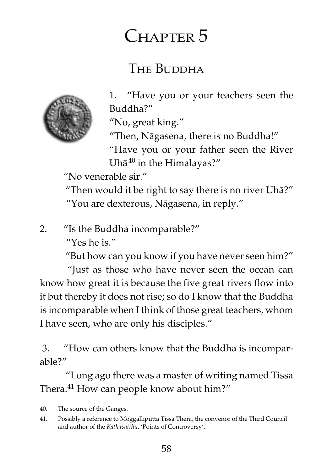# CHAPTER 5

### THE BUDDHA



1. "Have you or your teachers seen the Buddha?"

"No, great king."

"Then, Nàgasena, there is no Buddha!"

"Have you or your father seen the River Ūhā $40$  in the Himalayas?"

"No venerable sir."

"Then would it be right to say there is no river  $\bar{U}h\bar{a}$ ?" "You are dexterous, Nàgasena, in reply."

2. "Is the Buddha incomparable?"

"Yes he is."

"But how can you know if you have never seen him?"

 "Just as those who have never seen the ocean can know how great it is because the five great rivers flow into it but thereby it does not rise; so do I know that the Buddha is incomparable when I think of those great teachers, whom I have seen, who are only his disciples."

 3. "How can others know that the Buddha is incomparable?"

 "Long ago there was a master of writing named Tissa Thera.<sup>41</sup> How can people know about him?"

<sup>40.</sup> The source of the Ganges.

<sup>41.</sup> Possibly a reference to Moggalliputta Tissa Thera, the convenor of the Third Council and author of the *Kathàvatthu*, 'Points of Controversy'.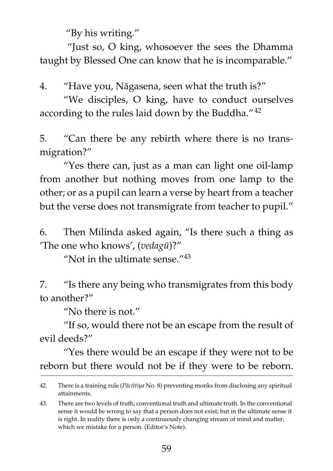"By his writing."

 "Just so, O king, whosoever the sees the Dhamma taught by Blessed One can know that he is incomparable."

4. "Have you, Nàgasena, seen what the truth is?"

"We disciples, O king, have to conduct ourselves according to the rules laid down by the Buddha."<sup>42</sup>

5. "Can there be any rebirth where there is no transmigration?"

"Yes there can, just as a man can light one oil-lamp from another but nothing moves from one lamp to the other; or as a pupil can learn a verse by heart from a teacher but the verse does not transmigrate from teacher to pupil."

6. Then Milinda asked again, "Is there such a thing as 'The one who knows', (*vedagå*)?"

"Not in the ultimate sense."<sup>43</sup>

7. "Is there any being who transmigrates from this body to another?"

"No there is not."

"If so, would there not be an escape from the result of evil deeds?"

"Yes there would be an escape if they were not to be reborn but there would not be if they were to be reborn.

<sup>42.</sup> There is a training rule (*Pàcittiya* No. 8) preventing monks from disclosing any spiritual attainments.

<sup>43.</sup> There are two levels of truth; conventional truth and ultimate truth. In the conventional sense it would be wrong to say that a person does not exist; but in the ultimate sense it is right. In reality there is only a continuously changing stream of mind and matter, which we mistake for a person. (Editor's Note).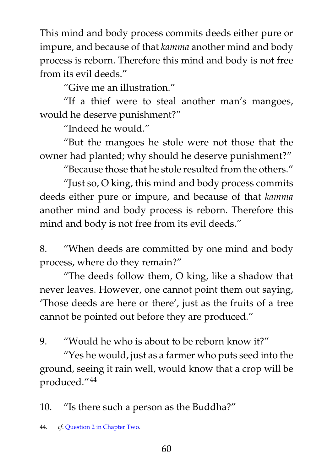This mind and body process commits deeds either pure or impure, and because of that *kamma* another mind and body process is reborn. Therefore this mind and body is not free from its evil deeds."

"Give me an illustration."

"If a thief were to steal another man's mangoes, would he deserve punishment?"

"Indeed he would."

"But the mangoes he stole were not those that the owner had planted; why should he deserve punishment?"

"Because those that he stole resulted from the others."

"Just so, O king, this mind and body process commits deeds either pure or impure, and because of that *kamma* another mind and body process is reborn. Therefore this mind and body is not free from its evil deeds."

8. "When deeds are committed by one mind and body process, where do they remain?"

"The deeds follow them, O king, like a shadow that never leaves. However, one cannot point them out saying, 'Those deeds are here or there', just as the fruits of a tree cannot be pointed out before they are produced."

9. "Would he who is about to be reborn know it?"

"Yes he would, just as a farmer who puts seed into the ground, seeing it rain well, would know that a crop will be produced."<sup>44</sup>

10. "Is there such a person as the Buddha?"

<sup>44.</sup> *cf*[. Question 2 in Chapter Two.](#page-42-0)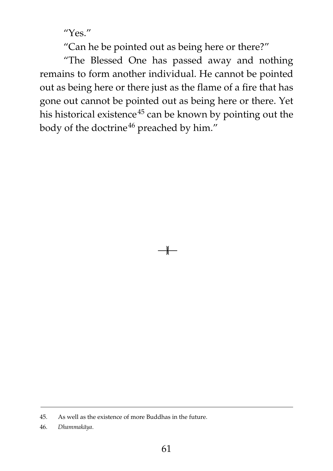"Yes."

"Can he be pointed out as being here or there?"

"The Blessed One has passed away and nothing remains to form another individual. He cannot be pointed out as being here or there just as the flame of a fire that has gone out cannot be pointed out as being here or there. Yet his historical existence<sup>45</sup> can be known by pointing out the body of the doctrine<sup>46</sup> preached by him."

—}{—

<sup>45.</sup> As well as the existence of more Buddhas in the future.

<sup>46.</sup> *Dhammakàya*.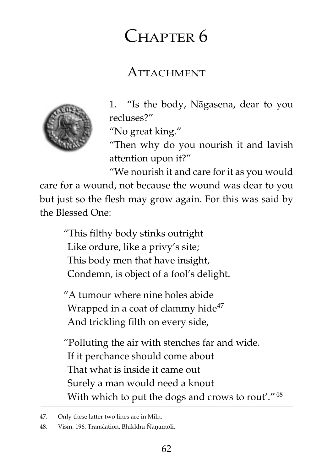## CHAPTER<sub>6</sub>

### ATTACHMENT



1. "Is the body, Nàgasena, dear to you recluses?"

"No great king."

"Then why do you nourish it and lavish attention upon it?"

"We nourish it and care for it as you would care for a wound, not because the wound was dear to you but just so the flesh may grow again. For this was said by the Blessed One:

"This filthy body stinks outright Like ordure, like a privy's site; This body men that have insight, Condemn, is object of a fool's delight.

"A tumour where nine holes abide Wrapped in a coat of clammy hide<sup>47</sup> And trickling filth on every side,

"Polluting the air with stenches far and wide. If it perchance should come about That what is inside it came out Surely a man would need a knout With which to put the dogs and crows to rout'."<sup>48</sup>

<sup>47.</sup> Only these latter two lines are in Miln.

<sup>48.</sup> Vism. 196. Translation, Bhikkhu Ñānamoli.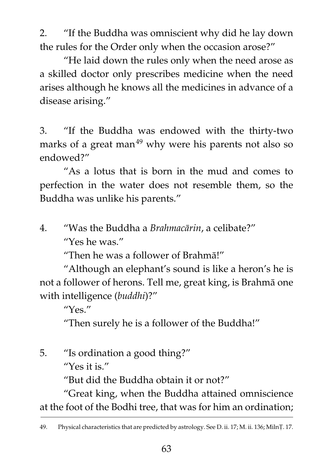2. "If the Buddha was omniscient why did he lay down the rules for the Order only when the occasion arose?"

"He laid down the rules only when the need arose as a skilled doctor only prescribes medicine when the need arises although he knows all the medicines in advance of a disease arising."

3. "If the Buddha was endowed with the thirty-two marks of a great man<sup>49</sup> why were his parents not also so endowed?"

"As a lotus that is born in the mud and comes to perfection in the water does not resemble them, so the Buddha was unlike his parents."

4. "Was the Buddha a *Brahmacàrin*, a celibate?" "Yes he was."

"Then he was a follower of Brahmà!"

"Although an elephant's sound is like a heron's he is not a follower of herons. Tell me, great king, is Brahmà one with intelligence (*buddhi*)?"

 $^{\prime\prime}Y$ es."

"Then surely he is a follower of the Buddha!"

5. "Is ordination a good thing?"

"Yes it is."

"But did the Buddha obtain it or not?"

"Great king, when the Buddha attained omniscience at the foot of the Bodhi tree, that was for him an ordination;

<sup>49.</sup> Physical characteristics that are predicted by astrology. See D. ii. 17; M. ii. 136; Miln<sub>T.</sub> 17.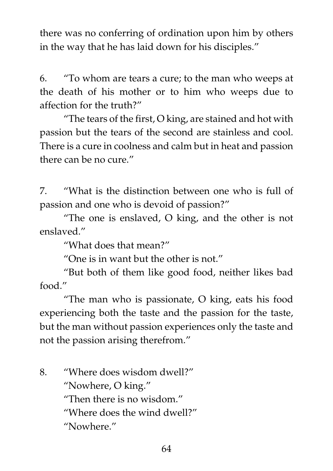there was no conferring of ordination upon him by others in the way that he has laid down for his disciples."

6. "To whom are tears a cure; to the man who weeps at the death of his mother or to him who weeps due to affection for the truth?"

"The tears of the first,  $O$  king, are stained and hot with passion but the tears of the second are stainless and cool. There is a cure in coolness and calm but in heat and passion there can be no cure."

7. "What is the distinction between one who is full of passion and one who is devoid of passion?"

"The one is enslaved, O king, and the other is not enslaved."

"What does that mean?"

"One is in want but the other is not."

"But both of them like good food, neither likes bad food."

"The man who is passionate, O king, eats his food experiencing both the taste and the passion for the taste, but the man without passion experiences only the taste and not the passion arising therefrom."

8. "Where does wisdom dwell?" "Nowhere, O king." "Then there is no wisdom." "Where does the wind dwell?" "Nowhere."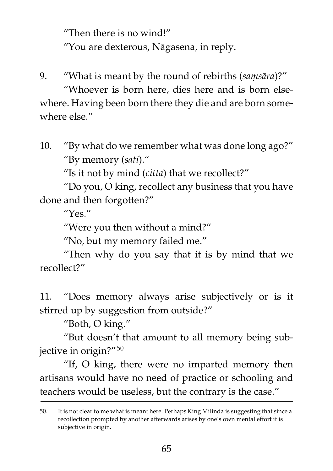"Then there is no wind!" "You are dexterous, Nàgasena, in reply.

9. "What is meant by the round of rebirths (samsara)?" "Whoever is born here, dies here and is born elsewhere. Having been born there they die and are born somewhere else."

10. "By what do we remember what was done long ago?" "By memory (*sati*)."

"Is it not by mind (*citta*) that we recollect?"

"Do you, O king, recollect any business that you have done and then forgotten?"

"Yes."

"Were you then without a mind?"

"No, but my memory failed me."

"Then why do you say that it is by mind that we recollect?"

11. "Does memory always arise subjectively or is it stirred up by suggestion from outside?"

"Both, O king."

"But doesn't that amount to all memory being subjective in origin?"<sup>50</sup>

"If, O king, there were no imparted memory then artisans would have no need of practice or schooling and teachers would be useless, but the contrary is the case."

<sup>50.</sup> It is not clear to me what is meant here. Perhaps King Milinda is suggesting that since a recollection prompted by another afterwards arises by one's own mental effort it is subjective in origin.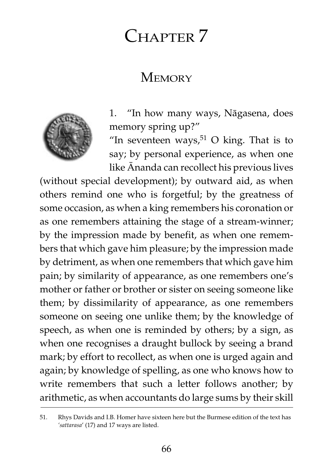## CHAPTER 7

### **MEMORY**



1. "In how many ways, Nàgasena, does memory spring up?"

"In seventeen ways,  $51$  O king. That is to say; by personal experience, as when one like Ananda can recollect his previous lives

(without special development); by outward aid, as when others remind one who is forgetful; by the greatness of some occasion, as when a king remembers his coronation or as one remembers attaining the stage of a stream-winner; by the impression made by benefit, as when one remembers that which gave him pleasure; by the impression made by detriment, as when one remembers that which gave him pain; by similarity of appearance, as one remembers one's mother or father or brother or sister on seeing someone like them; by dissimilarity of appearance, as one remembers someone on seeing one unlike them; by the knowledge of speech, as when one is reminded by others; by a sign, as when one recognises a draught bullock by seeing a brand mark; by effort to recollect, as when one is urged again and again; by knowledge of spelling, as one who knows how to write remembers that such a letter follows another; by arithmetic, as when accountants do large sums by their skill

<sup>51.</sup> Rhys Davids and I.B. Homer have sixteen here but the Burmese edition of the text has *'sattarasa*' (17) and 17 ways are listed.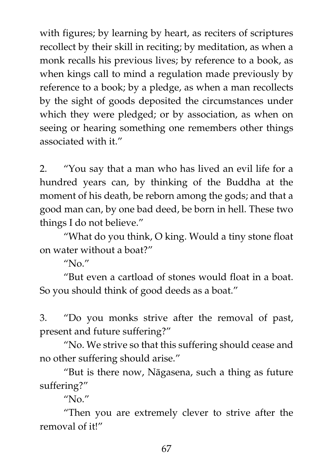with figures; by learning by heart, as reciters of scriptures recollect by their skill in reciting; by meditation, as when a monk recalls his previous lives; by reference to a book, as when kings call to mind a regulation made previously by reference to a book; by a pledge, as when a man recollects by the sight of goods deposited the circumstances under which they were pledged; or by association, as when on seeing or hearing something one remembers other things associated with it."

2. "You say that a man who has lived an evil life for a hundred years can, by thinking of the Buddha at the moment of his death, be reborn among the gods; and that a good man can, by one bad deed, be born in hell. These two things I do not believe."

"What do you think, O king. Would a tiny stone float on water without a boat?"

"No."

"But even a cartload of stones would float in a boat. So you should think of good deeds as a boat."

3. "Do you monks strive after the removal of past, present and future suffering?"

"No. We strive so that this suffering should cease and no other suffering should arise."

"But is there now, Nàgasena, such a thing as future suffering?"

"No."

"Then you are extremely clever to strive after the removal of it!"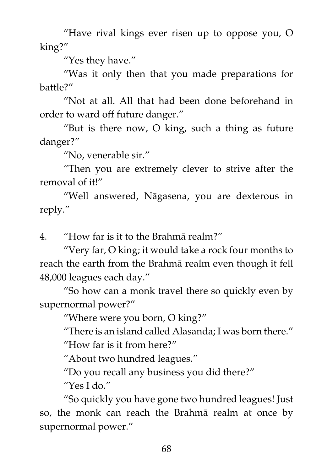"Have rival kings ever risen up to oppose you, O king?"

"Yes they have."

"Was it only then that you made preparations for battle?"

"Not at all. All that had been done beforehand in order to ward off future danger."

"But is there now, O king, such a thing as future danger?"

"No, venerable sir."

"Then you are extremely clever to strive after the removal of it!"

"Well answered, Nàgasena, you are dexterous in reply."

4. "How far is it to the Brahmà realm?"

"Very far, O king; it would take a rock four months to reach the earth from the Brahmà realm even though it fell 48,000 leagues each day."

"So how can a monk travel there so quickly even by supernormal power?"

"Where were you born, O king?"

"There is an island called Alasanda; I was born there."

"How far is it from here?"

"About two hundred leagues."

"Do you recall any business you did there?"

"Yes I do."

"So quickly you have gone two hundred leagues! Just so, the monk can reach the Brahmà realm at once by supernormal power."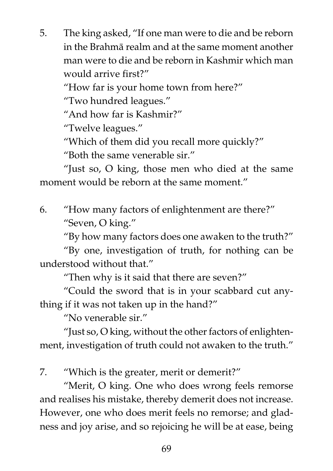5. The king asked, "If one man were to die and be reborn in the Brahmà realm and at the same moment another man were to die and be reborn in Kashmir which man would arrive first?"

"How far is your home town from here?"

"Two hundred leagues."

"And how far is Kashmir?"

"Twelve leagues."

"Which of them did you recall more quickly?"

"Both the same venerable sir."

"Just so, O king, those men who died at the same moment would be reborn at the same moment."

6. "How many factors of enlightenment are there?" "Seven, O king."

"By how many factors does one awaken to the truth?"

"By one, investigation of truth, for nothing can be understood without that."

"Then why is it said that there are seven?"

"Could the sword that is in your scabbard cut anything if it was not taken up in the hand?"

"No venerable sir."

"Just so, O king, without the other factors of enlightenment, investigation of truth could not awaken to the truth."

7. "Which is the greater, merit or demerit?"

"Merit, O king. One who does wrong feels remorse and realises his mistake, thereby demerit does not increase. However, one who does merit feels no remorse; and gladness and joy arise, and so rejoicing he will be at ease, being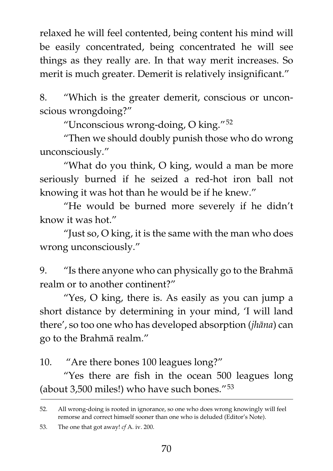relaxed he will feel contented, being content his mind will be easily concentrated, being concentrated he will see things as they really are. In that way merit increases. So merit is much greater. Demerit is relatively insignificant."

8. "Which is the greater demerit, conscious or unconscious wrongdoing?"

"Unconscious wrong-doing, O king."<sup>52</sup>

"Then we should doubly punish those who do wrong unconsciously."

"What do you think, O king, would a man be more seriously burned if he seized a red-hot iron ball not knowing it was hot than he would be if he knew."

"He would be burned more severely if he didn't know it was hot."

"Just so, O king, it is the same with the man who does wrong unconsciously."

9. "Is there anyone who can physically go to the Brahmà realm or to another continent?"

"Yes, O king, there is. As easily as you can jump a short distance by determining in your mind, 'I will land there', so too one who has developed absorption (*jhàna*) can go to the Brahmà realm."

10. "Are there bones 100 leagues long?"

"Yes there are fish in the ocean 500 leagues long (about 3,500 miles!) who have such bones."<sup>53</sup>

<sup>52.</sup> All wrong-doing is rooted in ignorance, so one who does wrong knowingly will feel remorse and correct himself sooner than one who is deluded (Editor's Note).

<sup>53.</sup> The one that got away! *cf* A. iv. 200.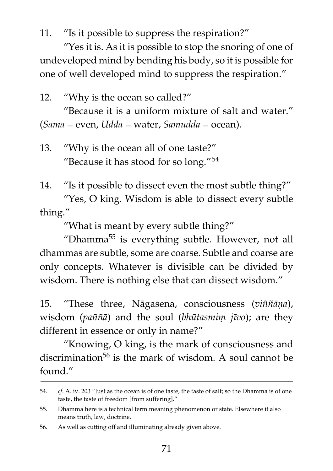11. "Is it possible to suppress the respiration?"

"Yes it is. As it is possible to stop the snoring of one of undeveloped mind by bending his body, so it is possible for one of well developed mind to suppress the respiration."

12. "Why is the ocean so called?"

"Because it is a uniform mixture of salt and water." (*Sama =* even, *Udda =* water, *Samudda =* ocean).

- 13. "Why is the ocean all of one taste?" "Because it has stood for so long." $54$
- 14. "Is it possible to dissect even the most subtle thing?"

"Yes, O king. Wisdom is able to dissect every subtle thing."

"What is meant by every subtle thing?"

"Dhamma<sup>55</sup> is everything subtle. However, not all dhammas are subtle, some are coarse. Subtle and coarse are only concepts. Whatever is divisible can be divided by wisdom. There is nothing else that can dissect wisdom."

15. "These three, Nàgasena, consciousness (*vi¤¤àõa*), wisdom (*paññā*) and the soul (*bhūtasmim jīvo*); are they different in essence or only in name?"

"Knowing, O king, is the mark of consciousness and discrimination<sup>56</sup> is the mark of wisdom. A soul cannot be found."

<sup>54.</sup> *cf*. A. iv. 203 "Just as the ocean is of one taste, the taste of salt; so the Dhamma is of one taste, the taste of freedom [from suffering]."

<sup>55.</sup> Dhamma here is a technical term meaning phenomenon or state. Elsewhere it also means truth, law, doctrine.

<sup>56.</sup> As well as cutting off and illuminating already given above.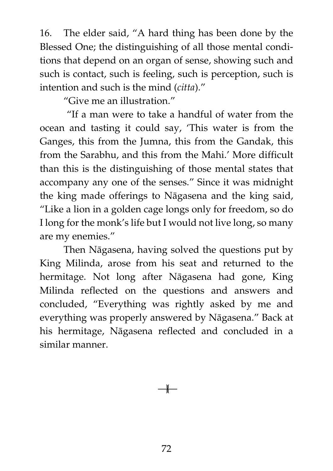16. The elder said, "A hard thing has been done by the Blessed One; the distinguishing of all those mental conditions that depend on an organ of sense, showing such and such is contact, such is feeling, such is perception, such is intention and such is the mind (*citta*)."

"Give me an illustration."

 "If a man were to take a handful of water from the ocean and tasting it could say, 'This water is from the Ganges, this from the Jumna, this from the Gandak, this from the Sarabhu, and this from the Mahi.' More difficult than this is the distinguishing of those mental states that accompany any one of the senses." Since it was midnight the king made offerings to Nàgasena and the king said, "Like a lion in a golden cage longs only for freedom, so do I long for the monk's life but I would not live long, so many are my enemies."

Then Nàgasena, having solved the questions put by King Milinda, arose from his seat and returned to the hermitage. Not long after Nàgasena had gone, King Milinda reflected on the questions and answers and concluded, "Everything was rightly asked by me and everything was properly answered by Nàgasena." Back at his hermitage, Nàgasena reflected and concluded in a similar manner.

 $\frac{1}{\sqrt{2}}$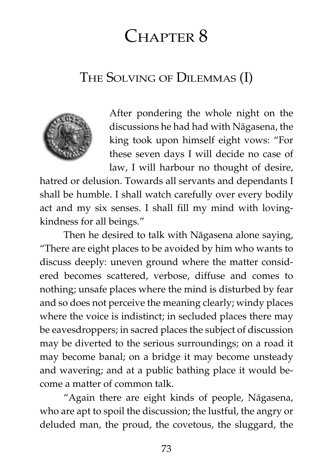# CHAPTER 8

## THE SOLVING OF DILEMMAS (I)



After pondering the whole night on the discussions he had had with Nàgasena, the king took upon himself eight vows: "For these seven days I will decide no case of law, I will harbour no thought of desire,

hatred or delusion. Towards all servants and dependants I shall be humble. I shall watch carefully over every bodily act and my six senses. I shall fill my mind with lovingkindness for all beings."

Then he desired to talk with Nàgasena alone saying, "There are eight places to be avoided by him who wants to discuss deeply: uneven ground where the matter considered becomes scattered, verbose, diffuse and comes to nothing; unsafe places where the mind is disturbed by fear and so does not perceive the meaning clearly; windy places where the voice is indistinct; in secluded places there may be eavesdroppers; in sacred places the subject of discussion may be diverted to the serious surroundings; on a road it may become banal; on a bridge it may become unsteady and wavering; and at a public bathing place it would become a matter of common talk.

"Again there are eight kinds of people, Nàgasena, who are apt to spoil the discussion; the lustful, the angry or deluded man, the proud, the covetous, the sluggard, the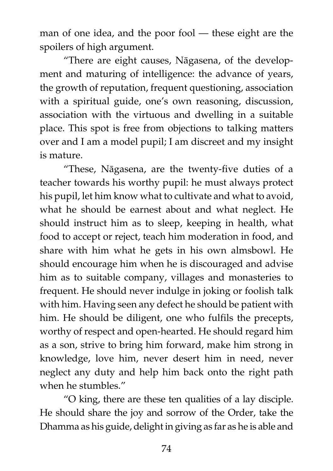man of one idea, and the poor fool — these eight are the spoilers of high argument.

"There are eight causes, Nàgasena, of the development and maturing of intelligence: the advance of years, the growth of reputation, frequent questioning, association with a spiritual guide, one's own reasoning, discussion, association with the virtuous and dwelling in a suitable place. This spot is free from objections to talking matters over and I am a model pupil; I am discreet and my insight is mature.

"These, Nàgasena, are the twenty-five duties of a teacher towards his worthy pupil: he must always protect his pupil, let him know what to cultivate and what to avoid, what he should be earnest about and what neglect. He should instruct him as to sleep, keeping in health, what food to accept or reject, teach him moderation in food, and share with him what he gets in his own almsbowl. He should encourage him when he is discouraged and advise him as to suitable company, villages and monasteries to frequent. He should never indulge in joking or foolish talk with him. Having seen any defect he should be patient with him. He should be diligent, one who fulfils the precepts, worthy of respect and open-hearted. He should regard him as a son, strive to bring him forward, make him strong in knowledge, love him, never desert him in need, never neglect any duty and help him back onto the right path when he stumbles."

"O king, there are these ten qualities of a lay disciple. He should share the joy and sorrow of the Order, take the Dhamma as his guide, delight in giving as far as he is able and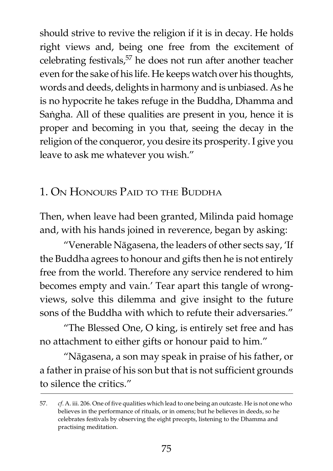should strive to revive the religion if it is in decay. He holds right views and, being one free from the excitement of celebrating festivals, $57$  he does not run after another teacher even for the sake of his life. He keeps watch over his thoughts, words and deeds, delights in harmony and is unbiased. As he is no hypocrite he takes refuge in the Buddha, Dhamma and Saṅgha. All of these qualities are present in you, hence it is proper and becoming in you that, seeing the decay in the religion of the conqueror, you desire its prosperity. I give you leave to ask me whatever you wish."

#### 1. On Honours Paid to the Buddha

Then, when leave had been granted, Milinda paid homage and, with his hands joined in reverence, began by asking:

"Venerable Nàgasena, the leaders of other sects say, 'If the Buddha agrees to honour and gifts then he is not entirely free from the world. Therefore any service rendered to him becomes empty and vain.' Tear apart this tangle of wrongviews, solve this dilemma and give insight to the future sons of the Buddha with which to refute their adversaries."

"The Blessed One, O king, is entirely set free and has no attachment to either gifts or honour paid to him."

"Nàgasena, a son may speak in praise of his father, or a father in praise of his son but that is not sufficient grounds to silence the critics."

<sup>57.</sup> *cf*. A. iii. 206. One of five qualities which lead to one being an outcaste. He is not one who believes in the performance of rituals, or in omens; but he believes in deeds, so he celebrates festivals by observing the eight precepts, listening to the Dhamma and practising meditation.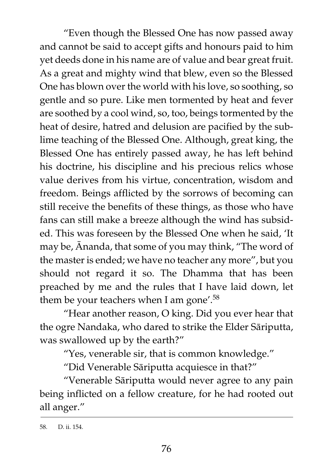"Even though the Blessed One has now passed away and cannot be said to accept gifts and honours paid to him yet deeds done in his name are of value and bear great fruit. As a great and mighty wind that blew, even so the Blessed One has blown over the world with his love, so soothing, so gentle and so pure. Like men tormented by heat and fever are soothed by a cool wind, so, too, beings tormented by the heat of desire, hatred and delusion are pacified by the sublime teaching of the Blessed One. Although, great king, the Blessed One has entirely passed away, he has left behind his doctrine, his discipline and his precious relics whose value derives from his virtue, concentration, wisdom and freedom. Beings afflicted by the sorrows of becoming can still receive the benefits of these things, as those who have fans can still make a breeze although the wind has subsided. This was foreseen by the Blessed One when he said, 'It may be, ânanda, that some of you may think, "The word of the master is ended; we have no teacher any more", but you should not regard it so. The Dhamma that has been preached by me and the rules that I have laid down, let them be your teachers when I am gone'. $58$ 

"Hear another reason, O king. Did you ever hear that the ogre Nandaka, who dared to strike the Elder Sàriputta, was swallowed up by the earth?"

"Yes, venerable sir, that is common knowledge."

"Did Venerable Sàriputta acquiesce in that?"

"Venerable Sàriputta would never agree to any pain being inflicted on a fellow creature, for he had rooted out all anger."

<sup>58.</sup> D. ii. 154.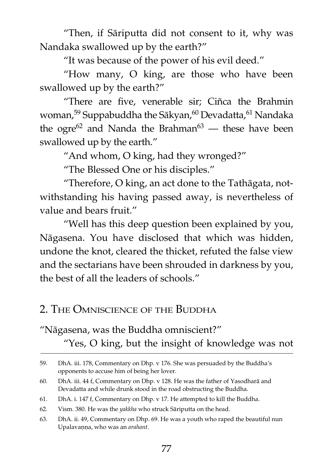"Then, if Sàriputta did not consent to it, why was Nandaka swallowed up by the earth?"

"It was because of the power of his evil deed."

"How many, O king, are those who have been swallowed up by the earth?"

"There are five, venerable sir; Ciñca the Brahmin woman,<sup>59</sup> Suppabuddha the Sākyan,<sup>60</sup> Devadatta,<sup>61</sup> Nandaka the ogre<sup>62</sup> and Nanda the Brahman<sup>63</sup> — these have been swallowed up by the earth."

"And whom, O king, had they wronged?"

"The Blessed One or his disciples."

"Therefore, O king, an act done to the Tathàgata, notwithstanding his having passed away, is nevertheless of value and bears fruit."

"Well has this deep question been explained by you, Nàgasena. You have disclosed that which was hidden, undone the knot, cleared the thicket, refuted the false view and the sectarians have been shrouded in darkness by you, the best of all the leaders of schools."

#### 2. The Omniscience of the Buddha

#### "Nàgasena, was the Buddha omniscient?" "Yes, O king, but the insight of knowledge was not

<sup>59.</sup> DhA. iii. 178, Commentary on Dhp. v 176. She was persuaded by the Buddha's opponents to accuse him of being her lover.

<sup>60.</sup> DhA. iii. 44 f, Commentary on Dhp. v 128. He was the father of Yasodharà and Devadatta and while drunk stood in the road obstructing the Buddha.

<sup>61.</sup> DhA. i. 147 f, Commentary on Dhp. v 17. He attempted to kill the Buddha.

<sup>62.</sup> Vism. 380. He was the *yakkha* who struck Sàriputta on the head.

<sup>63.</sup> DhA. ii. 49, Commentary on Dhp. 69. He was a youth who raped the beautiful nun Upalavanna, who was an *arahant*.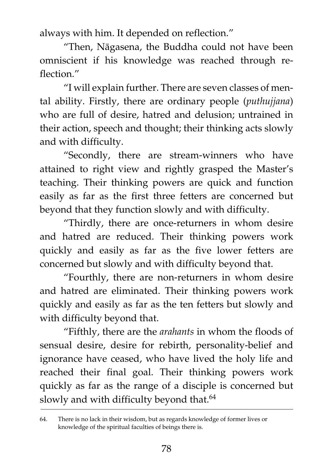always with him. It depended on reflection."

"Then, Nàgasena, the Buddha could not have been omniscient if his knowledge was reached through reflection."

"I will explain further. There are seven classes of mental ability. Firstly, there are ordinary people (*puthujjana*) who are full of desire, hatred and delusion; untrained in their action, speech and thought; their thinking acts slowly and with difficulty.

"Secondly, there are stream-winners who have attained to right view and rightly grasped the Master's teaching. Their thinking powers are quick and function easily as far as the first three fetters are concerned but beyond that they function slowly and with difficulty.

"Thirdly, there are once-returners in whom desire and hatred are reduced. Their thinking powers work quickly and easily as far as the five lower fetters are concerned but slowly and with difficulty beyond that.

"Fourthly, there are non-returners in whom desire and hatred are eliminated. Their thinking powers work quickly and easily as far as the ten fetters but slowly and with difficulty beyond that.

"Fifthly, there are the *arahants* in whom the floods of sensual desire, desire for rebirth, personality-belief and ignorance have ceased, who have lived the holy life and reached their final goal. Their thinking powers work quickly as far as the range of a disciple is concerned but slowly and with difficulty beyond that.<sup>64</sup>

<sup>64.</sup> There is no lack in their wisdom, but as regards knowledge of former lives or knowledge of the spiritual faculties of beings there is.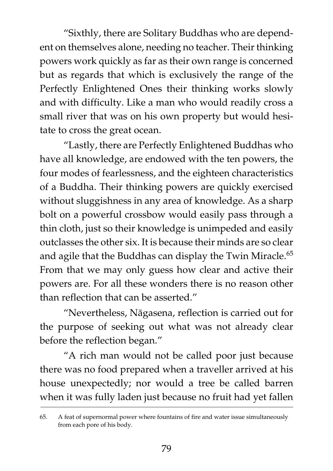"Sixthly, there are Solitary Buddhas who are dependent on themselves alone, needing no teacher. Their thinking powers work quickly as far as their own range is concerned but as regards that which is exclusively the range of the Perfectly Enlightened Ones their thinking works slowly and with difficulty. Like a man who would readily cross a small river that was on his own property but would hesitate to cross the great ocean.

"Lastly, there are Perfectly Enlightened Buddhas who have all knowledge, are endowed with the ten powers, the four modes of fearlessness, and the eighteen characteristics of a Buddha. Their thinking powers are quickly exercised without sluggishness in any area of knowledge. As a sharp bolt on a powerful crossbow would easily pass through a thin cloth, just so their knowledge is unimpeded and easily outclasses the other six. It is because their minds are so clear and agile that the Buddhas can display the Twin Miracle.<sup>65</sup> From that we may only guess how clear and active their powers are. For all these wonders there is no reason other than reflection that can be asserted."

"Nevertheless, Nàgasena, reflection is carried out for the purpose of seeking out what was not already clear before the reflection began."

"A rich man would not be called poor just because there was no food prepared when a traveller arrived at his house unexpectedly; nor would a tree be called barren when it was fully laden just because no fruit had yet fallen

<sup>65.</sup> A feat of supernormal power where fountains of fire and water issue simultaneously from each pore of his body.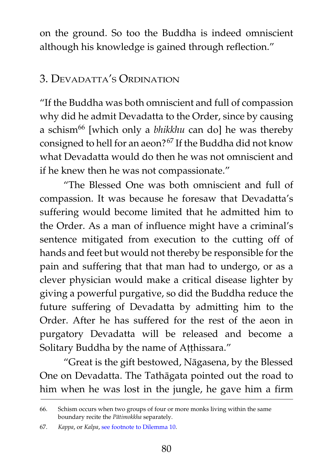on the ground. So too the Buddha is indeed omniscient although his knowledge is gained through reflection."

#### 3. Devadatta's Ordination

"If the Buddha was both omniscient and full of compassion why did he admit Devadatta to the Order, since by causing a schism66 [which only a *bhikkhu* can do] he was thereby consigned to hell for an aeon?<sup>67</sup> If the Buddha did not know what Devadatta would do then he was not omniscient and if he knew then he was not compassionate."

"The Blessed One was both omniscient and full of compassion. It was because he foresaw that Devadatta's suffering would become limited that he admitted him to the Order. As a man of influence might have a criminal's sentence mitigated from execution to the cutting off of hands and feet but would not thereby be responsible for the pain and suffering that that man had to undergo, or as a clever physician would make a critical disease lighter by giving a powerful purgative, so did the Buddha reduce the future suffering of Devadatta by admitting him to the Order. After he has suffered for the rest of the aeon in purgatory Devadatta will be released and become a Solitary Buddha by the name of Aṭṭhissara."

"Great is the gift bestowed, Nàgasena, by the Blessed One on Devadatta. The Tathàgata pointed out the road to him when he was lost in the jungle, he gave him a firm

<sup>66.</sup> Schism occurs when two groups of four or more monks living within the same boundary recite the *Pàtimokkha* separately.

<sup>67.</sup> *Kappa*, or *Kalpa*[, see footnote to Dilemma 10.](#page-87-0)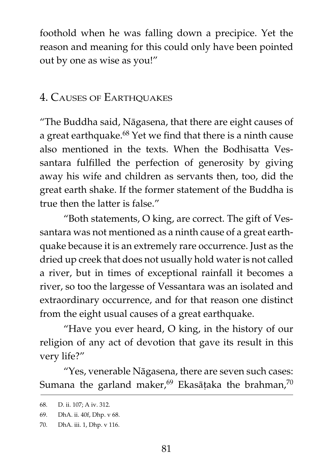foothold when he was falling down a precipice. Yet the reason and meaning for this could only have been pointed out by one as wise as you!"

## 4. Causes of Earthquakes

"The Buddha said, Nàgasena, that there are eight causes of a great earthquake.<sup>68</sup> Yet we find that there is a ninth cause also mentioned in the texts. When the Bodhisatta Vessantara fulfilled the perfection of generosity by giving away his wife and children as servants then, too, did the great earth shake. If the former statement of the Buddha is true then the latter is false."

"Both statements, O king, are correct. The gift of Vessantara was not mentioned as a ninth cause of a great earthquake because it is an extremely rare occurrence. Just as the dried up creek that does not usually hold water is not called a river, but in times of exceptional rainfall it becomes a river, so too the largesse of Vessantara was an isolated and extraordinary occurrence, and for that reason one distinct from the eight usual causes of a great earthquake.

"Have you ever heard, O king, in the history of our religion of any act of devotion that gave its result in this very life?"

"Yes, venerable Nàgasena, there are seven such cases: Sumana the garland maker, $69$  Ekasāṭaka the brahman, $70$ 

<sup>68.</sup> D. ii. 107; A iv. 312.

<sup>69.</sup> DhA. ii. 40f, Dhp. v 68.

<sup>70.</sup> DhA. iii. 1, Dhp. v 116.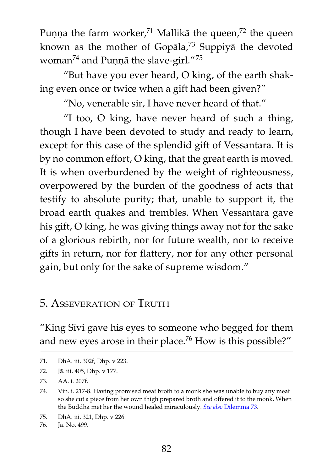Punna the farm worker,<sup>71</sup> Mallika the queen,<sup>72</sup> the queen known as the mother of Gopāla, $73$  Suppiyā the devoted woman $^{74}$  and Puṇṇā the slave-girl." $^{75}$ 

"But have you ever heard, O king, of the earth shaking even once or twice when a gift had been given?"

"No, venerable sir, I have never heard of that."

"I too, O king, have never heard of such a thing, though I have been devoted to study and ready to learn, except for this case of the splendid gift of Vessantara. It is by no common effort, O king, that the great earth is moved. It is when overburdened by the weight of righteousness, overpowered by the burden of the goodness of acts that testify to absolute purity; that, unable to support it, the broad earth quakes and trembles. When Vessantara gave his gift, O king, he was giving things away not for the sake of a glorious rebirth, nor for future wealth, nor to receive gifts in return, nor for flattery, nor for any other personal gain, but only for the sake of supreme wisdom."

## 5. Asseveration of Truth

"King Sãvi gave his eyes to someone who begged for them and new eyes arose in their place.<sup>76</sup> How is this possible?"

<sup>71.</sup> DhA. iii. 302f, Dhp. v 223.

<sup>72.</sup> Jà. iii. 405, Dhp. v 177.

<sup>73.</sup> AA. i. 207f.

<sup>74.</sup> Vin. i. 217-8. Having promised meat broth to a monk she was unable to buy any meat so she cut a piece from her own thigh prepared broth and offered it to the monk. When the Buddha met her the wound healed miraculously. *See also* [Dilemma 73.](#page-146-0)

<sup>75.</sup> DhA. iii. 321, Dhp. v 226.

<sup>76.</sup> Jà. No. 499.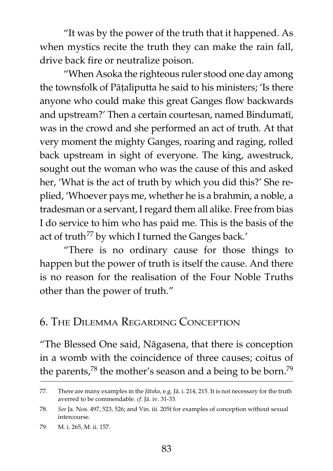"It was by the power of the truth that it happened. As when mystics recite the truth they can make the rain fall, drive back fire or neutralize poison.

"When Asoka the righteous ruler stood one day among the townsfolk of Pāṭaliputta he said to his ministers; 'Is there anyone who could make this great Ganges flow backwards and upstream?' Then a certain courtesan, named Bindumatã, was in the crowd and she performed an act of truth. At that very moment the mighty Ganges, roaring and raging, rolled back upstream in sight of everyone. The king, awestruck, sought out the woman who was the cause of this and asked her, 'What is the act of truth by which you did this?' She replied, 'Whoever pays me, whether he is a brahmin, a noble, a tradesman or a servant, I regard them all alike. Free from bias I do service to him who has paid me. This is the basis of the act of truth<sup>77</sup> by which I turned the Ganges back.'

"There is no ordinary cause for those things to happen but the power of truth is itself the cause. And there is no reason for the realisation of the Four Noble Truths other than the power of truth."

#### 6. The Dilemma Regarding Conception

"The Blessed One said, Nàgasena, that there is conception in a womb with the coincidence of three causes; coitus of the parents, $78$  the mother's season and a being to be born. $79$ 

<sup>77.</sup> There are many examples in the *Jàtaka*, e.g. Jà. i. 214, 215. It is not necessary for the truth averred to be commendable. *cf*. Jà. iv. 31-33.

<sup>78.</sup> *See* Ja. Nos. 497, 523, 526; and Vin. iii. 205f for examples of conception without sexual intercourse.

<sup>79.</sup> M. i. 265, M. ii. 157.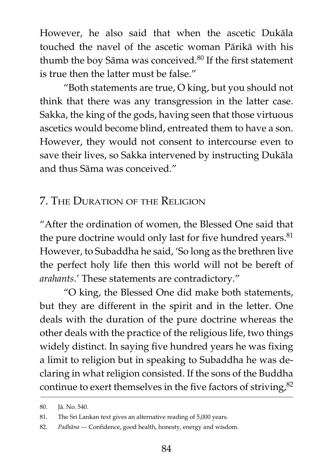However, he also said that when the ascetic Dukàla touched the navel of the ascetic woman Pàrikà with his thumb the boy Sāma was conceived. $80$  If the first statement is true then the latter must be false."

"Both statements are true, O king, but you should not think that there was any transgression in the latter case. Sakka, the king of the gods, having seen that those virtuous ascetics would become blind, entreated them to have a son. However, they would not consent to intercourse even to save their lives, so Sakka intervened by instructing Dukàla and thus Sàma was conceived."

## 7. The Duration of the Religion

"After the ordination of women, the Blessed One said that the pure doctrine would only last for five hundred years.<sup>81</sup> However, to Subaddha he said, 'So long as the brethren live the perfect holy life then this world will not be bereft of *arahants*.' These statements are contradictory."

"O king, the Blessed One did make both statements, but they are different in the spirit and in the letter. One deals with the duration of the pure doctrine whereas the other deals with the practice of the religious life, two things widely distinct. In saying five hundred years he was fixing a limit to religion but in speaking to Subaddha he was declaring in what religion consisted. If the sons of the Buddha continue to exert themselves in the five factors of striving, $82$ 

<sup>80.</sup> Jà. No. 540.

<sup>81.</sup> The Sri Lankan text gives an alternative reading of 5,000 years.

<sup>82.</sup> *Padhàna —* Confidence, good health, honesty, energy and wisdom.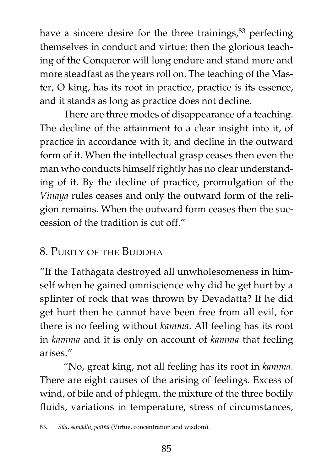<span id="page-84-0"></span>have a sincere desire for the three trainings,  $83$  perfecting themselves in conduct and virtue; then the glorious teaching of the Conqueror will long endure and stand more and more steadfast as the years roll on. The teaching of the Master, O king, has its root in practice, practice is its essence, and it stands as long as practice does not decline.

There are three modes of disappearance of a teaching. The decline of the attainment to a clear insight into it, of practice in accordance with it, and decline in the outward form of it. When the intellectual grasp ceases then even the man who conducts himself rightly has no clear understanding of it. By the decline of practice, promulgation of the *Vinaya* rules ceases and only the outward form of the religion remains. When the outward form ceases then the succession of the tradition is cut off."

#### 8. Purity of the Buddha

"If the Tathàgata destroyed all unwholesomeness in himself when he gained omniscience why did he get hurt by a splinter of rock that was thrown by Devadatta? If he did get hurt then he cannot have been free from all evil, for there is no feeling without *kamma*. All feeling has its root in *kamma* and it is only on account of *kamma* that feeling arises."

"No, great king, not all feeling has its root in *kamma*. There are eight causes of the arising of feelings. Excess of wind, of bile and of phlegm, the mixture of the three bodily fluids, variations in temperature, stress of circumstances,

<sup>83.</sup> *Sīla, samādhi, paññā* (Virtue, concentration and wisdom).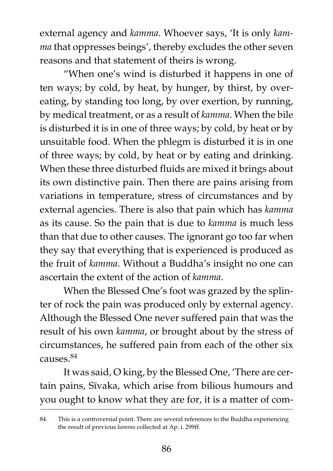external agency and *kamma*. Whoever says, 'It is only *kamma* that oppresses beings', thereby excludes the other seven reasons and that statement of theirs is wrong.

"When one's wind is disturbed it happens in one of ten ways; by cold, by heat, by hunger, by thirst, by overeating, by standing too long, by over exertion, by running, by medical treatment, or as a result of *kamma*. When the bile is disturbed it is in one of three ways; by cold, by heat or by unsuitable food. When the phlegm is disturbed it is in one of three ways; by cold, by heat or by eating and drinking. When these three disturbed fluids are mixed it brings about its own distinctive pain. Then there are pains arising from variations in temperature, stress of circumstances and by external agencies. There is also that pain which has *kamma* as its cause. So the pain that is due to *kamma* is much less than that due to other causes. The ignorant go too far when they say that everything that is experienced is produced as the fruit of *kamma*. Without a Buddha's insight no one can ascertain the extent of the action of *kamma*.

When the Blessed One's foot was grazed by the splinter of rock the pain was produced only by external agency. Although the Blessed One never suffered pain that was the result of his own *kamma*, or brought about by the stress of circumstances, he suffered pain from each of the other six  $causes<sup>84</sup>$ 

It was said, O king, by the Blessed One, 'There are certain pains, Sīvaka, which arise from bilious humours and you ought to know what they are for, it is a matter of com-

<sup>84.</sup> This is a controversial point. There are several references to the Buddha experiencing the result of previous *kamma* collected at Ap. i. 299ff.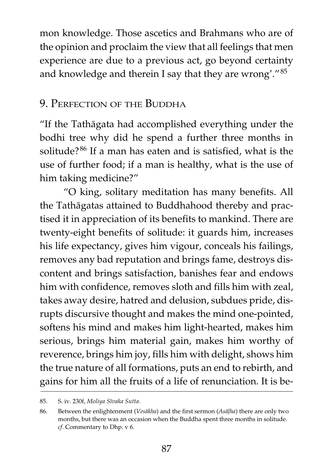mon knowledge. Those ascetics and Brahmans who are of the opinion and proclaim the view that all feelings that men experience are due to a previous act, go beyond certainty and knowledge and therein I say that they are wrong'."<sup>85</sup>

#### 9. PERFECTION OF THE BUDDHA

"If the Tathàgata had accomplished everything under the bodhi tree why did he spend a further three months in solitude? $86$  If a man has eaten and is satisfied, what is the use of further food; if a man is healthy, what is the use of him taking medicine?"

"O king, solitary meditation has many benefits. All the Tathàgatas attained to Buddhahood thereby and practised it in appreciation of its benefits to mankind. There are twenty-eight benefits of solitude: it guards him, increases his life expectancy, gives him vigour, conceals his failings, removes any bad reputation and brings fame, destroys discontent and brings satisfaction, banishes fear and endows him with confidence, removes sloth and fills him with zeal, takes away desire, hatred and delusion, subdues pride, disrupts discursive thought and makes the mind one-pointed, softens his mind and makes him light-hearted, makes him serious, brings him material gain, makes him worthy of reverence, brings him joy, fills him with delight, shows him the true nature of all formations, puts an end to rebirth, and gains for him all the fruits of a life of renunciation. It is be-

<sup>85.</sup> S. iv. 230f, *Moliya Sãvaka Sutta*.

<sup>86.</sup> Between the enlightenment (*Vesàkha*) and the first sermon (*Asàëha*) there are only two months, but there was an occasion when the Buddha spent three months in solitude. *cf*. Commentary to Dhp. v 6.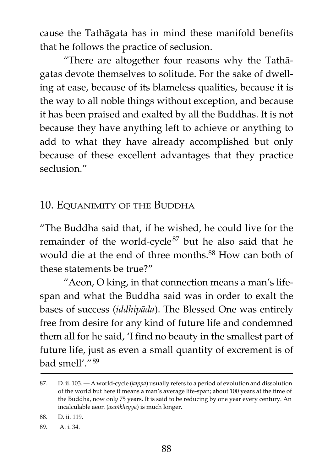<span id="page-87-0"></span>cause the Tathàgata has in mind these manifold benefits that he follows the practice of seclusion.

"There are altogether four reasons why the Tathàgatas devote themselves to solitude. For the sake of dwelling at ease, because of its blameless qualities, because it is the way to all noble things without exception, and because it has been praised and exalted by all the Buddhas. It is not because they have anything left to achieve or anything to add to what they have already accomplished but only because of these excellent advantages that they practice seclusion."

#### 10. EQUANIMITY OF THE BUDDHA

"The Buddha said that, if he wished, he could live for the remainder of the world-cycle<sup>87</sup> but he also said that he would die at the end of three months.<sup>88</sup> How can both of these statements be true?"

"Aeon, O king, in that connection means a man's lifespan and what the Buddha said was in order to exalt the bases of success (*iddhipàda*). The Blessed One was entirely free from desire for any kind of future life and condemned them all for he said, 'I find no beauty in the smallest part of future life, just as even a small quantity of excrement is of bad smell'."<sup>89</sup>

<sup>87.</sup> D. ii. 103. — A world-cycle (*kappa*) usually refers to a period of evolution and dissolution of the world but here it means a man's average life-span; about 100 years at the time of the Buddha, now onl*y* 75 years. It is said to be reducing by one year every century. An incalculable aeon (*asaïkheyya*) is much longer.

<sup>88.</sup> D. ii. 119.

<sup>89.</sup> A. i. 34.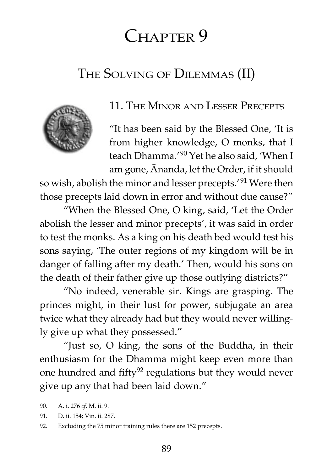# CHAPTER 9

## The Solving of Dilemmas (II)



11. The Minor and Lesser Precepts

"It has been said by the Blessed One, 'It is from higher knowledge, O monks, that I teach Dhamma.'90 Yet he also said, 'When I am gone, Ananda, let the Order, if it should

so wish, abolish the minor and lesser precepts.'91 Were then those precepts laid down in error and without due cause?"

"When the Blessed One, O king, said, 'Let the Order abolish the lesser and minor precepts', it was said in order to test the monks. As a king on his death bed would test his sons saying, 'The outer regions of my kingdom will be in danger of falling after my death.' Then, would his sons on the death of their father give up those outlying districts?"

"No indeed, venerable sir. Kings are grasping. The princes might, in their lust for power, subjugate an area twice what they already had but they would never willingly give up what they possessed."

"Just so, O king, the sons of the Buddha, in their enthusiasm for the Dhamma might keep even more than one hundred and fifty $92$  regulations but they would never give up any that had been laid down."

<sup>90.</sup> A. i. 276 *cf*. M. ii. 9.

<sup>91.</sup> D. ii. 154; Vin. ii. 287.

<sup>92.</sup> Excluding the 75 minor training rules there are 152 precepts.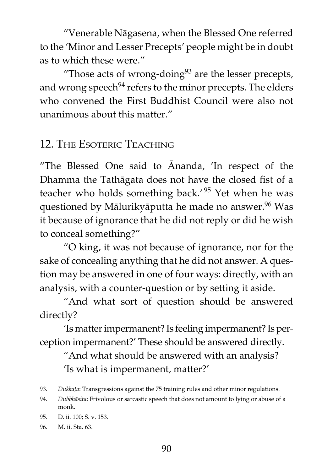"Venerable Nàgasena, when the Blessed One referred to the 'Minor and Lesser Precepts' people might be in doubt as to which these were."

"Those acts of wrong-doing $93$  are the lesser precepts, and wrong speech $94$  refers to the minor precepts. The elders who convened the First Buddhist Council were also not unanimous about this matter."

## 12. The Esoteric Teaching

"The Blessed One said to ânanda, 'In respect of the Dhamma the Tathàgata does not have the closed fist of a teacher who holds something back.'<sup>95</sup> Yet when he was questioned by Mālurikyāputta he made no answer.<sup>96</sup> Was it because of ignorance that he did not reply or did he wish to conceal something?"

"O king, it was not because of ignorance, nor for the sake of concealing anything that he did not answer. A question may be answered in one of four ways: directly, with an analysis, with a counter-question or by setting it aside.

"And what sort of question should be answered directly?

'Is matter impermanent? Is feeling impermanent? Is perception impermanent?' These should be answered directly.

"And what should be answered with an analysis? 'Is what is impermanent, matter?'

<sup>93.</sup> *Dukkaṭa*: Transgressions against the 75 training rules and other minor regulations.

<sup>94.</sup> *Dubbhàsita*: Frivolous or sarcastic speech that does not amount to lying or abuse of a monk.

<sup>95.</sup> D. ii. 100; S. v. 153.

<sup>96.</sup> M. ii. Sta. 63.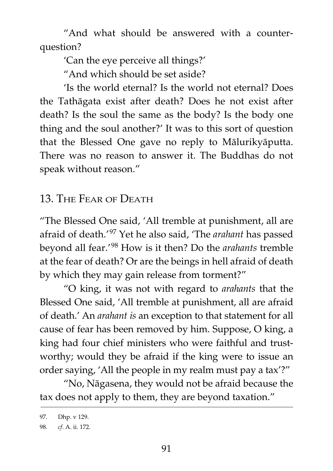"And what should be answered with a counterquestion?

'Can the eye perceive all things?'

"And which should be set aside?

'Is the world eternal? Is the world not eternal? Does the Tathàgata exist after death? Does he not exist after death? Is the soul the same as the body? Is the body one thing and the soul another?' It was to this sort of question that the Blessed One gave no reply to Màlurikyàputta. There was no reason to answer it. The Buddhas do not speak without reason."

#### 13. The Fear of Death

"The Blessed One said, 'All tremble at punishment, all are afraid of death.'97 Yet he also said, 'The *arahant* has passed beyond all fear.'98 How is it then? Do the *arahants* tremble at the fear of death? Or are the beings in hell afraid of death by which they may gain release from torment?"

"O king, it was not with regard to *arahants* that the Blessed One said, 'All tremble at punishment, all are afraid of death.' An *arahant is* an exception to that statement for all cause of fear has been removed by him. Suppose, O king, a king had four chief ministers who were faithful and trustworthy; would they be afraid if the king were to issue an order saying, 'All the people in my realm must pay a tax'?"

"No, Nàgasena, they would not be afraid because the tax does not apply to them, they are beyond taxation."

<sup>97.</sup> Dhp. v 129.

<sup>98.</sup> *cf*. A. ii. 172.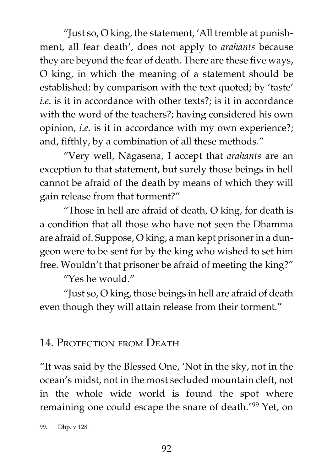"Just so, O king, the statement, 'All tremble at punishment, all fear death', does not apply to *arahants* because they are beyond the fear of death. There are these five ways, O king, in which the meaning of a statement should be established: by comparison with the text quoted; by 'taste' *i.e.* is it in accordance with other texts?; is it in accordance with the word of the teachers?; having considered his own opinion, *i*.*e*. is it in accordance with my own experience?; and, fifthly, by a combination of all these methods."

"Very well, Nàgasena, I accept that *arahants* are an exception to that statement, but surely those beings in hell cannot be afraid of the death by means of which they will gain release from that torment?"

"Those in hell are afraid of death, O king, for death is a condition that all those who have not seen the Dhamma are afraid of. Suppose, O king, a man kept prisoner in a dungeon were to be sent for by the king who wished to set him free. Wouldn't that prisoner be afraid of meeting the king?"

"Yes he would."

"Just so, O king, those beings in hell are afraid of death even though they will attain release from their torment."

## 14. PROTECTION FROM DEATH

"It was said by the Blessed One, 'Not in the sky, not in the ocean's midst, not in the most secluded mountain cleft, not in the whole wide world is found the spot where remaining one could escape the snare of death.'<sup>99</sup> Yet, on

<sup>99.</sup> Dhp. v 128.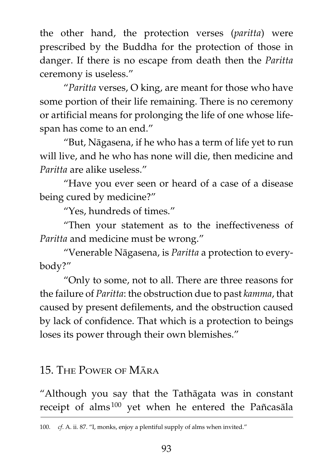the other hand, the protection verses (*paritta*) were prescribed by the Buddha for the protection of those in danger. If there is no escape from death then the *Paritta* ceremony is useless."

"*Paritta* verses, O king, are meant for those who have some portion of their life remaining. There is no ceremony or artificial means for prolonging the life of one whose lifespan has come to an end."

"But, Nàgasena, if he who has a term of life yet to run will live, and he who has none will die, then medicine and *Paritta* are alike useless."

"Have you ever seen or heard of a case of a disease being cured by medicine?"

"Yes, hundreds of times."

"Then your statement as to the ineffectiveness of *Paritta* and medicine must be wrong."

"Venerable Nàgasena, is *Paritta* a protection to everybody?"

"Only to some, not to all. There are three reasons for the failure of *Paritta*: the obstruction due to past *kamma*, that caused by present defilements, and the obstruction caused by lack of confidence. That which is a protection to beings loses its power through their own blemishes."

## 15. The Power of Màra

"Although you say that the Tathàgata was in constant receipt of alms<sup>100</sup> yet when he entered the Pañcasala

<sup>100.</sup> *cf*. A. ii. 87. "I, monks, enjoy a plentiful supply of alms when invited."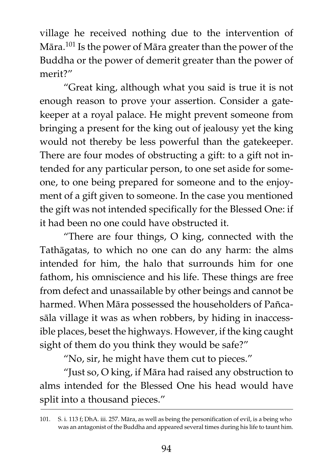village he received nothing due to the intervention of Màra.101 Is the power of Màra greater than the power of the Buddha or the power of demerit greater than the power of merit?"

"Great king, although what you said is true it is not enough reason to prove your assertion. Consider a gatekeeper at a royal palace. He might prevent someone from bringing a present for the king out of jealousy yet the king would not thereby be less powerful than the gatekeeper. There are four modes of obstructing a gift: to a gift not intended for any particular person, to one set aside for someone, to one being prepared for someone and to the enjoyment of a gift given to someone. In the case you mentioned the gift was not intended specifically for the Blessed One: if it had been no one could have obstructed it.

"There are four things, O king, connected with the Tathàgatas, to which no one can do any harm: the alms intended for him, the halo that surrounds him for one fathom, his omniscience and his life. These things are free from defect and unassailable by other beings and cannot be harmed. When Māra possessed the householders of Pañcasàla village it was as when robbers, by hiding in inaccessible places, beset the highways. However, if the king caught sight of them do you think they would be safe?"

"No, sir, he might have them cut to pieces."

"Just so, O king, if Màra had raised any obstruction to alms intended for the Blessed One his head would have split into a thousand pieces."

<sup>101.</sup> S. i. 113 f; DhA. iii. 257. Màra, as well as being the personification of evil, is a being who was an antagonist of the Buddha and appeared several times during his life to taunt him.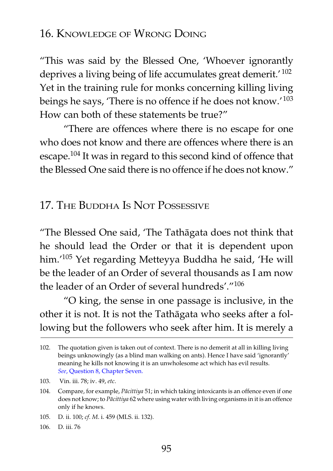#### 16. Knowledge of Wrong Doing

"This was said by the Blessed One, 'Whoever ignorantly deprives a living being of life accumulates great demerit.<sup>'102</sup> Yet in the training rule for monks concerning killing living beings he says, 'There is no offence if he does not know.'<sup>103</sup> How can both of these statements be true?"

"There are offences where there is no escape for one who does not know and there are offences where there is an escape.104 It was in regard to this second kind of offence that the Blessed One said there is no offence if he does not know."

## 17. The Buddha Is Not Possessive

"The Blessed One said, 'The Tathàgata does not think that he should lead the Order or that it is dependent upon him.'105 Yet regarding Metteyya Buddha he said, 'He will be the leader of an Order of several thousands as I am now the leader of an Order of several hundreds'."<sup>106</sup>

"O king, the sense in one passage is inclusive, in the other it is not. It is not the Tathàgata who seeks after a following but the followers who seek after him. It is merely a

- 105. D. ii. 100; *cf*. *M*. i. 459 (MLS. ii. 132).
- 106. D. iii. 76

<sup>102.</sup> The quotation given is taken out of context. There is no demerit at all in killing living beings unknowingly (as a blind man walking on ants). Hence I have said 'ignorantly' meaning he kills not knowing it is an unwholesome act which has evil results. *See*[, Question 8, Chapter Seven.](#page-84-0)

<sup>103.</sup> Vin. iii. 78; iv. 49, *etc*.

<sup>104.</sup> Compare, for example, *Pàcittiya* 51; in which taking intoxicants is an offence even if one does not know; to *Pàcittiya* 62 where using water with living organisms in it is an offence only if he knows.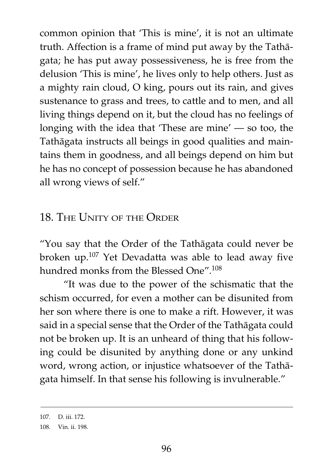common opinion that 'This is mine', it is not an ultimate truth. Affection is a frame of mind put away by the Tathàgata; he has put away possessiveness, he is free from the delusion 'This is mine', he lives only to help others. Just as a mighty rain cloud, O king, pours out its rain, and gives sustenance to grass and trees, to cattle and to men, and all living things depend on it, but the cloud has no feelings of longing with the idea that 'These are mine' — so too, the Tathàgata instructs all beings in good qualities and maintains them in goodness, and all beings depend on him but he has no concept of possession because he has abandoned all wrong views of self."

#### 18. The Unity of the Order

"You say that the Order of the Tathàgata could never be broken up.107 Yet Devadatta was able to lead away five hundred monks from the Blessed One".<sup>108</sup>

"It was due to the power of the schismatic that the schism occurred, for even a mother can be disunited from her son where there is one to make a rift. However, it was said in a special sense that the Order of the Tathàgata could not be broken up. It is an unheard of thing that his following could be disunited by anything done or any unkind word, wrong action, or injustice whatsoever of the Tathàgata himself. In that sense his following is invulnerable."

<sup>107.</sup> D. iii. 172.

<sup>108.</sup> Vin. ii. 198.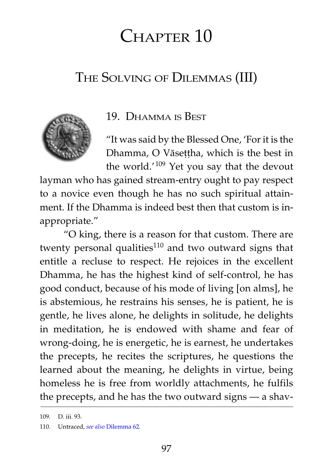# CHAPTER 10

## The Solving of Dilemmas (III)



#### 19. Dhamma is Best

"It was said by the Blessed One, 'For it is the Dhamma, O Vāsețțha, which is the best in the world.'109 Yet you say that the devout

layman who has gained stream-entry ought to pay respect to a novice even though he has no such spiritual attainment. If the Dhamma is indeed best then that custom is inappropriate."

"O king, there is a reason for that custom. There are twenty personal qualities $110$  and two outward signs that entitle a recluse to respect. He rejoices in the excellent Dhamma, he has the highest kind of self-control, he has good conduct, because of his mode of living [on alms], he is abstemious, he restrains his senses, he is patient, he is gentle, he lives alone, he delights in solitude, he delights in meditation, he is endowed with shame and fear of wrong-doing, he is energetic, he is earnest, he undertakes the precepts, he recites the scriptures, he questions the learned about the meaning, he delights in virtue, being homeless he is free from worldly attachments, he fulfils the precepts, and he has the two outward signs — a shav-

<sup>109.</sup> D. iii. 93.

<sup>110.</sup> Untraced, *see also* [Dilemma 62.](#page-137-0)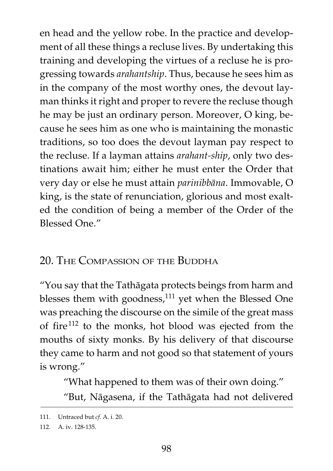en head and the yellow robe. In the practice and development of all these things a recluse lives. By undertaking this training and developing the virtues of a recluse he is progressing towards *arahantship*. Thus, because he sees him as in the company of the most worthy ones, the devout layman thinks it right and proper to revere the recluse though he may be just an ordinary person. Moreover, O king, because he sees him as one who is maintaining the monastic traditions, so too does the devout layman pay respect to the recluse. If a layman attains *arahant-ship*, only two destinations await him; either he must enter the Order that very day or else he must attain *parinibbàna*. Immovable, O king, is the state of renunciation, glorious and most exalted the condition of being a member of the Order of the Blessed One."

#### 20. The COMPASSION OF THE BUDDHA

"You say that the Tathàgata protects beings from harm and blesses them with goodness, $111$  yet when the Blessed One was preaching the discourse on the simile of the great mass of fire<sup>112</sup> to the monks, hot blood was ejected from the mouths of sixty monks. By his delivery of that discourse they came to harm and not good so that statement of yours is wrong."

"What happened to them was of their own doing." "But, Nàgasena, if the Tathàgata had not delivered

<sup>111.</sup> Untraced but *cf*. A. i. 20.

<sup>112.</sup> A. iv. 128-135.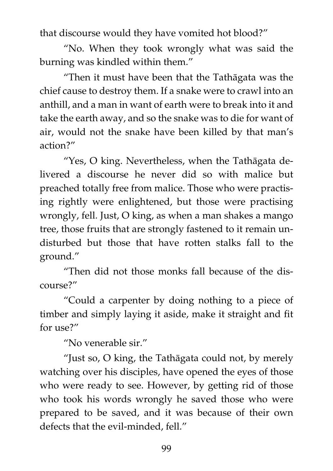that discourse would they have vomited hot blood?"

"No. When they took wrongly what was said the burning was kindled within them."

"Then it must have been that the Tathàgata was the chief cause to destroy them. If a snake were to crawl into an anthill, and a man in want of earth were to break into it and take the earth away, and so the snake was to die for want of air, would not the snake have been killed by that man's action?"

"Yes, O king. Nevertheless, when the Tathàgata delivered a discourse he never did so with malice but preached totally free from malice. Those who were practising rightly were enlightened, but those were practising wrongly, fell. Just, O king, as when a man shakes a mango tree, those fruits that are strongly fastened to it remain undisturbed but those that have rotten stalks fall to the ground."

"Then did not those monks fall because of the discourse?"

"Could a carpenter by doing nothing to a piece of timber and simply laying it aside, make it straight and fit  $for use?''$ 

"No venerable sir."

"Just so, O king, the Tathàgata could not, by merely watching over his disciples, have opened the eyes of those who were ready to see. However, by getting rid of those who took his words wrongly he saved those who were prepared to be saved, and it was because of their own defects that the evil-minded, fell."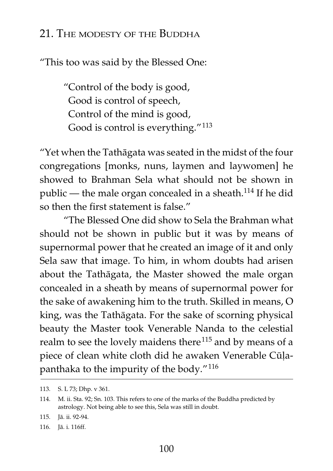#### 21. The modesty of the Buddha

"This too was said by the Blessed One:

"Control of the body is good, Good is control of speech, Control of the mind is good, Good is control is everything."<sup>113</sup>

"Yet when the Tathàgata was seated in the midst of the four congregations [monks, nuns, laymen and laywomen] he showed to Brahman Sela what should not be shown in public — the male organ concealed in a sheath.<sup>114</sup> If he did so then the first statement is false."

"The Blessed One did show to Sela the Brahman what should not be shown in public but it was by means of supernormal power that he created an image of it and only Sela saw that image. To him, in whom doubts had arisen about the Tathàgata, the Master showed the male organ concealed in a sheath by means of supernormal power for the sake of awakening him to the truth. Skilled in means, O king, was the Tathàgata. For the sake of scorning physical beauty the Master took Venerable Nanda to the celestial realm to see the lovely maidens there<sup>115</sup> and by means of a piece of clean white cloth did he awaken Venerable Cūļapanthaka to the impurity of the body."<sup>116</sup>

<sup>113.</sup> S. L 73; Dhp. v 361.

<sup>114.</sup> M. ii. Sta. 92; Sn. 103. This refers to one of the marks of the Buddha predicted by astrology. Not being able to see this, Sela was still in doubt.

<sup>115.</sup> Jà. ii. 92-94.

<sup>116.</sup> Jà. i. 116ff.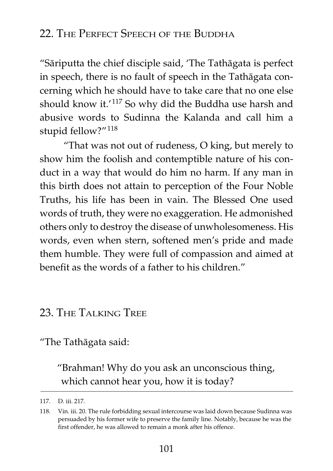## 22. THE PERFECT SPEECH OF THE BUDDHA

"Sàriputta the chief disciple said, 'The Tathàgata is perfect in speech, there is no fault of speech in the Tathàgata concerning which he should have to take care that no one else should know it.'<sup>117</sup> So why did the Buddha use harsh and abusive words to Sudinna the Kalanda and call him a stupid fellow?"<sup>118</sup>

"That was not out of rudeness, O king, but merely to show him the foolish and contemptible nature of his conduct in a way that would do him no harm. If any man in this birth does not attain to perception of the Four Noble Truths, his life has been in vain. The Blessed One used words of truth, they were no exaggeration. He admonished others only to destroy the disease of unwholesomeness. His words, even when stern, softened men's pride and made them humble. They were full of compassion and aimed at benefit as the words of a father to his children."

#### 23. The Talking Tree

"The Tathàgata said:

"Brahman! Why do you ask an unconscious thing, which cannot hear you, how it is today?

<sup>117.</sup> D. iii. 217.

<sup>118.</sup> Vin. iii. 20. The rule forbidding sexual intercourse was laid down because Sudinna was persuaded by his former wife to preserve the family line. Notably, because he was the first offender, he was allowed to remain a monk after his offence.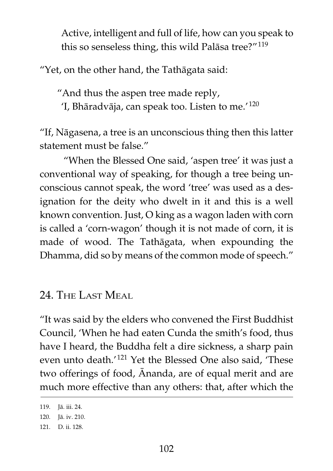Active, intelligent and full of life, how can you speak to this so senseless thing, this wild Palāsa tree?"<sup>119</sup>

"Yet, on the other hand, the Tathàgata said:

"And thus the aspen tree made reply, 'I, Bhàradvàja, can speak too. Listen to me.'<sup>120</sup>

"If, Nàgasena, a tree is an unconscious thing then this latter statement must be false."

"When the Blessed One said, 'aspen tree' it was just a conventional way of speaking, for though a tree being unconscious cannot speak, the word 'tree' was used as a designation for the deity who dwelt in it and this is a well known convention. Just, O king as a wagon laden with corn is called a 'corn-wagon' though it is not made of corn, it is made of wood. The Tathàgata, when expounding the Dhamma, did so by means of the common mode of speech."

#### 24. THE LAST MEAL

"It was said by the elders who convened the First Buddhist Council, 'When he had eaten Cunda the smith's food, thus have I heard, the Buddha felt a dire sickness, a sharp pain even unto death.'<sup>121</sup> Yet the Blessed One also said, 'These two offerings of food, ânanda, are of equal merit and are much more effective than any others: that, after which the

<sup>119.</sup> Jà. iii. 24.

<sup>120.</sup> Jà. iv. 210.

<sup>121.</sup> D. ii. 128.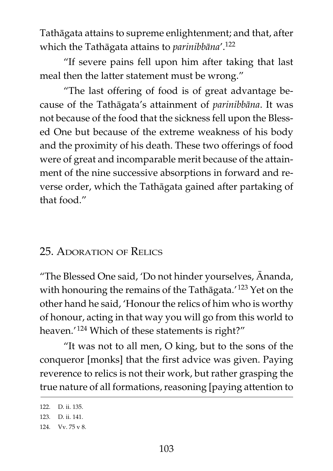Tathàgata attains to supreme enlightenment; and that, after which the Tathàgata attains to *parinibbàna*'.122

"If severe pains fell upon him after taking that last meal then the latter statement must be wrong."

"The last offering of food is of great advantage because of the Tathàgata's attainment of *parinibbàna*. It was not because of the food that the sickness fell upon the Blessed One but because of the extreme weakness of his body and the proximity of his death. These two offerings of food were of great and incomparable merit because of the attainment of the nine successive absorptions in forward and reverse order, which the Tathàgata gained after partaking of that food."

## 25. Adoration of Relics

"The Blessed One said, 'Do not hinder yourselves, ânanda, with honouring the remains of the Tathāgata.'<sup>123</sup> Yet on the other hand he said, 'Honour the relics of him who is worthy of honour, acting in that way you will go from this world to heaven.'<sup>124</sup> Which of these statements is right?"

"It was not to all men, O king, but to the sons of the conqueror [monks] that the first advice was given. Paying reverence to relics is not their work, but rather grasping the true nature of all formations, reasoning [paying attention to

<sup>122.</sup> D. ii. 135.

<sup>123.</sup> D. ii. 141.

<sup>124.</sup> Vv. 75 v 8.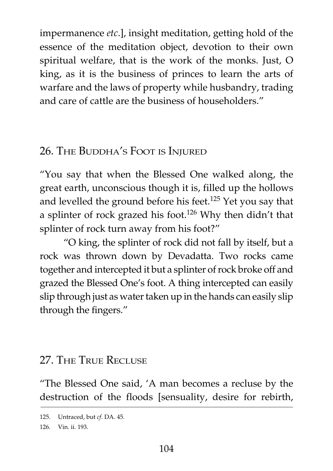impermanence *etc*.], insight meditation, getting hold of the essence of the meditation object, devotion to their own spiritual welfare, that is the work of the monks. Just, O king, as it is the business of princes to learn the arts of warfare and the laws of property while husbandry, trading and care of cattle are the business of householders."

#### 26. The Buddha's Foot is Injured

"You say that when the Blessed One walked along, the great earth, unconscious though it is, filled up the hollows and levelled the ground before his feet.<sup>125</sup> Yet you say that a splinter of rock grazed his foot.<sup>126</sup> Why then didn't that splinter of rock turn away from his foot?"

"O king, the splinter of rock did not fall by itself, but a rock was thrown down by Devadatta. Two rocks came together and intercepted it but a splinter of rock broke off and grazed the Blessed One's foot. A thing intercepted can easily slip through just as water taken up in the hands can easily slip through the fingers."

## 27. The True Recluse

"The Blessed One said, 'A man becomes a recluse by the destruction of the floods [sensuality, desire for rebirth,

<sup>125.</sup> Untraced, but *cf*. DA. 45.

<sup>126.</sup> Vin. ii. 193.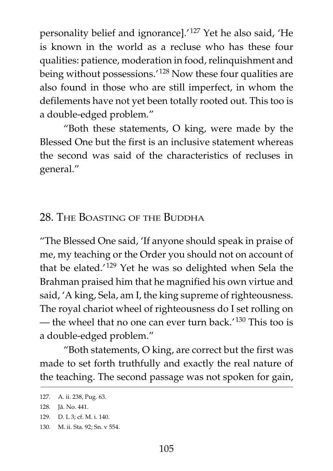personality belief and ignorance].'<sup>127</sup> Yet he also said, 'He is known in the world as a recluse who has these four qualities: patience, moderation in food, relinquishment and being without possessions.'<sup>128</sup> Now these four qualities are also found in those who are still imperfect, in whom the defilements have not yet been totally rooted out. This too is a double-edged problem."

"Both these statements, O king, were made by the Blessed One but the first is an inclusive statement whereas the second was said of the characteristics of recluses in general."

### 28. The Boasting of the Buddha

"The Blessed One said, 'If anyone should speak in praise of me, my teaching or the Order you should not on account of that be elated.<sup>'129</sup> Yet he was so delighted when Sela the Brahman praised him that he magnified his own virtue and said, 'A king, Sela, am I, the king supreme of righteousness. The royal chariot wheel of righteousness do I set rolling on — the wheel that no one can ever turn back.<sup>'130</sup> This too is a double-edged problem."

"Both statements, O king, are correct but the first was made to set forth truthfully and exactly the real nature of the teaching. The second passage was not spoken for gain,

130. M. ii. Sta. 92; Sn. v 554.

<sup>127.</sup> A. ii. 238, Pug. 63.

<sup>128.</sup> Jà. No. 441.

<sup>129.</sup> D. L 3; cf. M. i. 140.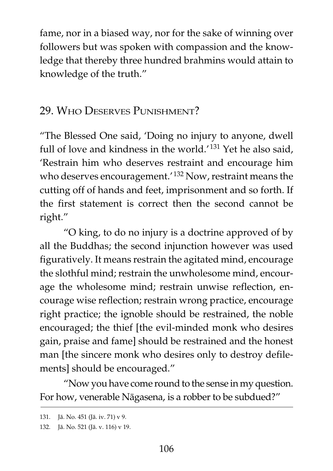fame, nor in a biased way, nor for the sake of winning over followers but was spoken with compassion and the knowledge that thereby three hundred brahmins would attain to knowledge of the truth."

### 29. Who Deserves Punishment?

"The Blessed One said, 'Doing no injury to anyone, dwell full of love and kindness in the world.<sup>'131</sup> Yet he also said, 'Restrain him who deserves restraint and encourage him who deserves encouragement.<sup>'132</sup> Now, restraint means the cutting off of hands and feet, imprisonment and so forth. If the first statement is correct then the second cannot be right."

"O king, to do no injury is a doctrine approved of by all the Buddhas; the second injunction however was used figuratively. It means restrain the agitated mind, encourage the slothful mind; restrain the unwholesome mind, encourage the wholesome mind; restrain unwise reflection, encourage wise reflection; restrain wrong practice, encourage right practice; the ignoble should be restrained, the noble encouraged; the thief [the evil-minded monk who desires gain, praise and fame] should be restrained and the honest man [the sincere monk who desires only to destroy defilements] should be encouraged."

"Now you have come round to the sense in my question. For how, venerable Nàgasena, is a robber to be subdued?"

<sup>131.</sup> Jà. No. 451 (Jà. iv. 71) v 9.

<sup>132.</sup> Jà. No. 521 (Jà. v. 116) v 19.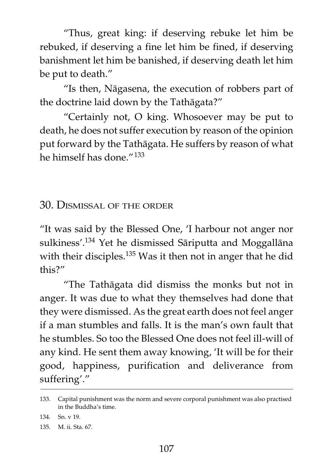"Thus, great king: if deserving rebuke let him be rebuked, if deserving a fine let him be fined, if deserving banishment let him be banished, if deserving death let him be put to death."

"Is then, Nàgasena, the execution of robbers part of the doctrine laid down by the Tathàgata?"

"Certainly not, O king. Whosoever may be put to death, he does not suffer execution by reason of the opinion put forward by the Tathàgata. He suffers by reason of what he himself has done."<sup>133</sup>

30. Dismissal of the order

"It was said by the Blessed One, 'I harbour not anger nor sulkiness'.134 Yet he dismissed Sàriputta and Moggallàna with their disciples.<sup>135</sup> Was it then not in anger that he did this?"

"The Tathàgata did dismiss the monks but not in anger. It was due to what they themselves had done that they were dismissed. As the great earth does not feel anger if a man stumbles and falls. It is the man's own fault that he stumbles. So too the Blessed One does not feel ill-will of any kind. He sent them away knowing, 'It will be for their good, happiness, purification and deliverance from suffering'."

<sup>133.</sup> Capital punishment was the norm and severe corporal punishment was also practised in the Buddha's time.

<sup>134.</sup> Sn. v 19.

<sup>135.</sup> M. ii. Sta. 67.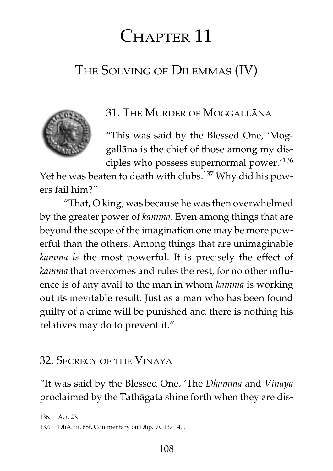# CHAPTER 11

## The Solving of Dilemmas (IV)



31. The Murder of Moggallàna

"This was said by the Blessed One, 'Moggallàna is the chief of those among my disciples who possess supernormal power.'<sup>136</sup>

Yet he was beaten to death with clubs.<sup>137</sup> Why did his powers fail him?"

"That, O king, was because he was then overwhelmed by the greater power of *kamma*. Even among things that are beyond the scope of the imagination one may be more powerful than the others. Among things that are unimaginable *kamma is* the most powerful. It is precisely the effect of *kamma* that overcomes and rules the rest, for no other influence is of any avail to the man in whom *kamma* is working out its inevitable result. Just as a man who has been found guilty of a crime will be punished and there is nothing his relatives may do to prevent it."

#### 32. Secrecy of the Vinaya

"It was said by the Blessed One, 'The *Dhamma* and *Vinaya* proclaimed by the Tathàgata shine forth when they are dis-

<sup>136.</sup> A. i. 23.

<sup>137.</sup> DhA. iii. 65f. Commentary on Dhp. vv 137 140.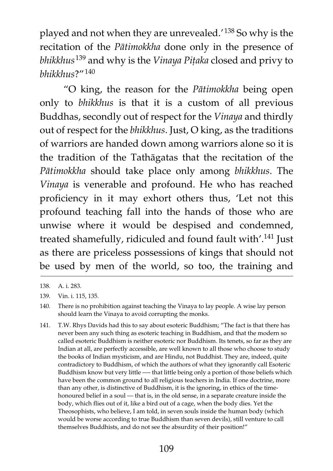played and not when they are unrevealed.'138 So why is the recitation of the *Pàtimokkha* done only in the presence of *bhikkhus*<sup>139</sup> and why is the *Vinaya Piṭaka* closed and privy to *bhikkhus*?"<sup>140</sup>

"O king, the reason for the *Pàtimokkha* being open only to *bhikkhus* is that it is a custom of all previous Buddhas, secondly out of respect for the *Vinaya* and thirdly out of respect for the *bhikkhus*. Just, O king, as the traditions of warriors are handed down among warriors alone so it is the tradition of the Tathàgatas that the recitation of the *Pàtimokkha* should take place only among *bhikkhus*. The *Vinaya* is venerable and profound. He who has reached proficiency in it may exhort others thus, 'Let not this profound teaching fall into the hands of those who are unwise where it would be despised and condemned, treated shamefully, ridiculed and found fault with'.141 Just as there are priceless possessions of kings that should not be used by men of the world, so too, the training and

<sup>138.</sup> A. i. 283.

<sup>139.</sup> Vin. i. 115, 135.

<sup>140.</sup> There is no prohibition against teaching the Vinaya to lay people. A wise lay person should learn the Vinaya to avoid corrupting the monks.

<sup>141.</sup> T.W. Rhys Davids had this to say about esoteric Buddhism; "The fact is that there has never been any such thing as esoteric teaching in Buddhism, and that the modern so called esoteric Buddhism is neither esoteric nor Buddhism. Its tenets, so far as they are Indian at all, are perfectly accessible, are well known to all those who choose to study the books of Indian mysticism, and are Hindu, not Buddhist. They are, indeed, quite contradictory to Buddhism, of which the authors of what they ignorantly call Esoteric Buddhism know but very little —- that little being only a portion of those beliefs which have been the common ground to all religious teachers in India. If one doctrine, more than any other, is distinctive of Buddhism, it is the ignoring, in ethics of the timehonoured belief in a soul — that is, in the old sense, in a separate creature inside the body, which flies out of it, like a bird out of a cage, when the body dies. Yet the Theosophists, who believe, I am told, in seven souls inside the human body (which would be worse according to true Buddhism than seven devils), still venture to call themselves Buddhists, and do not see the absurdity of their position!"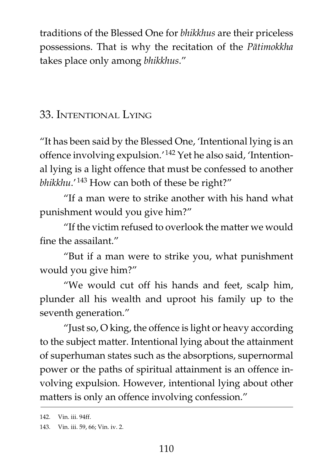traditions of the Blessed One for *bhikkhus* are their priceless possessions. That is why the recitation of the *Pàtimokkha* takes place only among *bhikkhus*."

# 33. Intentional Lying

"It has been said by the Blessed One, 'Intentional lying is an offence involving expulsion.'142 Yet he also said, 'Intentional lying is a light offence that must be confessed to another bhikkhu.'<sup>143</sup> How can both of these be right?"

"If a man were to strike another with his hand what punishment would you give him?"

"If the victim refused to overlook the matter we would fine the assailant."

"But if a man were to strike you, what punishment would you give him?"

"We would cut off his hands and feet, scalp him, plunder all his wealth and uproot his family up to the seventh generation."

"Just so, O king, the offence is light or heavy according to the subject matter. Intentional lying about the attainment of superhuman states such as the absorptions, supernormal power or the paths of spiritual attainment is an offence involving expulsion. However, intentional lying about other matters is only an offence involving confession."

<sup>142.</sup> Vin. iii. 94ff.

<sup>143.</sup> Vin. iii. 59, 66; Vin. iv. 2.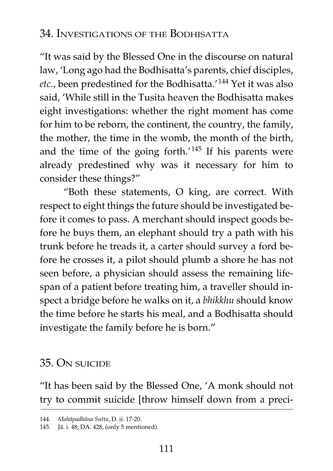"It was said by the Blessed One in the discourse on natural law, 'Long ago had the Bodhisatta's parents, chief disciples, etc., been predestined for the Bodhisatta.'<sup>144</sup> Yet it was also said, 'While still in the Tusita heaven the Bodhisatta makes eight investigations: whether the right moment has come for him to be reborn, the continent, the country, the family, the mother, the time in the womb, the month of the birth, and the time of the going forth. $145$  If his parents were already predestined why was it necessary for him to consider these things?"

"Both these statements, O king, are correct. With respect to eight things the future should be investigated before it comes to pass. A merchant should inspect goods before he buys them, an elephant should try a path with his trunk before he treads it, a carter should survey a ford before he crosses it, a pilot should plumb a shore he has not seen before, a physician should assess the remaining lifespan of a patient before treating him, a traveller should inspect a bridge before he walks on it, a *bhikkhu* should know the time before he starts his meal, and a Bodhisatta should investigate the family before he is born."

#### 35. On suicide

"It has been said by the Blessed One, 'A monk should not try to commit suicide [throw himself down from a preci-

<sup>144.</sup> *Mahàpadhàna Sutta*, D. ii. 17-20.

<sup>145.</sup> Jà. i. 48; DA. 428, (only 5 mentioned).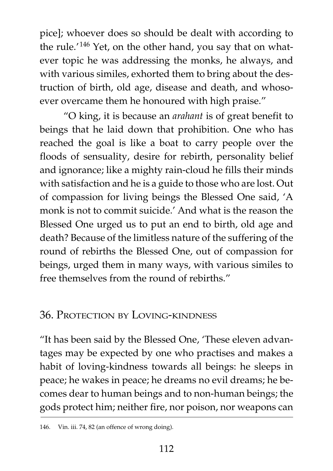pice]; whoever does so should be dealt with according to the rule.' $146$  Yet, on the other hand, you say that on whatever topic he was addressing the monks, he always, and with various similes, exhorted them to bring about the destruction of birth, old age, disease and death, and whosoever overcame them he honoured with high praise."

"O king, it is because an *arahant* is of great benefit to beings that he laid down that prohibition. One who has reached the goal is like a boat to carry people over the floods of sensuality, desire for rebirth, personality belief and ignorance; like a mighty rain-cloud he fills their minds with satisfaction and he is a guide to those who are lost. Out of compassion for living beings the Blessed One said, 'A monk is not to commit suicide.' And what is the reason the Blessed One urged us to put an end to birth, old age and death? Because of the limitless nature of the suffering of the round of rebirths the Blessed One, out of compassion for beings, urged them in many ways, with various similes to free themselves from the round of rebirths."

#### 36. Protection by Loving-kindness

"It has been said by the Blessed One, 'These eleven advantages may be expected by one who practises and makes a habit of loving-kindness towards all beings: he sleeps in peace; he wakes in peace; he dreams no evil dreams; he becomes dear to human beings and to non-human beings; the gods protect him; neither fire, nor poison, nor weapons can

<sup>146.</sup> Vin. iii. 74, 82 (an offence of wrong doing).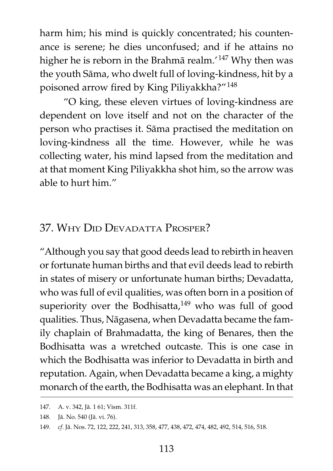harm him; his mind is quickly concentrated; his countenance is serene; he dies unconfused; and if he attains no higher he is reborn in the Brahmā realm.'<sup>147</sup> Why then was the youth Sàma, who dwelt full of loving-kindness, hit by a poisoned arrow fired by King Piliyakkha?"<sup>148</sup>

"O king, these eleven virtues of loving-kindness are dependent on love itself and not on the character of the person who practises it. Sàma practised the meditation on loving-kindness all the time. However, while he was collecting water, his mind lapsed from the meditation and at that moment King Piliyakkha shot him, so the arrow was able to hurt him."

# 37. Why Did Devadatta Prosper?

"Although you say that good deeds lead to rebirth in heaven or fortunate human births and that evil deeds lead to rebirth in states of misery or unfortunate human births; Devadatta, who was full of evil qualities, was often born in a position of superiority over the Bodhisatta, $149$  who was full of good qualities. Thus, Nàgasena, when Devadatta became the family chaplain of Brahmadatta, the king of Benares, then the Bodhisatta was a wretched outcaste. This is one case in which the Bodhisatta was inferior to Devadatta in birth and reputation. Again, when Devadatta became a king, a mighty monarch of the earth, the Bodhisatta was an elephant. In that

<sup>147.</sup> A. v. 342, Jà. 1 61; Vism. 311f.

<sup>148.</sup> Jà. No. 540 (Jà. vi. 76).

<sup>149.</sup> *cf*. Jà. Nos. 72, 122, 222, 241, 313, 358, 477, 438, 472, 474, 482, 492, 514, 516, 518.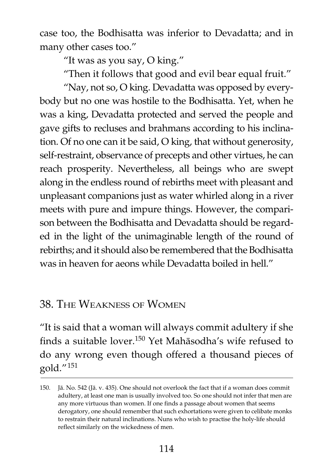case too, the Bodhisatta was inferior to Devadatta; and in many other cases too."

"It was as you say, O king."

"Then it follows that good and evil bear equal fruit."

"Nay, not so, O king. Devadatta was opposed by everybody but no one was hostile to the Bodhisatta. Yet, when he was a king, Devadatta protected and served the people and gave gifts to recluses and brahmans according to his inclination. Of no one can it be said, O king, that without generosity, self-restraint, observance of precepts and other virtues, he can reach prosperity. Nevertheless, all beings who are swept along in the endless round of rebirths meet with pleasant and unpleasant companions just as water whirled along in a river meets with pure and impure things. However, the comparison between the Bodhisatta and Devadatta should be regarded in the light of the unimaginable length of the round of rebirths; and it should also be remembered that the Bodhisatta was in heaven for aeons while Devadatta boiled in hell."

#### 38. The Weakness of Women

"It is said that a woman will always commit adultery if she finds a suitable lover.150 Yet Mahàsodha's wife refused to do any wrong even though offered a thousand pieces of gold."<sup>151</sup>

<sup>150.</sup> Jà. No. 542 (Jà. v. 435). One should not overlook the fact that if a woman does commit adultery, at least one man is usually involved too. So one should not infer that men are any more virtuous than women. If one finds a passage about women that seems derogatory, one should remember that such exhortations were given to celibate monks to restrain their natural inclinations. Nuns who wish to practise the holy-life should reflect similarly on the wickedness of men.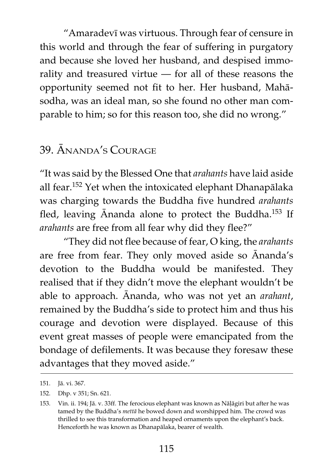"Amaradevã was virtuous. Through fear of censure in this world and through the fear of suffering in purgatory and because she loved her husband, and despised immorality and treasured virtue — for all of these reasons the opportunity seemed not fit to her. Her husband, Mahàsodha, was an ideal man, so she found no other man comparable to him; so for this reason too, she did no wrong."

# 39. ânanda's Courage

"It was said by the Blessed One that *arahants* have laid aside all fear.152 Yet when the intoxicated elephant Dhanapàlaka was charging towards the Buddha five hundred *arahants* fled, leaving  $\bar{A}$ nanda alone to protect the Buddha.<sup>153</sup> If *arahants* are free from all fear why did they flee?"

"They did not flee because of fear, O king, the *arahants* are free from fear. They only moved aside so ânanda's devotion to the Buddha would be manifested. They realised that if they didn't move the elephant wouldn't be able to approach. ânanda, who was not yet an *arahant*, remained by the Buddha's side to protect him and thus his courage and devotion were displayed. Because of this event great masses of people were emancipated from the bondage of defilements. It was because they foresaw these advantages that they moved aside."

<sup>151.</sup> Jà. vi. 367.

<sup>152.</sup> Dhp. v 351; Sn. 621.

<sup>153.</sup> Vin. ii. 194; Jā. v. 33ff. The ferocious elephant was known as Nāļāgiri but after he was tamed by the Buddha's *mettà* he bowed down and worshipped him. The crowd was thrilled to see this transformation and heaped ornaments upon the elephant's back. Henceforth he was known as Dhanapàlaka, bearer of wealth.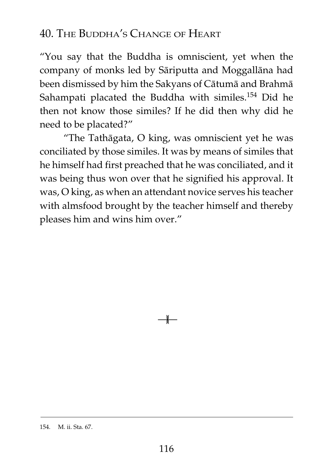# 40. The Buddha's Change of Heart

"You say that the Buddha is omniscient, yet when the company of monks led by Sàriputta and Moggallàna had been dismissed by him the Sakyans of Càtumà and Brahmà Sahampati placated the Buddha with similes.<sup>154</sup> Did he then not know those similes? If he did then why did he need to be placated?"

"The Tathàgata, O king, was omniscient yet he was conciliated by those similes. It was by means of similes that he himself had first preached that he was conciliated, and it was being thus won over that he signified his approval. It was, O king, as when an attendant novice serves his teacher with almsfood brought by the teacher himself and thereby pleases him and wins him over."

154. M. ii. Sta. 67.

—}{—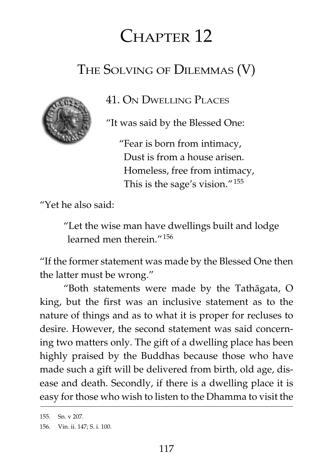# CHAPTER 12

# The Solving of Dilemmas (V)

41. On Dwelling Places

"It was said by the Blessed One:

"Fear is born from intimacy, Dust is from a house arisen. Homeless, free from intimacy, This is the sage's vision."<sup>155</sup>

"Yet he also said:

"Let the wise man have dwellings built and lodge learned men therein."<sup>156</sup>

"If the former statement was made by the Blessed One then the latter must be wrong."

"Both statements were made by the Tathàgata, O king, but the first was an inclusive statement as to the nature of things and as to what it is proper for recluses to desire. However, the second statement was said concerning two matters only. The gift of a dwelling place has been highly praised by the Buddhas because those who have made such a gift will be delivered from birth, old age, disease and death. Secondly, if there is a dwelling place it is easy for those who wish to listen to the Dhamma to visit the

<sup>155.</sup> Sn. v 207.

<sup>156.</sup> Vin. ii. 147; S. i. 100.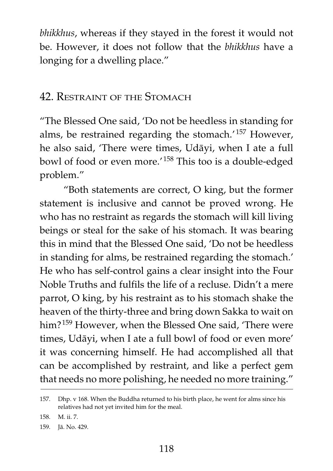*bhikkhus*, whereas if they stayed in the forest it would not be. However, it does not follow that the *bhikkhus* have a longing for a dwelling place."

#### 42. Restraint of the Stomach

"The Blessed One said, 'Do not be heedless in standing for alms, be restrained regarding the stomach.' 157 However, he also said, 'There were times, Udàyi, when I ate a full bowl of food or even more.'<sup>158</sup> This too is a double-edged problem."

"Both statements are correct, O king, but the former statement is inclusive and cannot be proved wrong. He who has no restraint as regards the stomach will kill living beings or steal for the sake of his stomach. It was bearing this in mind that the Blessed One said, 'Do not be heedless in standing for alms, be restrained regarding the stomach.' He who has self-control gains a clear insight into the Four Noble Truths and fulfils the life of a recluse. Didn't a mere parrot, O king, by his restraint as to his stomach shake the heaven of the thirty-three and bring down Sakka to wait on him?<sup>159</sup> However, when the Blessed One said, 'There were times, Udàyi, when I ate a full bowl of food or even more' it was concerning himself. He had accomplished all that can be accomplished by restraint, and like a perfect gem that needs no more polishing, he needed no more training."

<sup>157.</sup> Dhp. v 168. When the Buddha returned to his birth place, he went for alms since his relatives had not yet invited him for the meal.

<sup>158.</sup> M. ii. 7.

<sup>159.</sup> Jà. No. 429.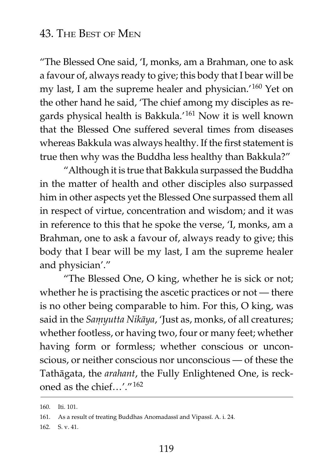#### 43. The Best of Men

"The Blessed One said, 'I, monks, am a Brahman, one to ask a favour of, always ready to give; this body that I bear will be my last, I am the supreme healer and physician.'160 Yet on the other hand he said, 'The chief among my disciples as regards physical health is Bakkula.'161 Now it is well known that the Blessed One suffered several times from diseases whereas Bakkula was always healthy. If the first statement is true then why was the Buddha less healthy than Bakkula?"

"Although it is true that Bakkula surpassed the Buddha in the matter of health and other disciples also surpassed him in other aspects yet the Blessed One surpassed them all in respect of virtue, concentration and wisdom; and it was in reference to this that he spoke the verse, 'I, monks, am a Brahman, one to ask a favour of, always ready to give; this body that I bear will be my last, I am the supreme healer and physician'."

"The Blessed One, O king, whether he is sick or not; whether he is practising the ascetic practices or not — there is no other being comparable to him. For this, O king, was said in the *Samyutta Nikāya*, 'Just as, monks, of all creatures; whether footless, or having two, four or many feet; whether having form or formless; whether conscious or unconscious, or neither conscious nor unconscious — of these the Tathàgata, the *arahant*, the Fully Enlightened One, is reckoned as the chief…'."<sup>162</sup>

<sup>160.</sup> Iti. 101.

<sup>161.</sup> As a result of treating Buddhas Anomadassī and Vipassī. A. i. 24.

<sup>162.</sup> S. v. 41.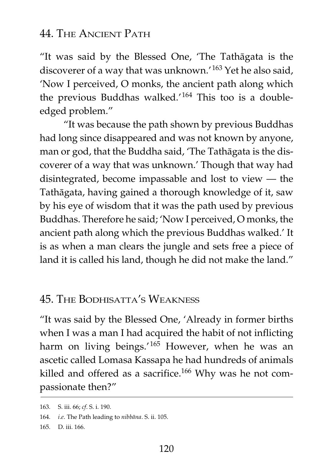## 44. The Ancient Path

"It was said by the Blessed One, 'The Tathàgata is the discoverer of a way that was unknown.<sup>'163</sup> Yet he also said, 'Now I perceived, O monks, the ancient path along which the previous Buddhas walked.<sup>'164</sup> This too is a doubleedged problem."

"It was because the path shown by previous Buddhas had long since disappeared and was not known by anyone, man or god, that the Buddha said, 'The Tathàgata is the discoverer of a way that was unknown.' Though that way had disintegrated, become impassable and lost to view — the Tathàgata, having gained a thorough knowledge of it, saw by his eye of wisdom that it was the path used by previous Buddhas. Therefore he said; 'Now I perceived, O monks, the ancient path along which the previous Buddhas walked.' It is as when a man clears the jungle and sets free a piece of land it is called his land, though he did not make the land."

#### 45. The Bodhisatta's Weakness

"It was said by the Blessed One, 'Already in former births when I was a man I had acquired the habit of not inflicting harm on living beings.<sup>'165</sup> However, when he was an ascetic called Lomasa Kassapa he had hundreds of animals killed and offered as a sacrifice.<sup>166</sup> Why was he not compassionate then?"

<sup>163.</sup> S. iii. 66; *cf*. S. i. 190.

<sup>164.</sup> *i*.*e*. The Path leading to *nibbàna*. S. ii. 105.

<sup>165.</sup> D. iii. 166.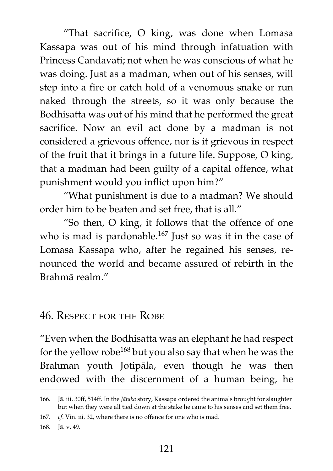"That sacrifice, O king, was done when Lomasa Kassapa was out of his mind through infatuation with Princess Candavati; not when he was conscious of what he was doing. Just as a madman, when out of his senses, will step into a fire or catch hold of a venomous snake or run naked through the streets, so it was only because the Bodhisatta was out of his mind that he performed the great sacrifice. Now an evil act done by a madman is not considered a grievous offence, nor is it grievous in respect of the fruit that it brings in a future life. Suppose, O king, that a madman had been guilty of a capital offence, what punishment would you inflict upon him?"

"What punishment is due to a madman? We should order him to be beaten and set free, that is all."

"So then, O king, it follows that the offence of one who is mad is pardonable. $167$  Just so was it in the case of Lomasa Kassapa who, after he regained his senses, renounced the world and became assured of rebirth in the Brahmà realm."

#### 46. Respect for the Robe

"Even when the Bodhisatta was an elephant he had respect for the yellow robe<sup>168</sup> but you also say that when he was the Brahman youth Jotipàla, even though he was then endowed with the discernment of a human being, he

167. *cf*. Vin. iii. 32, where there is no offence for one who is mad.

168. Jà. v. 49.

<sup>166.</sup> Jà. iii. 30ff, 514ff. In the *Jàtaka* story, Kassapa ordered the animals brou*g*ht for slaughter but when they were all tied down at the stake he came to his senses and set them free.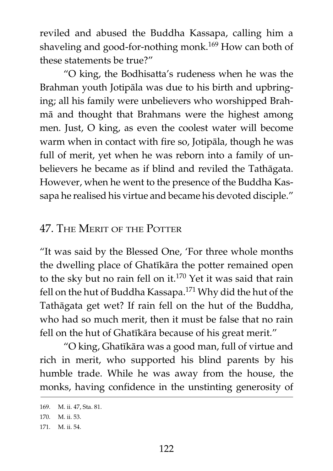reviled and abused the Buddha Kassapa, calling him a shaveling and good-for-nothing monk.<sup>169</sup> How can both of these statements be true?"

"O king, the Bodhisatta's rudeness when he was the Brahman youth Jotipàla was due to his birth and upbringing; all his family were unbelievers who worshipped Brahmà and thought that Brahmans were the highest among men. Just, O king, as even the coolest water will become warm when in contact with fire so, Jotipàla, though he was full of merit, yet when he was reborn into a family of unbelievers he became as if blind and reviled the Tathàgata. However, when he went to the presence of the Buddha Kassapa he realised his virtue and became his devoted disciple."

## 47. The Merit of the Potter

"It was said by the Blessed One, 'For three whole months the dwelling place of Ghatãkàra the potter remained open to the sky but no rain fell on it.<sup>170</sup> Yet it was said that rain fell on the hut of Buddha Kassapa.<sup>171</sup> Why did the hut of the Tathàgata get wet? If rain fell on the hut of the Buddha, who had so much merit, then it must be false that no rain fell on the hut of Ghatīkāra because of his great merit."

"O king, Ghatãkàra was a good man, full of virtue and rich in merit, who supported his blind parents by his humble trade. While he was away from the house, the monks, having confidence in the unstinting generosity of

<sup>169.</sup> M. ii. 47, Sta. 81.

<sup>170.</sup> M. ii. 53.

<sup>171.</sup> M. ii. 54.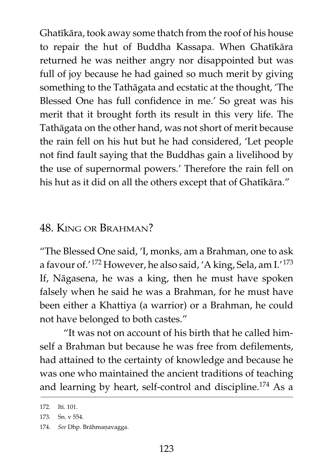Ghatãkàra, took away some thatch from the roof of his house to repair the hut of Buddha Kassapa. When Ghatīkāra returned he was neither angry nor disappointed but was full of joy because he had gained so much merit by giving something to the Tathàgata and ecstatic at the thought, 'The Blessed One has full confidence in me.' So great was his merit that it brought forth its result in this very life. The Tathàgata on the other hand, was not short of merit because the rain fell on his hut but he had considered, 'Let people not find fault saying that the Buddhas gain a livelihood by the use of supernormal powers.' Therefore the rain fell on his hut as it did on all the others except that of Ghatīkāra."

#### 48. King or Brahman?

"The Blessed One said, 'I, monks, am a Brahman, one to ask a favour of.'172 However, he also said, 'A king, Sela, am I.'173 If, Nàgasena, he was a king, then he must have spoken falsely when he said he was a Brahman, for he must have been either a Khattiya (a warrior) or a Brahman, he could not have belonged to both castes."

"It was not on account of his birth that he called himself a Brahman but because he was free from defilements, had attained to the certainty of knowledge and because he was one who maintained the ancient traditions of teaching and learning by heart, self-control and discipline.<sup>174</sup> As a

<sup>172.</sup> Iti. 101.

<sup>173.</sup> Sn. v 554.

<sup>174.</sup> See Dhp. Brāhmaņavagga.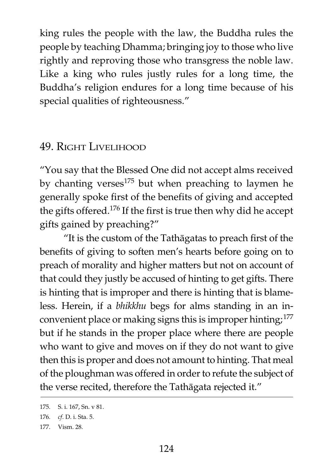king rules the people with the law, the Buddha rules the people by teaching Dhamma; bringing joy to those who live rightly and reproving those who transgress the noble law. Like a king who rules justly rules for a long time, the Buddha's religion endures for a long time because of his special qualities of righteousness."

#### 49. Right Livelihood

"You say that the Blessed One did not accept alms received by chanting verses $175$  but when preaching to laymen he generally spoke first of the benefits of giving and accepted the gifts offered.<sup>176</sup> If the first is true then why did he accept gifts gained by preaching?"

"It is the custom of the Tathàgatas to preach first of the benefits of giving to soften men's hearts before going on to preach of morality and higher matters but not on account of that could they justly be accused of hinting to get gifts. There is hinting that is improper and there is hinting that is blameless. Herein, if a *bhikkhu* begs for alms standing in an inconvenient place or making signs this is improper hinting;<sup>177</sup> but if he stands in the proper place where there are people who want to give and moves on if they do not want to give then this is proper and does not amount to hinting. That meal of the ploughman was offered in order to refute the subject of the verse recited, therefore the Tathàgata rejected it."

<sup>175.</sup> S. i. 167, Sn. v 81.

<sup>176.</sup> *cf*. D. i. Sta. 5.

<sup>177.</sup> Vism. 28.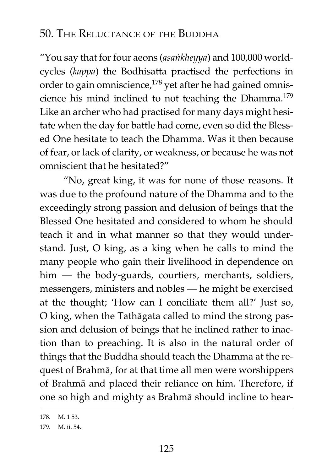## 50. The Reluctance of the Buddha

"You say that for four aeons (*asaïkheyya*) and 100,000 worldcycles (*kappa*) the Bodhisatta practised the perfections in order to gain omniscience, $178$  yet after he had gained omniscience his mind inclined to not teaching the Dhamma.179 Like an archer who had practised for many days might hesitate when the day for battle had come, even so did the Blessed One hesitate to teach the Dhamma. Was it then because of fear, or lack of clarity, or weakness, or because he was not omniscient that he hesitated?"

"No, great king, it was for none of those reasons. It was due to the profound nature of the Dhamma and to the exceedingly strong passion and delusion of beings that the Blessed One hesitated and considered to whom he should teach it and in what manner so that they would understand. Just, O king, as a king when he calls to mind the many people who gain their livelihood in dependence on him — the body-guards, courtiers, merchants, soldiers, messengers, ministers and nobles — he might be exercised at the thought; 'How can I conciliate them all?' Just so, O king, when the Tathàgata called to mind the strong passion and delusion of beings that he inclined rather to inaction than to preaching. It is also in the natural order of things that the Buddha should teach the Dhamma at the request of Brahmà, for at that time all men were worshippers of Brahmà and placed their reliance on him. Therefore, if one so high and mighty as Brahmà should incline to hear-

<sup>178.</sup> M. 1 53.

<sup>179.</sup> M. ii. 54.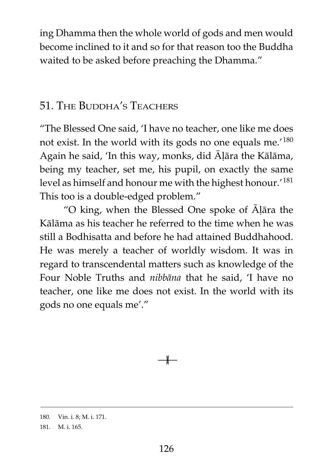ing Dhamma then the whole world of gods and men would become inclined to it and so for that reason too the Buddha waited to be asked before preaching the Dhamma."

# 51. The Buddha's Teachers

"The Blessed One said, 'I have no teacher, one like me does not exist. In the world with its gods no one equals me.'<sup>180</sup> Again he said, 'In this way, monks, did  $\bar{A}$ lāra the Kālāma, being my teacher, set me, his pupil, on exactly the same level as himself and honour me with the highest honour.'<sup>181</sup> This too is a double-edged problem."

"O king, when the Blessed One spoke of  $\bar{A}$  and the Kàlàma as his teacher he referred to the time when he was still a Bodhisatta and before he had attained Buddhahood. He was merely a teacher of worldly wisdom. It was in regard to transcendental matters such as knowledge of the Four Noble Truths and *nibbàna* that he said, 'I have no teacher, one like me does not exist. In the world with its gods no one equals me'."

 $\frac{1}{\sqrt{2}}$ 

<sup>180.</sup> Vin. i. 8; M. i. 171.

<sup>181.</sup> M. i. 165.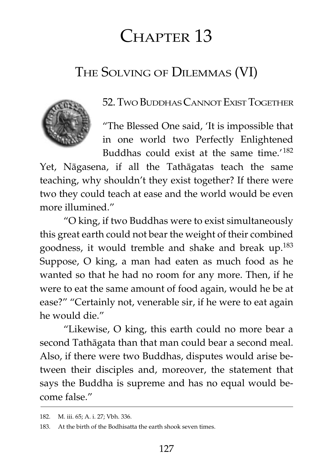# CHAPTER 13

# The Solving of Dilemmas (VI)



52. Two Buddhas Cannot Exist Together

"The Blessed One said, 'It is impossible that in one world two Perfectly Enlightened Buddhas could exist at the same time.'<sup>182</sup>

Yet, Nàgasena, if all the Tathàgatas teach the same teaching, why shouldn't they exist together? If there were two they could teach at ease and the world would be even more illumined."

"O king, if two Buddhas were to exist simultaneously this great earth could not bear the weight of their combined goodness, it would tremble and shake and break up.<sup>183</sup> Suppose, O king, a man had eaten as much food as he wanted so that he had no room for any more. Then, if he were to eat the same amount of food again, would he be at ease?" "Certainly not, venerable sir, if he were to eat again he would die."

"Likewise, O king, this earth could no more bear a second Tathàgata than that man could bear a second meal. Also, if there were two Buddhas, disputes would arise between their disciples and, moreover, the statement that says the Buddha is supreme and has no equal would become false."

<sup>182.</sup> M. iii. 65; A. i. 27; Vbh. 336.

<sup>183.</sup> At the birth of the Bodhisatta the earth shook seven times.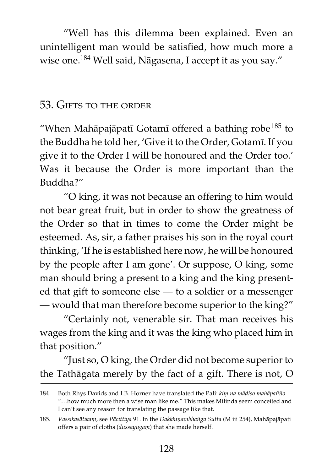"Well has this dilemma been explained. Even an unintelligent man would be satisfied, how much more a wise one.184 Well said, Nàgasena, I accept it as you say."

#### 53. Gifts to the order

"When Mahāpajāpatī Gotamī offered a bathing robe<sup>185</sup> to the Buddha he told her, 'Give it to the Order, Gotamã. If you give it to the Order I will be honoured and the Order too.' Was it because the Order is more important than the Buddha?"

"O king, it was not because an offering to him would not bear great fruit, but in order to show the greatness of the Order so that in times to come the Order might be esteemed. As, sir, a father praises his son in the royal court thinking, 'If he is established here now, he will be honoured by the people after I am gone'. Or suppose, O king, some man should bring a present to a king and the king presented that gift to someone else — to a soldier or a messenger — would that man therefore become superior to the king?"

"Certainly not, venerable sir. That man receives his wages from the king and it was the king who placed him in that position."

"Just so, O king, the Order did not become superior to the Tathàgata merely by the fact of a gift. There is not, O

<sup>184.</sup> Both Rhys Davids and I.B. Horner have translated the Pali: *kim na mādiso mahāpañño*. "…how much more then a wise man like me." This makes Milinda seem conceited and I can't see any reason for translating the passage like that.

<sup>185.</sup> *Vassikasātikam, see Pācittiya* 91. In the *Dakkhinavibhanga Sutta* (M iii 254), Mahāpajāpati offers a pair of cloths (*dussayugam*) that she made herself.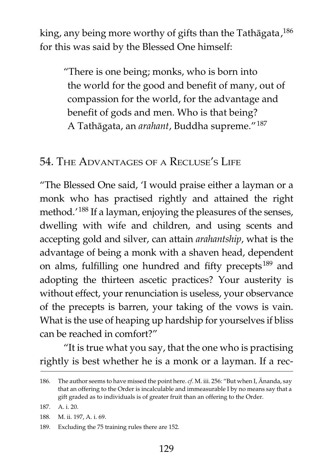king, any being more worthy of gifts than the Tath $\bar{a}$ gata,<sup>186</sup> for this was said by the Blessed One himself:

"There is one being; monks, who is born into the world for the good and benefit of many, out of compassion for the world, for the advantage and benefit of gods and men. Who is that being? A Tathàgata, an *arahant*, Buddha supreme."<sup>187</sup>

#### 54. The Advantages of a Recluse's Life

"The Blessed One said, 'I would praise either a layman or a monk who has practised rightly and attained the right method.'<sup>188</sup> If a layman, enjoying the pleasures of the senses, dwelling with wife and children, and using scents and accepting gold and silver, can attain *arahantship*, what is the advantage of being a monk with a shaven head, dependent on alms, fulfilling one hundred and fifty precepts<sup>189</sup> and adopting the thirteen ascetic practices? Your austerity is without effect, your renunciation is useless, your observance of the precepts is barren, your taking of the vows is vain. What is the use of heaping up hardship for yourselves if bliss can be reached in comfort?"

"It is true what you say, that the one who is practising rightly is best whether he is a monk or a layman. If a rec-

<sup>186.</sup> The author seems to have missed the point here. *cf*. M. iii. 256: "But when I, ânanda, say that an offering to the Order is incalculable and immeasurable I by no means say that a gift graded as to individuals is of greater fruit than an offering to the Order.

<sup>187.</sup> A. i. 20.

<sup>188.</sup> M. ii. 197, A. i. 69.

<sup>189.</sup> Excluding the 75 training rules there are 152.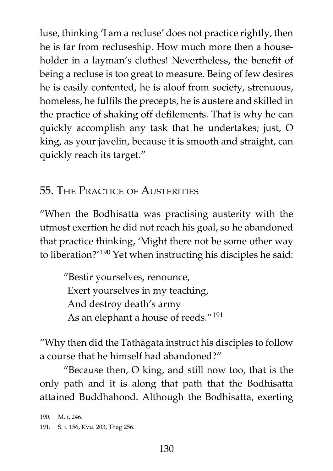luse, thinking 'I am a recluse' does not practice rightly, then he is far from recluseship. How much more then a householder in a layman's clothes! Nevertheless, the benefit of being a recluse is too great to measure. Being of few desires he is easily contented, he is aloof from society, strenuous, homeless, he fulfils the precepts, he is austere and skilled in the practice of shaking off defilements. That is why he can quickly accomplish any task that he undertakes; just, O king, as your javelin, because it is smooth and straight, can quickly reach its target."

## 55. The Practice of Austerities

"When the Bodhisatta was practising austerity with the utmost exertion he did not reach his goal, so he abandoned that practice thinking, 'Might there not be some other way to liberation?'<sup>190</sup> Yet when instructing his disciples he said:

"Bestir yourselves, renounce, Exert yourselves in my teaching, And destroy death's army As an elephant a house of reeds."<sup>191</sup>

"Why then did the Tathàgata instruct his disciples to follow a course that he himself had abandoned?"

"Because then, O king, and still now too, that is the only path and it is along that path that the Bodhisatta attained Buddhahood. Although the Bodhisatta, exerting

<sup>190.</sup> M. i. 246.

<sup>191.</sup> S. i. 156, Kvu. 203, Thag 256.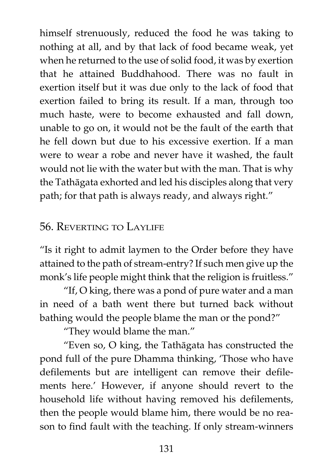himself strenuously, reduced the food he was taking to nothing at all, and by that lack of food became weak, yet when he returned to the use of solid food, it was by exertion that he attained Buddhahood. There was no fault in exertion itself but it was due only to the lack of food that exertion failed to bring its result. If a man, through too much haste, were to become exhausted and fall down, unable to go on, it would not be the fault of the earth that he fell down but due to his excessive exertion. If a man were to wear a robe and never have it washed, the fault would not lie with the water but with the man. That is why the Tathàgata exhorted and led his disciples along that very path; for that path is always ready, and always right."

#### 56. Reverting to Laylife

"Is it right to admit laymen to the Order before they have attained to the path of stream-entry? If such men give up the monk's life people might think that the religion is fruitless."

"If, O king, there was a pond of pure water and a man in need of a bath went there but turned back without bathing would the people blame the man or the pond?"

"They would blame the man."

"Even so, O king, the Tathàgata has constructed the pond full of the pure Dhamma thinking, 'Those who have defilements but are intelligent can remove their defilements here.' However, if anyone should revert to the household life without having removed his defilements, then the people would blame him, there would be no reason to find fault with the teaching. If only stream-winners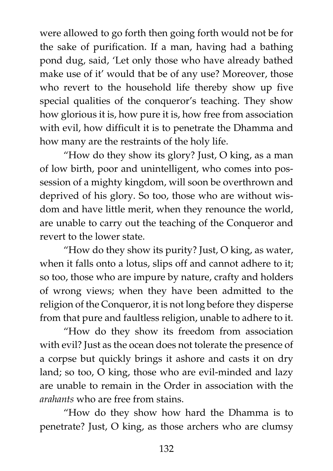were allowed to go forth then going forth would not be for the sake of purification. If a man, having had a bathing pond dug, said, 'Let only those who have already bathed make use of it' would that be of any use? Moreover, those who revert to the household life thereby show up five special qualities of the conqueror's teaching. They show how glorious it is, how pure it is, how free from association with evil, how difficult it is to penetrate the Dhamma and how many are the restraints of the holy life.

"How do they show its glory? Just, O king, as a man of low birth, poor and unintelligent, who comes into possession of a mighty kingdom, will soon be overthrown and deprived of his glory. So too, those who are without wisdom and have little merit, when they renounce the world, are unable to carry out the teaching of the Conqueror and revert to the lower state.

"How do they show its purity? Just, O king, as water, when it falls onto a lotus, slips off and cannot adhere to it; so too, those who are impure by nature, crafty and holders of wrong views; when they have been admitted to the religion of the Conqueror, it is not long before they disperse from that pure and faultless religion, unable to adhere to it.

"How do they show its freedom from association with evil? Just as the ocean does not tolerate the presence of a corpse but quickly brings it ashore and casts it on dry land; so too, O king, those who are evil-minded and lazy are unable to remain in the Order in association with the *arahants* who are free from stains.

"How do they show how hard the Dhamma is to penetrate? Just, O king, as those archers who are clumsy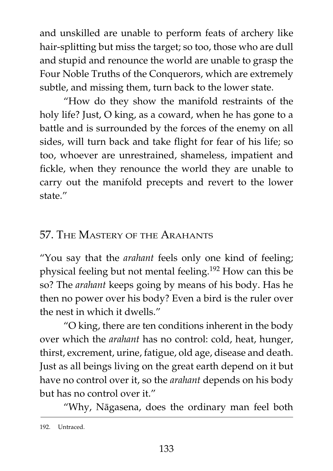and unskilled are unable to perform feats of archery like hair-splitting but miss the target; so too, those who are dull and stupid and renounce the world are unable to grasp the Four Noble Truths of the Conquerors, which are extremely subtle, and missing them, turn back to the lower state.

"How do they show the manifold restraints of the holy life? Just, O king, as a coward, when he has gone to a battle and is surrounded by the forces of the enemy on all sides, will turn back and take flight for fear of his life; so too, whoever are unrestrained, shameless, impatient and fickle, when they renounce the world they are unable to carry out the manifold precepts and revert to the lower state."

# 57. The Mastery of the Arahants

"You say that the *arahant* feels only one kind of feeling; physical feeling but not mental feeling.192 How can this be so? The *arahant* keeps going by means of his body. Has he then no power over his body? Even a bird is the ruler over the nest in which it dwells."

"O king, there are ten conditions inherent in the body over which the *arahant* has no control: cold, heat, hunger, thirst, excrement, urine, fatigue, old age, disease and death. Just as all beings living on the great earth depend on it but have no control over it, so the *arahant* depends on his body but has no control over it."

"Why, Nàgasena, does the ordinary man feel both

<sup>192.</sup> Untraced.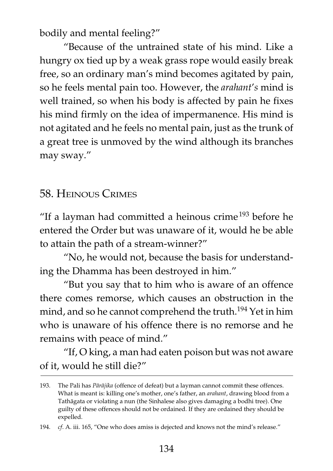bodily and mental feeling?"

"Because of the untrained state of his mind. Like a hungry ox tied up by a weak grass rope would easily break free, so an ordinary man's mind becomes agitated by pain, so he feels mental pain too. However, the *arahant*'*s* mind is well trained, so when his body is affected by pain he fixes his mind firmly on the idea of impermanence. His mind is not agitated and he feels no mental pain, just as the trunk of a great tree is unmoved by the wind although its branches may sway."

#### 58. Heinous Crimes

"If a layman had committed a heinous crime  $193$  before he entered the Order but was unaware of it, would he be able to attain the path of a stream-winner?"

"No, he would not, because the basis for understanding the Dhamma has been destroyed in him."

"But you say that to him who is aware of an offence there comes remorse, which causes an obstruction in the mind, and so he cannot comprehend the truth.<sup>194</sup> Yet in him who is unaware of his offence there is no remorse and he remains with peace of mind."

"If, O king, a man had eaten poison but was not aware of it, would he still die?"

<sup>193.</sup> The Pali has *Pàràjika* (offence of defeat) but a layman cannot commit these offences. What is meant is: killing one's mother, one's father, an *arahant*, drawing blood from a Tathàgata or violating a nun (the Sinhalese also gives damaging a bodhi tree). One guilty of these offences should not be ordained. If they are ordained they should be expelled.

<sup>194.</sup> *cf*. A. iii. 165, "One who does amiss is dejected and knows not the mind's release."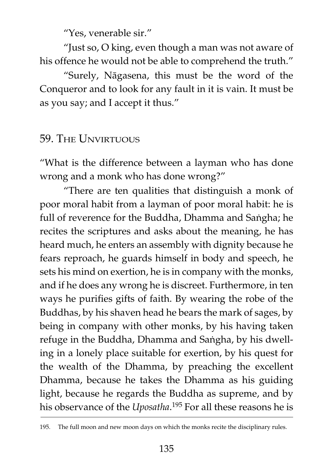"Yes, venerable sir."

"Just so, O king, even though a man was not aware of his offence he would not be able to comprehend the truth."

"Surely, Nàgasena, this must be the word of the Conqueror and to look for any fault in it is vain. It must be as you say; and I accept it thus."

#### 59. The Unvirtuous

"What is the difference between a layman who has done wrong and a monk who has done wrong?"

"There are ten qualities that distinguish a monk of poor moral habit from a layman of poor moral habit: he is full of reverence for the Buddha, Dhamma and Sangha; he recites the scriptures and asks about the meaning, he has heard much, he enters an assembly with dignity because he fears reproach, he guards himself in body and speech, he sets his mind on exertion, he is in company with the monks, and if he does any wrong he is discreet. Furthermore, in ten ways he purifies gifts of faith. By wearing the robe of the Buddhas, by his shaven head he bears the mark of sages, by being in company with other monks, by his having taken refuge in the Buddha, Dhamma and Sangha, by his dwelling in a lonely place suitable for exertion, by his quest for the wealth of the Dhamma, by preaching the excellent Dhamma, because he takes the Dhamma as his guiding light, because he regards the Buddha as supreme, and by his observance of the *Uposatha*. 195 For all these reasons he is

<sup>195.</sup> The full moon and new moon days on which the monks recite the disciplinary rules.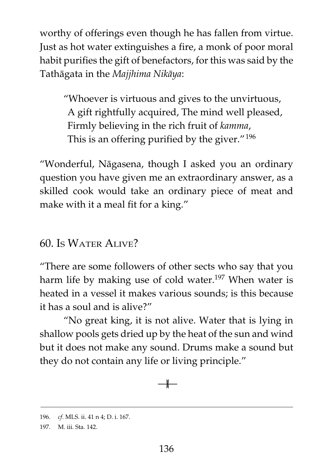worthy of offerings even though he has fallen from virtue. Just as hot water extinguishes a fire, a monk of poor moral habit purifies the gift of benefactors, for this was said by the Tathàgata in the *Majjhima Nikàya*:

"Whoever is virtuous and gives to the unvirtuous, A gift rightfully acquired, The mind well pleased, Firmly believing in the rich fruit of *kamma*, This is an offering purified by the giver."<sup>196</sup>

"Wonderful, Nàgasena, though I asked you an ordinary question you have given me an extraordinary answer, as a skilled cook would take an ordinary piece of meat and make with it a meal fit for a king."

## 60. Is Water Alive?

"There are some followers of other sects who say that you harm life by making use of cold water.<sup>197</sup> When water is heated in a vessel it makes various sounds; is this because it has a soul and is alive?"

"No great king, it is not alive. Water that is lying in shallow pools gets dried up by the heat of the sun and wind but it does not make any sound. Drums make a sound but they do not contain any life or living principle."

<sup>196.</sup> *cf*. MLS. ii. 41 n 4; D. i. 167.

<sup>197.</sup> M. iii. Sta. 142.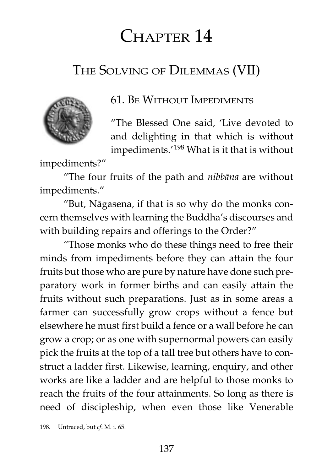# CHAPTER 14

# The Solving of Dilemmas (VII)



61. Be Without Impediments

"The Blessed One said, 'Live devoted to and delighting in that which is without impediments.'<sup>198</sup> What is it that is without

impediments?"

"The four fruits of the path and *nibbàna* are without impediments."

"But, Nàgasena, if that is so why do the monks concern themselves with learning the Buddha's discourses and with building repairs and offerings to the Order?"

"Those monks who do these things need to free their minds from impediments before they can attain the four fruits but those who are pure by nature have done such preparatory work in former births and can easily attain the fruits without such preparations. Just as in some areas a farmer can successfully grow crops without a fence but elsewhere he must first build a fence or a wall before he can grow a crop; or as one with supernormal powers can easily pick the fruits at the top of a tall tree but others have to construct a ladder first. Likewise, learning, enquiry, and other works are like a ladder and are helpful to those monks to reach the fruits of the four attainments. So long as there is need of discipleship, when even those like Venerable

<sup>198.</sup> Untraced, but *cf*. M. i. 65.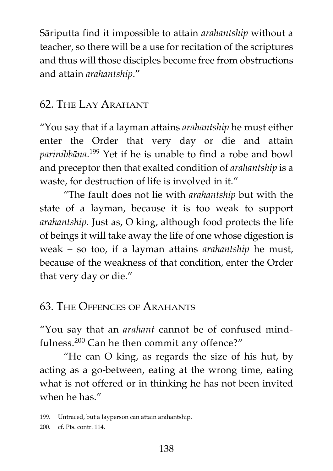Sàriputta find it impossible to attain *arahantship* without a teacher, so there will be a use for recitation of the scriptures and thus will those disciples become free from obstructions and attain *arahantship*."

# 62. The Lay Arahant

"You say that if a layman attains *arahantship* he must either enter the Order that very day or die and attain *parinibbàna*. 199 Yet if he is unable to find a robe and bowl and preceptor then that exalted condition of *arahantship* is a waste, for destruction of life is involved in it."

"The fault does not lie with *arahantship* but with the state of a layman, because it is too weak to support *arahantship*. Just as, O king, although food protects the life of beings it will take away the life of one whose digestion is weak – so too, if a layman attains *arahantship* he must, because of the weakness of that condition, enter the Order that very day or die."

## 63. The Offences of Arahants

"You say that an *arahant* cannot be of confused mindfulness.<sup>200</sup> Can he then commit any offence?"

"He can O king, as regards the size of his hut, by acting as a go-between, eating at the wrong time, eating what is not offered or in thinking he has not been invited when he has."

<sup>199.</sup> Untraced, but a layperson can attain arahantship.

<sup>200.</sup> cf. Pts. contr. 114.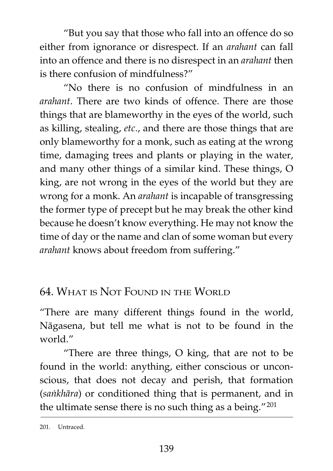"But you say that those who fall into an offence do so either from ignorance or disrespect. If an *arahant* can fall into an offence and there is no disrespect in an *arahant* then is there confusion of mindfulness?"

"No there is no confusion of mindfulness in an *arahant*. There are two kinds of offence. There are those things that are blameworthy in the eyes of the world, such as killing, stealing, *etc*., and there are those things that are only blameworthy for a monk, such as eating at the wrong time, damaging trees and plants or playing in the water, and many other things of a similar kind. These things, O king, are not wrong in the eyes of the world but they are wrong for a monk. An *arahant* is incapable of transgressing the former type of precept but he may break the other kind because he doesn't know everything. He may not know the time of day or the name and clan of some woman but every *arahant* knows about freedom from suffering."

# 64. What is Not Found in the World

"There are many different things found in the world, Nàgasena, but tell me what is not to be found in the world."

"There are three things, O king, that are not to be found in the world: anything, either conscious or unconscious, that does not decay and perish, that formation (*saïkhàra*) or conditioned thing that is permanent, and in the ultimate sense there is no such thing as a being." $^{201}$ 

<sup>201.</sup> Untraced.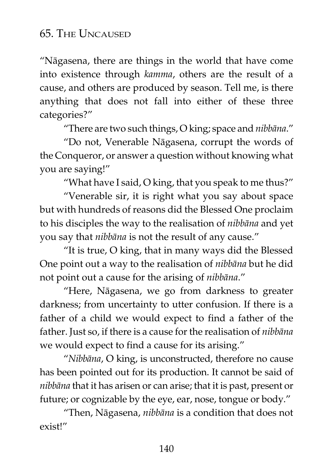"Nàgasena, there are things in the world that have come into existence through *kamma*, others are the result of a cause, and others are produced by season. Tell me, is there anything that does not fall into either of these three categories?"

"There are two such things, O king; space and *nibbàna*."

"Do not, Venerable Nàgasena, corrupt the words of the Conqueror, or answer a question without knowing what you are saying!"

"What have I said, O king, that you speak to me thus?"

"Venerable sir, it is right what you say about space but with hundreds of reasons did the Blessed One proclaim to his disciples the way to the realisation of *nibbàna* and yet you say that *nibbàna* is not the result of any cause."

"It is true, O king, that in many ways did the Blessed One point out a way to the realisation of *nibbàna* but he did not point out a cause for the arising of *nibbàna*."

"Here, Nàgasena, we go from darkness to greater darkness; from uncertainty to utter confusion. If there is a father of a child we would expect to find a father of the father. Just so, if there is a cause for the realisation of *nibbàna* we would expect to find a cause for its arising."

"*Nibbàna*, O king, is unconstructed, therefore no cause has been pointed out for its production. It cannot be said of *nibbàna* that it has arisen or can arise; that it is past, present or future; or cognizable by the eye, ear, nose, tongue or body."

"Then, Nàgasena, *nibbàna* is a condition that does not exist!"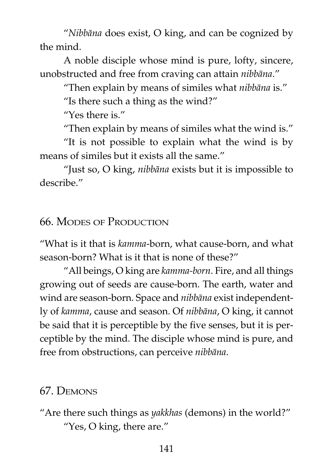"*Nibbàna* does exist, O king, and can be cognized by the mind.

A noble disciple whose mind is pure, lofty, sincere, unobstructed and free from craving can attain *nibbàna*."

"Then explain by means of similes what *nibbàna* is."

"Is there such a thing as the wind?"

"Yes there is."

"Then explain by means of similes what the wind is."

"It is not possible to explain what the wind is by means of similes but it exists all the same."

"Just so, O king, *nibbàna* exists but it is impossible to describe."

66. Modes of Production

"What is it that is *kamma*-born, what cause-born, and what season-born? What is it that is none of these?"

"All beings, O king are *kamma-born*. Fire, and all things growing out of seeds are cause-born. The earth, water and wind are season-born. Space and *nibbàna* exist independently of *kamma*, cause and season. Of *nibbàna*, O king, it cannot be said that it is perceptible by the five senses, but it is perceptible by the mind. The disciple whose mind is pure, and free from obstructions, can perceive *nibbàna*.

## 67. Demons

"Are there such things as *yakkhas* (demons) in the world?" "Yes, O king, there are."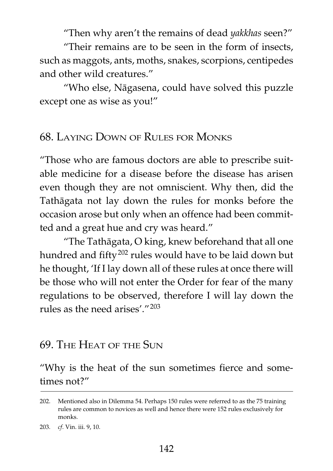"Then why aren't the remains of dead *yakkhas* seen?"

"Their remains are to be seen in the form of insects, such as maggots, ants, moths, snakes, scorpions, centipedes and other wild creatures."

"Who else, Nàgasena, could have solved this puzzle except one as wise as you!"

#### 68. Laying Down of Rules for Monks

"Those who are famous doctors are able to prescribe suitable medicine for a disease before the disease has arisen even though they are not omniscient. Why then, did the Tathàgata not lay down the rules for monks before the occasion arose but only when an offence had been committed and a great hue and cry was heard."

"The Tathàgata, O king, knew beforehand that all one hundred and fifty<sup>202</sup> rules would have to be laid down but he thought, 'If I lay down all of these rules at once there will be those who will not enter the Order for fear of the many regulations to be observed, therefore I will lay down the rules as the need arises'."<sup>203</sup>

## 69. The Heat of the Sun

"Why is the heat of the sun sometimes fierce and sometimes not?"

<sup>202.</sup> Mentioned also in Dilemma 54. Perhaps 150 rules were referred to as the 75 training rules are common to novices as well and hence there were 152 rules exclusively for monks.

<sup>203.</sup> *cf*. Vin. iii. 9, 10.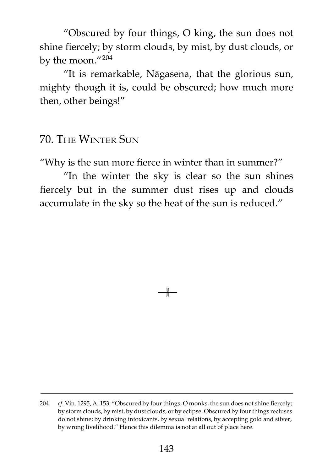"Obscured by four things, O king, the sun does not shine fiercely; by storm clouds, by mist, by dust clouds, or by the moon."<sup>204</sup>

"It is remarkable, Nàgasena, that the glorious sun, mighty though it is, could be obscured; how much more then, other beings!"

#### 70. The Winter Sun

"Why is the sun more fierce in winter than in summer?"

"In the winter the sky is clear so the sun shines fiercely but in the summer dust rises up and clouds accumulate in the sky so the heat of the sun is reduced."

—}{—

<sup>204.</sup> *cf*. Vin. 1295, A. 153. "Obscured by four things, O monks, the sun does not shine fiercely; by storm clouds, by mist, by dust clouds, or by eclipse. Obscured by four things recluses do not shine; by drinking intoxicants, by sexual relations, by accepting gold and silver, by wrong livelihood." Hence this dilemma is not at all out of place here.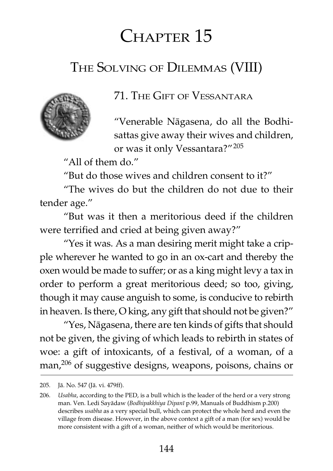# CHAPTER 15

# The Solving of Dilemmas (VIII)



71. The Gift of Vessantara

"Venerable Nàgasena, do all the Bodhisattas give away their wives and children, or was it only Vessantara?"<sup>205</sup>

"All of them do."

"But do those wives and children consent to it?"

"The wives do but the children do not due to their tender age."

"But was it then a meritorious deed if the children were terrified and cried at being given away?"

"Yes it was. As a man desiring merit might take a cripple wherever he wanted to go in an ox-cart and thereby the oxen would be made to suffer; or as a king might levy a tax in order to perform a great meritorious deed; so too, giving, though it may cause anguish to some, is conducive to rebirth in heaven. Is there, O king, any gift that should not be given?"

"Yes, Nàgasena, there are ten kinds of gifts that should not be given, the giving of which leads to rebirth in states of woe: a gift of intoxicants, of a festival, of a woman, of a man,206 of suggestive designs, weapons, poisons, chains or

<sup>205.</sup> Jà. No. 547 (Jà. vi. 479ff).

<sup>206.</sup> *Usabha*, according to the PED, is a bull which is the leader of the herd or a very strong man. Ven. Ledi Sayàdaw (*Bodhipakkhiya Dipanã* p.99, Manuals of Buddhism p.200) describes *usabha* as a very special bull, which can protect the whole herd and even the village from disease. However, in the above context a gift of a man (for sex) would be more consistent with a gift of a woman, neither of which would be meritorious.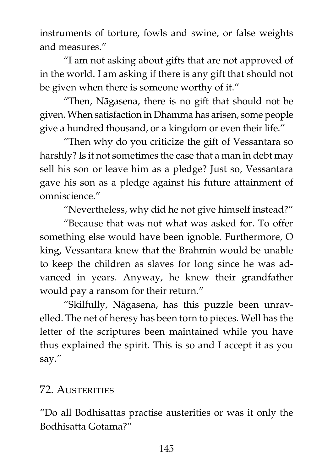instruments of torture, fowls and swine, or false weights and measures."

"I am not asking about gifts that are not approved of in the world. I am asking if there is any gift that should not be given when there is someone worthy of it."

"Then, Nàgasena, there is no gift that should not be given. When satisfaction in Dhamma has arisen, some people give a hundred thousand, or a kingdom or even their life."

"Then why do you criticize the gift of Vessantara so harshly? Is it not sometimes the case that a man in debt may sell his son or leave him as a pledge? Just so, Vessantara gave his son as a pledge against his future attainment of omniscience."

"Nevertheless, why did he not give himself instead?"

"Because that was not what was asked for. To offer something else would have been ignoble. Furthermore, O king, Vessantara knew that the Brahmin would be unable to keep the children as slaves for long since he was advanced in years. Anyway, he knew their grandfather would pay a ransom for their return."

"Skilfully, Nàgasena, has this puzzle been unravelled. The net of heresy has been torn to pieces. Well has the letter of the scriptures been maintained while you have thus explained the spirit. This is so and I accept it as you say."

## 72. Austerities

"Do all Bodhisattas practise austerities or was it only the Bodhisatta Gotama?"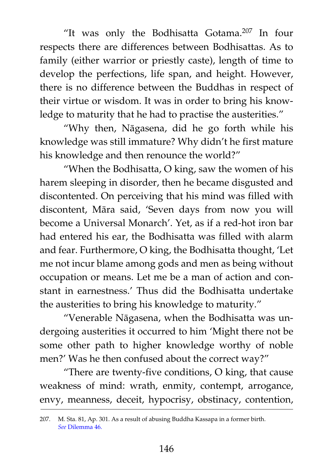"It was only the Bodhisatta Gotama.<sup>207</sup> In four respects there are differences between Bodhisattas. As to family (either warrior or priestly caste), length of time to develop the perfections, life span, and height. However, there is no difference between the Buddhas in respect of their virtue or wisdom. It was in order to bring his knowledge to maturity that he had to practise the austerities."

"Why then, Nàgasena, did he go forth while his knowledge was still immature? Why didn't he first mature his knowledge and then renounce the world?"

"When the Bodhisatta, O king, saw the women of his harem sleeping in disorder, then he became disgusted and discontented. On perceiving that his mind was filled with discontent, Màra said, 'Seven days from now you will become a Universal Monarch'. Yet, as if a red-hot iron bar had entered his ear, the Bodhisatta was filled with alarm and fear. Furthermore, O king, the Bodhisatta thought, 'Let me not incur blame among gods and men as being without occupation or means. Let me be a man of action and constant in earnestness.' Thus did the Bodhisatta undertake the austerities to bring his knowledge to maturity."

"Venerable Nàgasena, when the Bodhisatta was undergoing austerities it occurred to him 'Might there not be some other path to higher knowledge worthy of noble men?' Was he then confused about the correct way?"

"There are twenty-five conditions, O king, that cause weakness of mind: wrath, enmity, contempt, arrogance, envy, meanness, deceit, hypocrisy, obstinacy, contention,

<sup>207.</sup> M. Sta. 81, Ap. 301. As a result of abusing Buddha Kassapa in a former birth. *See* [Dilemma 46.](#page-120-0)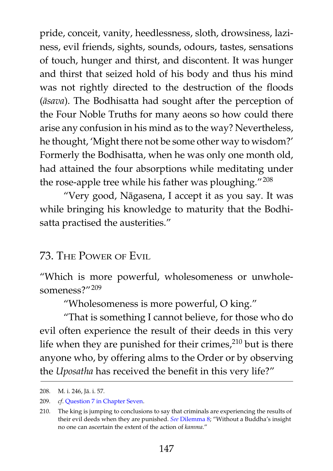pride, conceit, vanity, heedlessness, sloth, drowsiness, laziness, evil friends, sights, sounds, odours, tastes, sensations of touch, hunger and thirst, and discontent. It was hunger and thirst that seized hold of his body and thus his mind was not rightly directed to the destruction of the floods (*àsava*). The Bodhisatta had sought after the perception of the Four Noble Truths for many aeons so how could there arise any confusion in his mind as to the way? Nevertheless, he thought, 'Might there not be some other way to wisdom?' Formerly the Bodhisatta, when he was only one month old, had attained the four absorptions while meditating under the rose-apple tree while his father was ploughing."<sup>208</sup>

"Very good, Nàgasena, I accept it as you say. It was while bringing his knowledge to maturity that the Bodhisatta practised the austerities."

73. The Power of Evil

"Which is more powerful, wholesomeness or unwholesomeness?"<sup>209</sup>

"Wholesomeness is more powerful, O king."

"That is something I cannot believe, for those who do evil often experience the result of their deeds in this very life when they are punished for their crimes, $2^{10}$  but is there anyone who, by offering alms to the Order or by observing the *Uposatha* has received the benefit in this very life?"

<sup>208.</sup> M. i. 246, Jà. i. 57.

<sup>209.</sup> *cf*. [Question 7 in Chapter Seven.](#page-68-0)

<sup>210.</sup> The king is jumping to conclusions to say that criminals are experiencing the results of their evil deeds when they are punished. *See* [Dilemma 8; "W](#page-84-0)ithout a Buddha's insight no one can ascertain the extent of the action of *kamma*."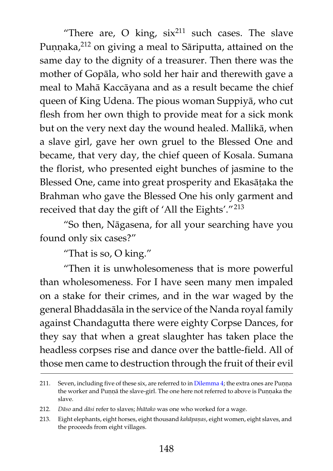"There are, O king,  $\sin^{211}$  such cases. The slave Puṇṇaka,<sup>212</sup> on giving a meal to Sāriputta, attained on the same day to the dignity of a treasurer. Then there was the mother of Gopàla, who sold her hair and therewith gave a meal to Mahà Kaccàyana and as a result became the chief queen of King Udena. The pious woman Suppiyà, who cut flesh from her own thigh to provide meat for a sick monk but on the very next day the wound healed. Mallikà, when a slave girl, gave her own gruel to the Blessed One and became, that very day, the chief queen of Kosala. Sumana the florist, who presented eight bunches of jasmine to the Blessed One, came into great prosperity and Ekasāṭaka the Brahman who gave the Blessed One his only garment and received that day the gift of 'All the Eights'."<sup>213</sup>

"So then, Nàgasena, for all your searching have you found only six cases?"

"That is so, O king."

"Then it is unwholesomeness that is more powerful than wholesomeness. For I have seen many men impaled on a stake for their crimes, and in the war waged by the general Bhaddasàla in the service of the Nanda royal family against Chandagutta there were eighty Corpse Dances, for they say that when a great slaughter has taken place the headless corpses rise and dance over the battle-field. All of those men came to destruction through the fruit of their evil

<sup>211.</sup> Seven, including five of these six, are referred to [in Dilemma 4; th](#page-80-0)e extra ones are Puṇṇa the worker and Punnā the slave-girl. The one here not referred to above is Punnaka the slave.

<sup>212.</sup> *Dàso* and *dàsi* refer to slaves; *bhàtako* was one who worked for a wage.

<sup>213.</sup> Eight elephants, eight horses, eight thousand *kahāpanas*, eight women, eight slaves, and the proceeds from eight villages.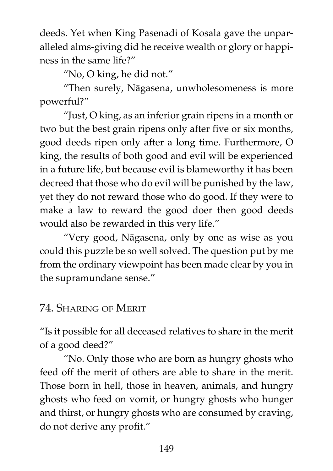deeds. Yet when King Pasenadi of Kosala gave the unparalleled alms-giving did he receive wealth or glory or happiness in the same life?"

"No, O king, he did not."

"Then surely, Nàgasena, unwholesomeness is more powerful?"

"Just, O king, as an inferior grain ripens in a month or two but the best grain ripens only after five or six months, good deeds ripen only after a long time. Furthermore, O king, the results of both good and evil will be experienced in a future life, but because evil is blameworthy it has been decreed that those who do evil will be punished by the law, yet they do not reward those who do good. If they were to make a law to reward the good doer then good deeds would also be rewarded in this very life."

"Very good, Nàgasena, only by one as wise as you could this puzzle be so well solved. The question put by me from the ordinary viewpoint has been made clear by you in the supramundane sense."

# 74. Sharing of Merit

"Is it possible for all deceased relatives to share in the merit of a good deed?"

"No. Only those who are born as hungry ghosts who feed off the merit of others are able to share in the merit. Those born in hell, those in heaven, animals, and hungry ghosts who feed on vomit, or hungry ghosts who hunger and thirst, or hungry ghosts who are consumed by craving, do not derive any profit."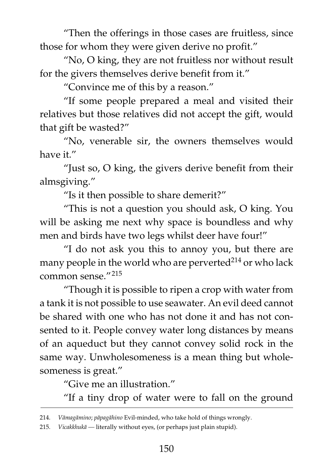"Then the offerings in those cases are fruitless, since those for whom they were given derive no profit."

"No, O king, they are not fruitless nor without result for the givers themselves derive benefit from it."

"Convince me of this by a reason."

"If some people prepared a meal and visited their relatives but those relatives did not accept the gift, would that gift be wasted?"

"No, venerable sir, the owners themselves would have it."

"Just so, O king, the givers derive benefit from their almsgiving."

"Is it then possible to share demerit?"

"This is not a question you should ask, O king. You will be asking me next why space is boundless and why men and birds have two legs whilst deer have four!"

"I do not ask you this to annoy you, but there are many people in the world who are perverted $^{214}$  or who lack common sense."<sup>215</sup>

"Though it is possible to ripen a crop with water from a tank it is not possible to use seawater. An evil deed cannot be shared with one who has not done it and has not consented to it. People convey water long distances by means of an aqueduct but they cannot convey solid rock in the same way. Unwholesomeness is a mean thing but wholesomeness is great."

"Give me an illustration."

"If a tiny drop of water were to fall on the ground

<sup>214.</sup> *Vàmagàmino*; *pàpagàhino* Evil-minded, who take hold of things wrongly.

<sup>215.</sup> *Vicakkhukà —* literally without eyes, (or perhaps just plain stupid).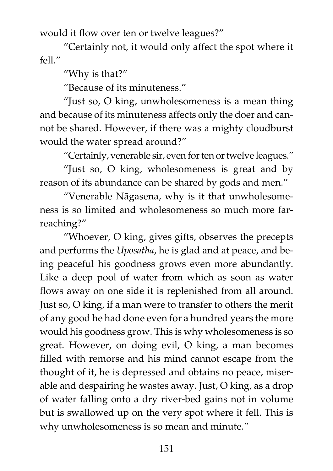would it flow over ten or twelve leagues?"

"Certainly not, it would only affect the spot where it fell."

"Why is that?"

"Because of its minuteness."

"Just so, O king, unwholesomeness is a mean thing and because of its minuteness affects only the doer and cannot be shared. However, if there was a mighty cloudburst would the water spread around?"

"Certainly, venerable sir, even for ten or twelve leagues."

"Just so, O king, wholesomeness is great and by reason of its abundance can be shared by gods and men."

"Venerable Nàgasena, why is it that unwholesomeness is so limited and wholesomeness so much more farreaching?"

"Whoever, O king, gives gifts, observes the precepts and performs the *Uposatha*, he is glad and at peace, and being peaceful his goodness grows even more abundantly. Like a deep pool of water from which as soon as water flows away on one side it is replenished from all around. Just so, O king, if a man were to transfer to others the merit of any good he had done even for a hundred years the more would his goodness grow. This is why wholesomeness is so great. However, on doing evil, O king, a man becomes filled with remorse and his mind cannot escape from the thought of it, he is depressed and obtains no peace, miserable and despairing he wastes away. Just, O king, as a drop of water falling onto a dry river-bed gains not in volume but is swallowed up on the very spot where it fell. This is why unwholesomeness is so mean and minute."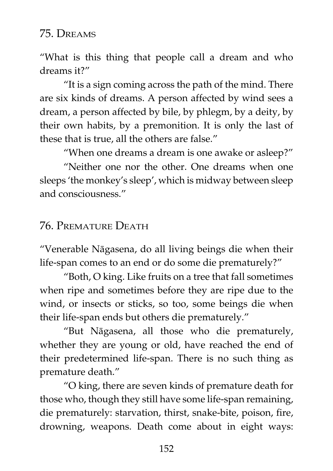### 75. Dreams

"What is this thing that people call a dream and who dreams it?"

"It is a sign coming across the path of the mind. There are six kinds of dreams. A person affected by wind sees a dream, a person affected by bile, by phlegm, by a deity, by their own habits, by a premonition. It is only the last of these that is true, all the others are false."

"When one dreams a dream is one awake or asleep?"

"Neither one nor the other. One dreams when one sleeps 'the monkey's sleep', which is midway between sleep and consciousness."

### 76. Premature Death

"Venerable Nàgasena, do all living beings die when their life-span comes to an end or do some die prematurely?"

"Both, O king. Like fruits on a tree that fall sometimes when ripe and sometimes before they are ripe due to the wind, or insects or sticks, so too, some beings die when their life-span ends but others die prematurely."

"But Nàgasena, all those who die prematurely, whether they are young or old, have reached the end of their predetermined life-span. There is no such thing as premature death."

"O king, there are seven kinds of premature death for those who, though they still have some life-span remaining, die prematurely: starvation, thirst, snake-bite, poison, fire, drowning, weapons. Death come about in eight ways: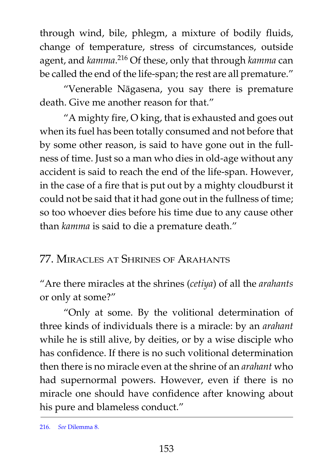through wind, bile, phlegm, a mixture of bodily fluids, change of temperature, stress of circumstances, outside agent, and *kamma*. 216 Of these, only that through *kamma* can be called the end of the life-span; the rest are all premature."

"Venerable Nàgasena, you say there is premature death. Give me another reason for that."

"A mighty fire, O king, that is exhausted and goes out when its fuel has been totally consumed and not before that by some other reason, is said to have gone out in the fullness of time. Just so a man who dies in old-age without any accident is said to reach the end of the life-span. However, in the case of a fire that is put out by a mighty cloudburst it could not be said that it had gone out in the fullness of time; so too whoever dies before his time due to any cause other than *kamma* is said to die a premature death."

### 77. Miracles at Shrines of Arahants

"Are there miracles at the shrines (*cetiya*) of all the *arahants* or only at some?"

"Only at some. By the volitional determination of three kinds of individuals there is a miracle: by an *arahant* while he is still alive, by deities, or by a wise disciple who has confidence. If there is no such volitional determination then there is no miracle even at the shrine of an *arahant* who had supernormal powers. However, even if there is no miracle one should have confidence after knowing about his pure and blameless conduct."

<sup>216.</sup> *See* [Dilemma 8.](#page-84-0)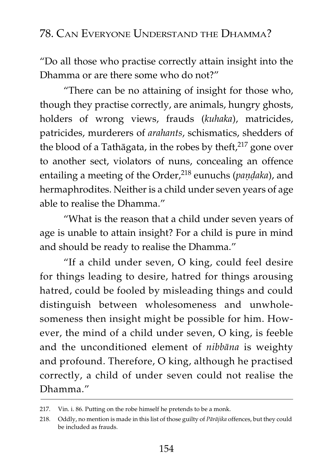# 78. Can Everyone Understand the Dhamma?

"Do all those who practise correctly attain insight into the Dhamma or are there some who do not?"

"There can be no attaining of insight for those who, though they practise correctly, are animals, hungry ghosts, holders of wrong views, frauds (*kuhaka*), matricides, patricides, murderers of *arahants*, schismatics, shedders of the blood of a Tathāgata, in the robes by theft, $2^{17}$  gone over to another sect, violators of nuns, concealing an offence entailing a meeting of the Order,<sup>218</sup> eunuchs (pandaka), and hermaphrodites. Neither is a child under seven years of age able to realise the Dhamma."

"What is the reason that a child under seven years of age is unable to attain insight? For a child is pure in mind and should be ready to realise the Dhamma."

"If a child under seven, O king, could feel desire for things leading to desire, hatred for things arousing hatred, could be fooled by misleading things and could distinguish between wholesomeness and unwholesomeness then insight might be possible for him. However, the mind of a child under seven, O king, is feeble and the unconditioned element of *nibbàna* is weighty and profound. Therefore, O king, although he practised correctly, a child of under seven could not realise the Dhamma."

<sup>217.</sup> Vin. i. 86. Putting on the robe himself he pretends to be a monk.

<sup>218.</sup> Oddly, no mention is made in this list of those guilty of *Pàràjika* offences, but they could be included as frauds.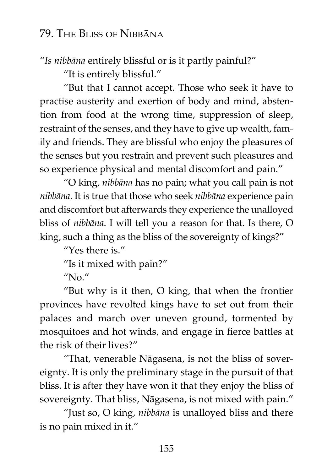# 79. The Bliss of Nibbàna

"*Is nibbàna* entirely blissful or is it partly painful?"

"It is entirely blissful."

"But that I cannot accept. Those who seek it have to practise austerity and exertion of body and mind, abstention from food at the wrong time, suppression of sleep, restraint of the senses, and they have to give up wealth, family and friends. They are blissful who enjoy the pleasures of the senses but you restrain and prevent such pleasures and so experience physical and mental discomfort and pain."

"O king, *nibbàna* has no pain; what you call pain is not *nibbàna*. It is true that those who seek *nibbàna* experience pain and discomfort but afterwards they experience the unalloyed bliss of *nibbàna*. I will tell you a reason for that. Is there, O king, such a thing as the bliss of the sovereignty of kings?"

"Yes there is."

"Is it mixed with pain?"

 $\gamma$ No."

"But why is it then, O king, that when the frontier provinces have revolted kings have to set out from their palaces and march over uneven ground, tormented by mosquitoes and hot winds, and engage in fierce battles at the risk of their lives?"

"That, venerable Nàgasena, is not the bliss of sovereignty. It is only the preliminary stage in the pursuit of that bliss. It is after they have won it that they enjoy the bliss of sovereignty. That bliss, Nàgasena, is not mixed with pain."

"Just so, O king, *nibbàna* is unalloyed bliss and there is no pain mixed in it."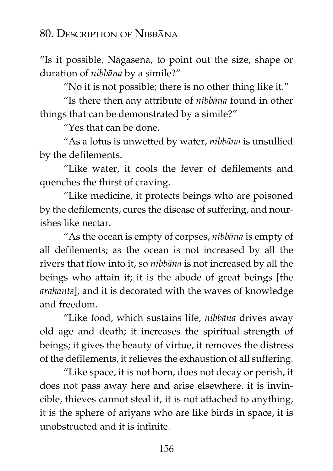#### 80. Description of Nibbàna

"Is it possible, Nàgasena, to point out the size, shape or duration of *nibbàna* by a simile?"

"No it is not possible; there is no other thing like it."

"Is there then any attribute of *nibbàna* found in other things that can be demonstrated by a simile?"

"Yes that can be done.

"As a lotus is unwetted by water, *nibbàna* is unsullied by the defilements.

"Like water, it cools the fever of defilements and quenches the thirst of craving.

"Like medicine, it protects beings who are poisoned by the defilements, cures the disease of suffering, and nourishes like nectar.

"As the ocean is empty of corpses, *nibbàna* is empty of all defilements; as the ocean is not increased by all the rivers that flow into it, so *nibbàna* is not increased by all the beings who attain it; it is the abode of great beings [the *arahants*], and it is decorated with the waves of knowledge and freedom.

"Like food, which sustains life, *nibbàna* drives away old age and death; it increases the spiritual strength of beings; it gives the beauty of virtue, it removes the distress of the defilements, it relieves the exhaustion of all suffering.

"Like space, it is not born, does not decay or perish, it does not pass away here and arise elsewhere, it is invincible, thieves cannot steal it, it is not attached to anything, it is the sphere of ariyans who are like birds in space, it is unobstructed and it is infinite.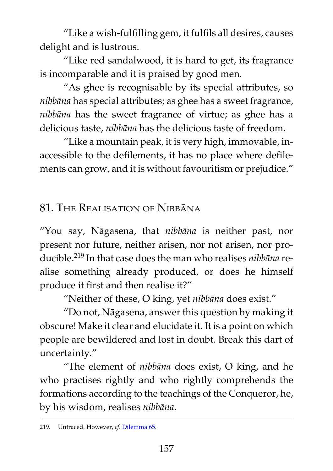"Like a wish-fulfilling gem, it fulfils all desires, causes delight and is lustrous.

"Like red sandalwood, it is hard to get, its fragrance is incomparable and it is praised by good men.

"As ghee is recognisable by its special attributes, so *nibbàna* has special attributes; as ghee has a sweet fragrance, *nibbàna* has the sweet fragrance of virtue; as ghee has a delicious taste, *nibbàna* has the delicious taste of freedom.

"Like a mountain peak, it is very high, immovable, inaccessible to the defilements, it has no place where defilements can grow, and it is without favouritism or prejudice."

# 81. The Realisation of Nibbàna

"You say, Nàgasena, that *nibbàna* is neither past, nor present nor future, neither arisen, nor not arisen, nor producible.219 In that case does the man who realises *nibbàna* realise something already produced, or does he himself produce it first and then realise it?"

"Neither of these, O king, yet *nibbàna* does exist."

"Do not, Nàgasena, answer this question by making it obscure! Make it clear and elucidate it. It is a point on which people are bewildered and lost in doubt. Break this dart of uncertainty."

"The element of *nibbàna* does exist, O king, and he who practises rightly and who rightly comprehends the formations according to the teachings of the Conqueror, he, by his wisdom, realises *nibbàna*.

<sup>219.</sup> Untraced. However, *cf*[. Dilemma 65.](#page-139-0)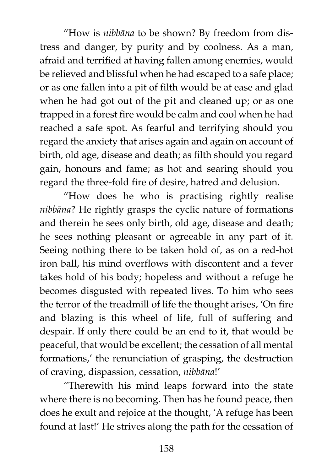"How is *nibbàna* to be shown? By freedom from distress and danger, by purity and by coolness. As a man, afraid and terrified at having fallen among enemies, would be relieved and blissful when he had escaped to a safe place; or as one fallen into a pit of filth would be at ease and glad when he had got out of the pit and cleaned up; or as one trapped in a forest fire would be calm and cool when he had reached a safe spot. As fearful and terrifying should you regard the anxiety that arises again and again on account of birth, old age, disease and death; as filth should you regard gain, honours and fame; as hot and searing should you regard the three-fold fire of desire, hatred and delusion.

"How does he who is practising rightly realise *nibbàna*? He rightly grasps the cyclic nature of formations and therein he sees only birth, old age, disease and death; he sees nothing pleasant or agreeable in any part of it. Seeing nothing there to be taken hold of, as on a red-hot iron ball, his mind overflows with discontent and a fever takes hold of his body; hopeless and without a refuge he becomes disgusted with repeated lives. To him who sees the terror of the treadmill of life the thought arises, 'On fire and blazing is this wheel of life, full of suffering and despair. If only there could be an end to it, that would be peaceful, that would be excellent; the cessation of all mental formations,' the renunciation of grasping, the destruction of craving, dispassion, cessation, *nibbàna*!'

"Therewith his mind leaps forward into the state where there is no becoming. Then has he found peace, then does he exult and rejoice at the thought, 'A refuge has been found at last!' He strives along the path for the cessation of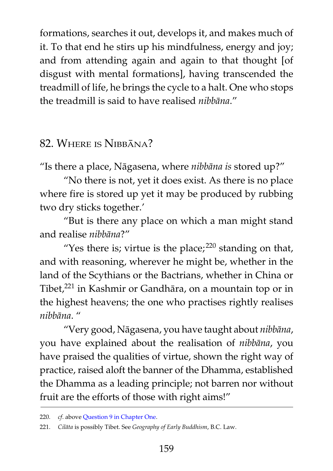formations, searches it out, develops it, and makes much of it. To that end he stirs up his mindfulness, energy and joy; and from attending again and again to that thought [of disgust with mental formations], having transcended the treadmill of life, he brings the cycle to a halt. One who stops the treadmill is said to have realised *nibbàna*."

# 82. Where is Nibbàna?

"Is there a place, Nàgasena, where *nibbàna is* stored up?"

"No there is not, yet it does exist. As there is no place where fire is stored up yet it may be produced by rubbing two dry sticks together.'

"But is there any place on which a man might stand and realise *nibbàna*?"

"Yes there is; virtue is the place; $220$  standing on that, and with reasoning, wherever he might be, whether in the land of the Scythians or the Bactrians, whether in China or Tibet,<sup>221</sup> in Kashmir or Gandhāra, on a mountain top or in the highest heavens; the one who practises rightly realises *nibbàna*. "

"Very good, Nàgasena, you have taught about *nibbàna*, you have explained about the realisation of *nibbàna*, you have praised the qualities of virtue, shown the right way of practice, raised aloft the banner of the Dhamma, established the Dhamma as a leading principle; not barren nor without fruit are the efforts of those with right aims!"

<sup>220.</sup> *cf*. abov[e Question 9 in Chapter One.](#page-37-0)

<sup>221.</sup> *Cilàta* is possibly Tibet. See *Geography of Early Buddhism*, B.C. Law.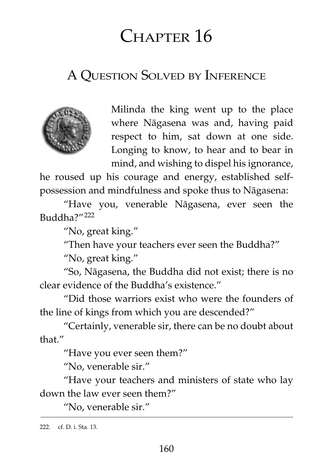# CHAPTER 16

# A Question Solved by Inference



Milinda the king went up to the place where Nàgasena was and, having paid respect to him, sat down at one side. Longing to know, to hear and to bear in mind, and wishing to dispel his ignorance,

he roused up his courage and energy, established selfpossession and mindfulness and spoke thus to Nàgasena:

"Have you, venerable Nàgasena, ever seen the Buddha?"<sup>222</sup>

"No, great king."

"Then have your teachers ever seen the Buddha?"

"No, great king."

"So, Nàgasena, the Buddha did not exist; there is no clear evidence of the Buddha's existence."

"Did those warriors exist who were the founders of the line of kings from which you are descended?"

"Certainly, venerable sir, there can be no doubt about that."

"Have you ever seen them?"

"No, venerable sir."

"Have your teachers and ministers of state who lay down the law ever seen them?"

"No, venerable sir."

<sup>222.</sup> cf. D. i. Sta. 13.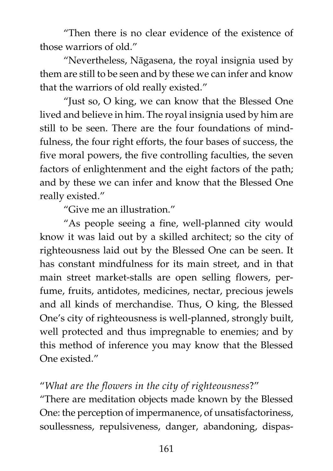"Then there is no clear evidence of the existence of those warriors of old."

"Nevertheless, Nàgasena, the royal insignia used by them are still to be seen and by these we can infer and know that the warriors of old really existed."

"Just so, O king, we can know that the Blessed One lived and believe in him. The royal insignia used by him are still to be seen. There are the four foundations of mindfulness, the four right efforts, the four bases of success, the five moral powers, the five controlling faculties, the seven factors of enlightenment and the eight factors of the path; and by these we can infer and know that the Blessed One really existed."

"Give me an illustration."

"As people seeing a fine, well-planned city would know it was laid out by a skilled architect; so the city of righteousness laid out by the Blessed One can be seen. It has constant mindfulness for its main street, and in that main street market-stalls are open selling flowers, perfume, fruits, antidotes, medicines, nectar, precious jewels and all kinds of merchandise. Thus, O king, the Blessed One's city of righteousness is well-planned, strongly built, well protected and thus impregnable to enemies; and by this method of inference you may know that the Blessed One existed."

#### "*What are the flowers in the city of righteousness*?"

"There are meditation objects made known by the Blessed One: the perception of impermanence, of unsatisfactoriness, soullessness, repulsiveness, danger, abandoning, dispas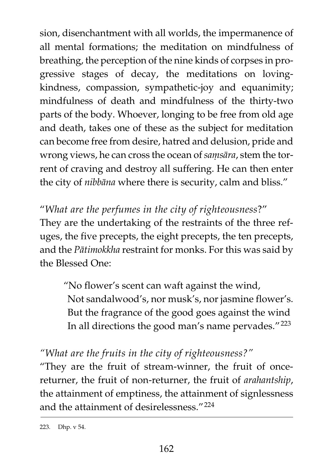sion, disenchantment with all worlds, the impermanence of all mental formations; the meditation on mindfulness of breathing, the perception of the nine kinds of corpses in progressive stages of decay, the meditations on lovingkindness, compassion, sympathetic-joy and equanimity; mindfulness of death and mindfulness of the thirty-two parts of the body. Whoever, longing to be free from old age and death, takes one of these as the subject for meditation can become free from desire, hatred and delusion, pride and wrong views, he can cross the ocean of *samsāra*, stem the torrent of craving and destroy all suffering. He can then enter the city of *nibbàna* where there is security, calm and bliss."

"*What are the perfumes in the city of righteousness*?"

They are the undertaking of the restraints of the three refuges, the five precepts, the eight precepts, the ten precepts, and the *Pàtimokkha* restraint for monks. For this was said by the Blessed One:

"No flower's scent can waft against the wind, Not sandalwood's, nor musk's, nor jasmine flower's. But the fragrance of the good goes against the wind In all directions the good man's name pervades."<sup>223</sup>

#### *"What are the fruits in the city of righteousness?"*

"They are the fruit of stream-winner, the fruit of oncereturner, the fruit of non-returner, the fruit of *arahantship*, the attainment of emptiness, the attainment of signlessness and the attainment of desirelessness."<sup>224</sup>

<sup>223.</sup> Dhp. v 54.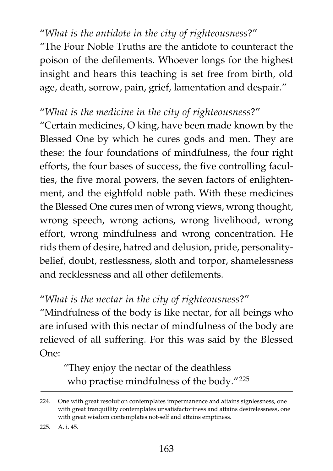#### "*What is the antidote in the city of righteousness*?"

"The Four Noble Truths are the antidote to counteract the poison of the defilements. Whoever longs for the highest insight and hears this teaching is set free from birth, old age, death, sorrow, pain, grief, lamentation and despair."

#### "*What is the medicine in the city of righteousness*?"

"Certain medicines, O king, have been made known by the Blessed One by which he cures gods and men. They are these: the four foundations of mindfulness, the four right efforts, the four bases of success, the five controlling faculties, the five moral powers, the seven factors of enlightenment, and the eightfold noble path. With these medicines the Blessed One cures men of wrong views, wrong thought, wrong speech, wrong actions, wrong livelihood, wrong effort, wrong mindfulness and wrong concentration. He rids them of desire, hatred and delusion, pride, personalitybelief, doubt, restlessness, sloth and torpor, shamelessness and recklessness and all other defilements.

#### "*What is the nectar in the city of righteousness*?"

"Mindfulness of the body is like nectar, for all beings who are infused with this nectar of mindfulness of the body are relieved of all suffering. For this was said by the Blessed One:

"They enjoy the nectar of the deathless who practise mindfulness of the body."<sup>225</sup>

225. A. i. 45.

<sup>224.</sup> One with great resolution contemplates impermanence and attains signlessness, one with great tranquillity contemplates unsatisfactoriness and attains desirelessness, one with great wisdom contemplates not-self and attains emptiness.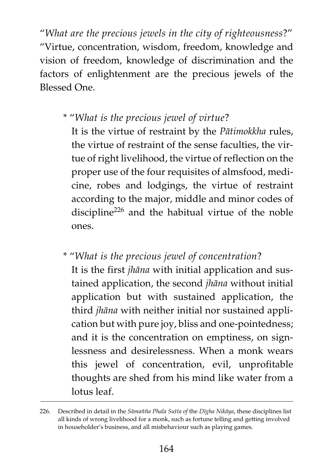"*What are the precious jewels in the city of righteousness*?" "Virtue, concentration, wisdom, freedom, knowledge and vision of freedom, knowledge of discrimination and the factors of enlightenment are the precious jewels of the Blessed One.

#### *\** "*What is the precious jewel of virtue*?

It is the virtue of restraint by the *Pàtimokkha* rules, the virtue of restraint of the sense faculties, the virtue of right livelihood, the virtue of reflection on the proper use of the four requisites of almsfood, medicine, robes and lodgings, the virtue of restraint according to the major, middle and minor codes of discipline<sup>226</sup> and the habitual virtue of the noble ones.

#### *\** "*What is the precious jewel of concentration*?

It is the first *jhàna* with initial application and sustained application, the second *jhàna* without initial application but with sustained application, the third *jhàna* with neither initial nor sustained application but with pure joy, bliss and one-pointedness; and it is the concentration on emptiness, on signlessness and desirelessness. When a monk wears this jewel of concentration, evil, unprofitable thoughts are shed from his mind like water from a lotus leaf.

<sup>226.</sup> Described in detail in the *Sàma¤¤a Phala Sutta of* the *Dãgha Nikàya*, these disciplines list all kinds of wrong livelihood for a monk, such as fortune telling and getting involved in householder's business, and all misbehaviour such as playing games.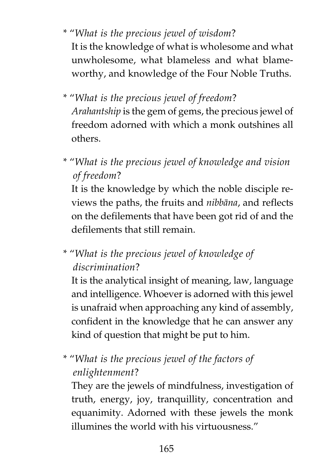- *\** "*What is the precious jewel of wisdom*? It is the knowledge of what is wholesome and what unwholesome, what blameless and what blameworthy, and knowledge of the Four Noble Truths.
- *\** "*What is the precious jewel of freedom*? *Arahantship* is the gem of gems, the precious jewel of freedom adorned with which a monk outshines all others.
- *\** "*What is the precious jewel of knowledge and vision of freedom*?

It is the knowledge by which the noble disciple reviews the paths, the fruits and *nibbàna*, and reflects on the defilements that have been got rid of and the defilements that still remain.

*\** "*What is the precious jewel of knowledge of discrimination*?

It is the analytical insight of meaning, law, language and intelligence. Whoever is adorned with this jewel is unafraid when approaching any kind of assembly, confident in the knowledge that he can answer any kind of question that might be put to him.

*\** "*What is the precious jewel of the factors of enlightenment*?

They are the jewels of mindfulness, investigation of truth, energy, joy, tranquillity, concentration and equanimity. Adorned with these jewels the monk illumines the world with his virtuousness."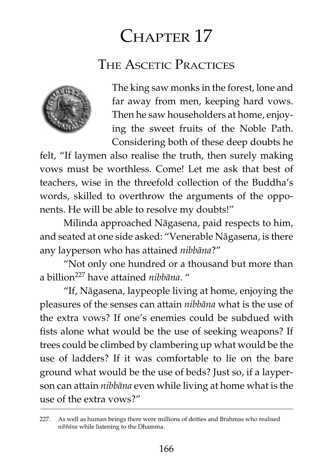# CHAPTER 17

# THE ASCETIC PRACTICES



The king saw monks in the forest, lone and far away from men, keeping hard vows. Then he saw householders at home, enjoying the sweet fruits of the Noble Path. Considering both of these deep doubts he

felt, "If laymen also realise the truth, then surely making vows must be worthless. Come! Let me ask that best of teachers, wise in the threefold collection of the Buddha's words, skilled to overthrow the arguments of the opponents. He will be able to resolve my doubts!"

Milinda approached Nàgasena, paid respects to him, and seated at one side asked: "Venerable Nàgasena, is there any layperson who has attained *nibbàna*?"

"Not only one hundred or a thousand but more than a billion227 have attained *nibbàna*. "

"If, Nàgasena, laypeople living at home, enjoying the pleasures of the senses can attain *nibbàna* what is the use of the extra vows? If one's enemies could be subdued with fists alone what would be the use of seeking weapons? If trees could be climbed by clambering up what would be the use of ladders? If it was comfortable to lie on the bare ground what would be the use of beds? Just so, if a layperson can attain *nibbàna* even while living at home what is the use of the extra vows?"

<sup>227.</sup> As well as human beings there were millions of deities and Brahmas who realised *nibbàna* while listening to the Dhamma.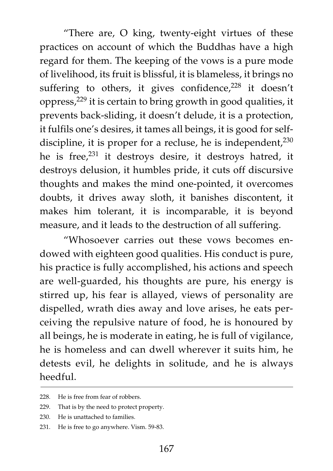"There are, O king, twenty-eight virtues of these practices on account of which the Buddhas have a high regard for them. The keeping of the vows is a pure mode of livelihood, its fruit is blissful, it is blameless, it brings no suffering to others, it gives confidence,  $228$  it doesn't oppress, $229$  it is certain to bring growth in good qualities, it prevents back-sliding, it doesn't delude, it is a protection, it fulfils one's desires, it tames all beings, it is good for selfdiscipline, it is proper for a recluse, he is independent,  $230$ he is free,231 it destroys desire, it destroys hatred, it destroys delusion, it humbles pride, it cuts off discursive thoughts and makes the mind one-pointed, it overcomes doubts, it drives away sloth, it banishes discontent, it makes him tolerant, it is incomparable, it is beyond measure, and it leads to the destruction of all suffering.

"Whosoever carries out these vows becomes endowed with eighteen good qualities. His conduct is pure, his practice is fully accomplished, his actions and speech are well-guarded, his thoughts are pure, his energy is stirred up, his fear is allayed, views of personality are dispelled, wrath dies away and love arises, he eats perceiving the repulsive nature of food, he is honoured by all beings, he is moderate in eating, he is full of vigilance, he is homeless and can dwell wherever it suits him, he detests evil, he delights in solitude, and he is always heedful.

<sup>228.</sup> He is free from fear of robbers.

<sup>229.</sup> That is by the need to protect property.

<sup>230.</sup> He is unattached to families.

<sup>231.</sup> He is free to go anywhere. Vism. 59-83.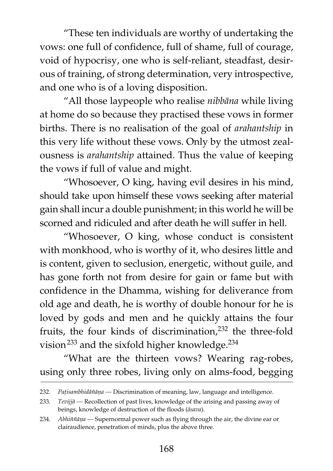"These ten individuals are worthy of undertaking the vows: one full of confidence, full of shame, full of courage, void of hypocrisy, one who is self-reliant, steadfast, desirous of training, of strong determination, very introspective, and one who is of a loving disposition.

"All those laypeople who realise *nibbàna* while living at home do so because they practised these vows in former births. There is no realisation of the goal of *arahantship* in this very life without these vows. Only by the utmost zealousness is *arahantship* attained. Thus the value of keeping the vows if full of value and might.

"Whosoever, O king, having evil desires in his mind, should take upon himself these vows seeking after material gain shall incur a double punishment; in this world he will be scorned and ridiculed and after death he will suffer in hell.

"Whosoever, O king, whose conduct is consistent with monkhood, who is worthy of it, who desires little and is content, given to seclusion, energetic, without guile, and has gone forth not from desire for gain or fame but with confidence in the Dhamma, wishing for deliverance from old age and death, he is worthy of double honour for he is loved by gods and men and he quickly attains the four fruits, the four kinds of discrimination, $232$  the three-fold vision<sup>233</sup> and the sixfold higher knowledge.<sup>234</sup>

"What are the thirteen vows? Wearing rag-robes, using only three robes, living only on alms-food, begging

<sup>232.</sup> Pațisambhidāñāņa — Discrimination of meaning, law, language and intelligence.

<sup>233.</sup> *Tevijjà —* Recollection of past lives, knowledge of the arising and passing away of beings, knowledge of destruction of the floods (*àsava*).

<sup>234.</sup> *Abhiññāna* — Supernormal power such as flying through the air, the divine ear or clairaudience, penetration of minds, plus the above three.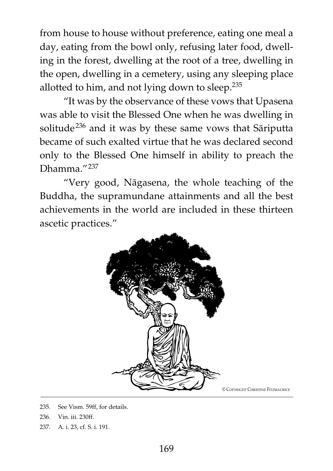from house to house without preference, eating one meal a day, eating from the bowl only, refusing later food, dwelling in the forest, dwelling at the root of a tree, dwelling in the open, dwelling in a cemetery, using any sleeping place allotted to him, and not lying down to sleep. $235$ 

"It was by the observance of these vows that Upasena was able to visit the Blessed One when he was dwelling in solitude<sup>236</sup> and it was by these same vows that Sariputta became of such exalted virtue that he was declared second only to the Blessed One himself in ability to preach the Dhamma."<sup>237</sup>

"Very good, Nàgasena, the whole teaching of the Buddha, the supramundane attainments and all the best achievements in the world are included in these thirteen ascetic practices."



© Copyright Christine Fitzmaurice

235. See Vism. 59ff, for details.

236. Vin. iii. 230ff.

237. A. i. 23, cf. S. i. 191.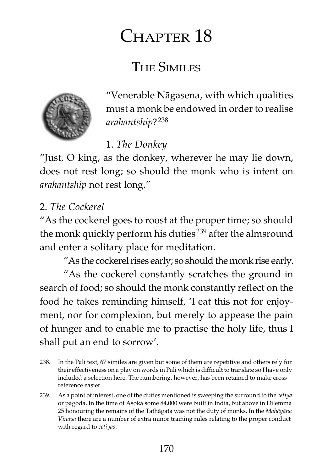# CHAPTER 18

# The Similes



"Venerable Nàgasena, with which qualities must a monk be endowed in order to realise *arahantship*?<sup>238</sup>

# 1. *The Donkey*

"Just, O king, as the donkey, wherever he may lie down, does not rest long; so should the monk who is intent on *arahantship* not rest long."

### 2. *The Cockerel*

"As the cockerel goes to roost at the proper time; so should the monk quickly perform his duties<sup>239</sup> after the almsround and enter a solitary place for meditation.

"As the cockerel rises early; so should the monk rise early.

"As the cockerel constantly scratches the ground in search of food; so should the monk constantly reflect on the food he takes reminding himself, 'I eat this not for enjoyment, nor for complexion, but merely to appease the pain of hunger and to enable me to practise the holy life, thus I shall put an end to sorrow'.

<sup>238.</sup> In the Pali text, 67 similes are given but some of them are repetitive and others rely for their effectiveness on a play on words in Pali which is difficult to translate so I have only included a selection here. The numbering, however, has been retained to make crossreference easier.

<sup>239.</sup> As a point of interest, one of the duties mentioned is sweeping the surround to the *cetiya* or pagoda. In the time of Asoka some 84,000 were built in India, but above in Dilemma 25 honouring the remains of the Tathàgata was not the duty of monks. In the *Mahàyàna Vinaya* there are a number of extra minor training rules relating to the proper conduct with regard to *cetiyas*.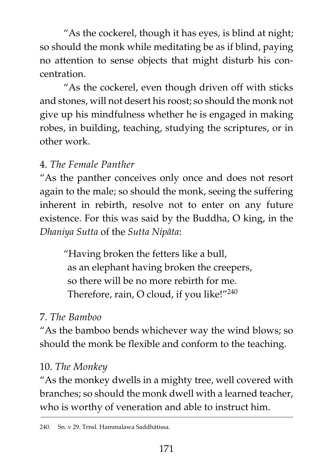"As the cockerel, though it has eyes, is blind at night; so should the monk while meditating be as if blind, paying no attention to sense objects that might disturb his concentration.

"As the cockerel, even though driven off with sticks and stones, will not desert his roost; so should the monk not give up his mindfulness whether he is engaged in making robes, in building, teaching, studying the scriptures, or in other work.

#### 4. *The Female Panther*

"As the panther conceives only once and does not resort again to the male; so should the monk, seeing the suffering inherent in rebirth, resolve not to enter on any future existence. For this was said by the Buddha, O king, in the *Dhaniya Sutta* of the *Sutta Nipàta*:

"Having broken the fetters like a bull, as an elephant having broken the creepers, so there will be no more rebirth for me. Therefore, rain, O cloud, if you like!"<sup>240</sup>

## 7. *The Bamboo*

"As the bamboo bends whichever way the wind blows; so should the monk be flexible and conform to the teaching.

#### 10. *The Monkey*

"As the monkey dwells in a mighty tree, well covered with branches; so should the monk dwell with a learned teacher, who is worthy of veneration and able to instruct him.

<sup>240.</sup> Sn. v 29. Trnsl. Hammalawa Saddhàtissa.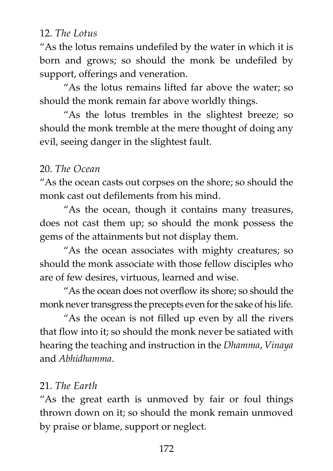#### 12. *The Lotus*

"As the lotus remains undefiled by the water in which it is born and grows; so should the monk be undefiled by support, offerings and veneration.

"As the lotus remains lifted far above the water; so should the monk remain far above worldly things.

"As the lotus trembles in the slightest breeze; so should the monk tremble at the mere thought of doing any evil, seeing danger in the slightest fault.

#### 20. *The Ocean*

"As the ocean casts out corpses on the shore; so should the monk cast out defilements from his mind.

"As the ocean, though it contains many treasures, does not cast them up; so should the monk possess the gems of the attainments but not display them.

"As the ocean associates with mighty creatures; so should the monk associate with those fellow disciples who are of few desires, virtuous, learned and wise.

"As the ocean does not overflow its shore; so should the monk never transgress the precepts even for the sake of his life.

"As the ocean is not filled up even by all the rivers that flow into it; so should the monk never be satiated with hearing the teaching and instruction in the *Dhamma*, *Vinaya* and *Abhidhamma*.

#### 21. *The Earth*

"As the great earth is unmoved by fair or foul things thrown down on it; so should the monk remain unmoved by praise or blame, support or neglect.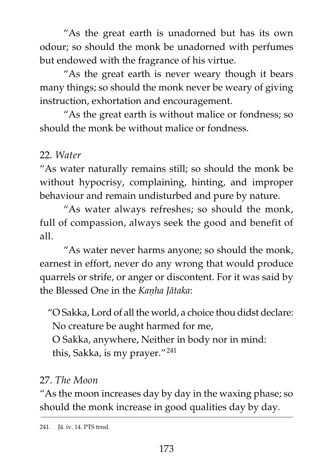"As the great earth is unadorned but has its own odour; so should the monk be unadorned with perfumes but endowed with the fragrance of his virtue.

"As the great earth is never weary though it bears many things; so should the monk never be weary of giving instruction, exhortation and encouragement.

"As the great earth is without malice or fondness; so should the monk be without malice or fondness.

#### 22. *Water*

"As water naturally remains still; so should the monk be without hypocrisy, complaining, hinting, and improper behaviour and remain undisturbed and pure by nature.

"As water always refreshes; so should the monk, full of compassion, always seek the good and benefit of all.

"As water never harms anyone; so should the monk, earnest in effort, never do any wrong that would produce quarrels or strife, or anger or discontent. For it was said by the Blessed One in the *Kaõha Jàtaka*:

"O Sakka, Lord of all the world, a choice thou didst declare: No creature be aught harmed for me,

O Sakka, anywhere, Neither in body nor in mind:

this, Sakka, is my prayer."<sup>241</sup>

# 27. *The Moon*

"As the moon increases day by day in the waxing phase; so should the monk increase in good qualities day by day.

<sup>241.</sup> Jà. iv. 14. PTS trnsl.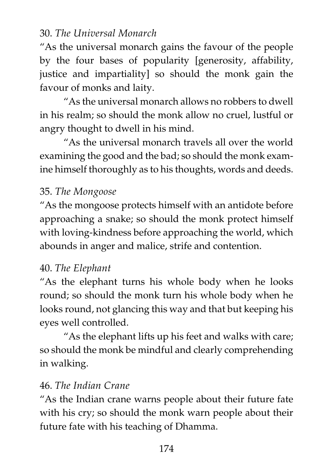#### 30. *The Universal Monarch*

"As the universal monarch gains the favour of the people by the four bases of popularity [generosity, affability, justice and impartiality] so should the monk gain the favour of monks and laity.

"As the universal monarch allows no robbers to dwell in his realm; so should the monk allow no cruel, lustful or angry thought to dwell in his mind.

"As the universal monarch travels all over the world examining the good and the bad; so should the monk examine himself thoroughly as to his thoughts, words and deeds.

#### 35. *The Mongoose*

"As the mongoose protects himself with an antidote before approaching a snake; so should the monk protect himself with loving-kindness before approaching the world, which abounds in anger and malice, strife and contention.

#### 40. *The Elephant*

"As the elephant turns his whole body when he looks round; so should the monk turn his whole body when he looks round, not glancing this way and that but keeping his eyes well controlled.

"As the elephant lifts up his feet and walks with care; so should the monk be mindful and clearly comprehending in walking.

#### 46. *The Indian Crane*

"As the Indian crane warns people about their future fate with his cry; so should the monk warn people about their future fate with his teaching of Dhamma.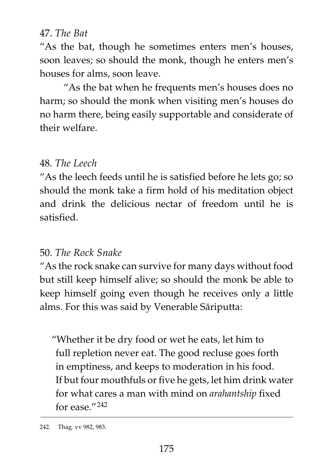#### 47. *The Bat*

"As the bat, though he sometimes enters men's houses, soon leaves; so should the monk, though he enters men's houses for alms, soon leave.

"As the bat when he frequents men's houses does no harm; so should the monk when visiting men's houses do no harm there, being easily supportable and considerate of their welfare.

#### 48. *The Leech*

"As the leech feeds until he is satisfied before he lets go; so should the monk take a firm hold of his meditation object and drink the delicious nectar of freedom until he is satisfied.

## 50. *The Rock Snake*

"As the rock snake can survive for many days without food but still keep himself alive; so should the monk be able to keep himself going even though he receives only a little alms. For this was said by Venerable Sàriputta:

"Whether it be dry food or wet he eats, let him to full repletion never eat. The good recluse goes forth in emptiness, and keeps to moderation in his food. If but four mouthfuls or five he gets, let him drink water for what cares a man with mind on *arahantship* fixed for ease. $1242$ 

<sup>242.</sup> Thag. vv 982, 983.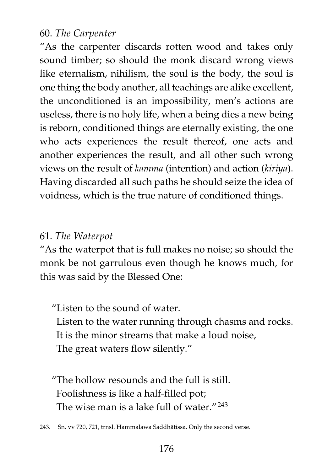#### 60. *The Carpenter*

"As the carpenter discards rotten wood and takes only sound timber; so should the monk discard wrong views like eternalism, nihilism, the soul is the body, the soul is one thing the body another, all teachings are alike excellent, the unconditioned is an impossibility, men's actions are useless, there is no holy life, when a being dies a new being is reborn, conditioned things are eternally existing, the one who acts experiences the result thereof, one acts and another experiences the result, and all other such wrong views on the result of *kamma* (intention) and action (*kiriya*). Having discarded all such paths he should seize the idea of voidness, which is the true nature of conditioned things.

#### 61. *The Waterpot*

"As the waterpot that is full makes no noise; so should the monk be not garrulous even though he knows much, for this was said by the Blessed One:

"Listen to the sound of water.

Listen to the water running through chasms and rocks. It is the minor streams that make a loud noise, The great waters flow silently."

"The hollow resounds and the full is still. Foolishness is like a half-filled pot; The wise man is a lake full of water."<sup>243</sup>

<sup>243.</sup> Sn. vv 720, 721, trnsl. Hammalawa Saddhàtissa. Only the second verse.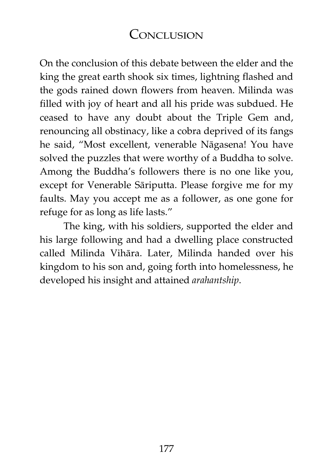# **CONCLUSION**

On the conclusion of this debate between the elder and the king the great earth shook six times, lightning flashed and the gods rained down flowers from heaven. Milinda was filled with joy of heart and all his pride was subdued. He ceased to have any doubt about the Triple Gem and, renouncing all obstinacy, like a cobra deprived of its fangs he said, "Most excellent, venerable Nàgasena! You have solved the puzzles that were worthy of a Buddha to solve. Among the Buddha's followers there is no one like you, except for Venerable Sàriputta. Please forgive me for my faults. May you accept me as a follower, as one gone for refuge for as long as life lasts."

The king, with his soldiers, supported the elder and his large following and had a dwelling place constructed called Milinda Vihàra. Later, Milinda handed over his kingdom to his son and, going forth into homelessness, he developed his insight and attained *arahantship*.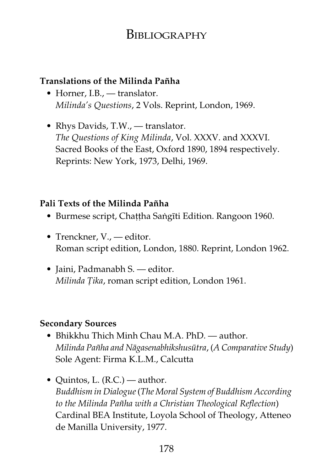# **BIBLIOGRAPHY**

#### **Translations of the Milinda Pañha**

- Horner, I.B., translator. *Milinda's Questions*, 2 Vols. Reprint, London, 1969.
- Rhys Davids, T.W., translator. *The Questions of King Milinda*, Vol. XXXV. and XXXVI. Sacred Books of the East, Oxford 1890, 1894 respectively. Reprints: New York, 1973, Delhi, 1969.

#### **Pali Texts of the Milinda Pa¤ha**

- Burmese script, Chațtha Sangīti Edition. Rangoon 1960.
- Trenckner, V., editor. Roman script edition, London, 1880. Reprint, London 1962.
- Jaini, Padmanabh S. editor. *Milinda Țika, roman script edition, London 1961.*

#### **Secondary Sources**

- Bhikkhu Thich Minh Chau M.A. PhD. author. *Milinda Pa¤ha and Nàgasenabhikshusåtra*, (*A Comparative Study*) Sole Agent: Firma K.L.M., Calcutta
- Quintos, L. (R.C.) author. *Buddhism in Dialogue* (*The Moral System of Buddhism According to the Milinda Pa¤ha with a Christian Theological Reflection*) Cardinal BEA Institute, Loyola School of Theology, Atteneo de Manilla University, 1977.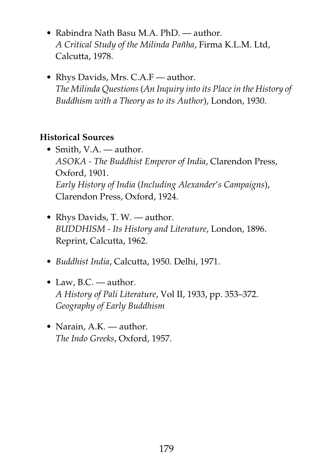- Rabindra Nath Basu M.A. PhD. author. *A Critical Study of the Milinda Pa¤ha*, Firma K.L.M. Ltd, Calcutta, 1978.
- Rhys Davids, Mrs. C.A.F author. *The Milinda Questions* (*An Inquiry into its Place in the History of Buddhism with a Theory as to its Author*), London, 1930.

#### **Historical Sources**

- Smith, V.A. author. *ASOKA - The Buddhist Emperor of India*, Clarendon Press, Oxford, 1901. *Early History of India* (*Including Alexander*'*s Campaigns*), Clarendon Press, Oxford, 1924.
- Rhys Davids, T. W. author. *BUDDHISM - Its History and Literature*, London, 1896. Reprint, Calcutta, 1962.
- *Buddhist India*, Calcutta, 1950. Delhi, 1971.
- Law, B.C. author. *A History of Pali Literature*, Vol II, 1933, pp. 353–372. *Geography of Early Buddhism*
- Narain, A.K. author. *The Indo Greeks*, Oxford, 1957.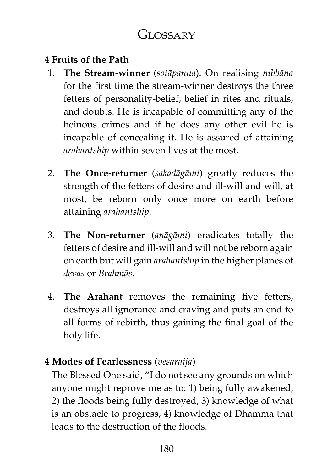# Glossary

#### **4 Fruits of the Path**

- 1. **The Stream-winner** (*sotàpanna*). On realising *nibbàna* for the first time the stream-winner destroys the three fetters of personality-belief, belief in rites and rituals, and doubts. He is incapable of committing any of the heinous crimes and if he does any other evil he is incapable of concealing it. He is assured of attaining *arahantship* within seven lives at the most.
- 2. **The Once-returner** (*sakadàgàmi*) greatly reduces the strength of the fetters of desire and ill-will and will, at most, be reborn only once more on earth before attaining *arahantship*.
- 3. **The Non-returner** (*anàgàmi*) eradicates totally the fetters of desire and ill-will and will not be reborn again on earth but will gain *arahantship* in the higher planes of *devas* or *Brahmàs*.
- 4. **The Arahant** removes the remaining five fetters, destroys all ignorance and craving and puts an end to all forms of rebirth, thus gaining the final goal of the holy life.

## **4 Modes of Fearlessness** (*vesàrajja*)

The Blessed One said, "I do not see any grounds on which anyone might reprove me as to: 1) being fully awakened, 2) the floods being fully destroyed, 3) knowledge of what is an obstacle to progress, 4) knowledge of Dhamma that leads to the destruction of the floods.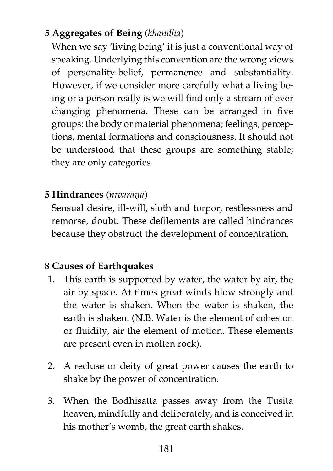# **5 Aggregates of Being** (*khandha*)

When we say 'living being' it is just a conventional way of speaking. Underlying this convention are the wrong views of personality-belief, permanence and substantiality. However, if we consider more carefully what a living being or a person really is we will find only a stream of ever changing phenomena. These can be arranged in five groups: the body or material phenomena; feelings, perceptions, mental formations and consciousness. It should not be understood that these groups are something stable; they are only categories.

### **5 Hindrances** (*nīvarana*)

Sensual desire, ill-will, sloth and torpor, restlessness and remorse, doubt. These defilements are called hindrances because they obstruct the development of concentration.

### **8 Causes of Earthquakes**

- 1. This earth is supported by water, the water by air, the air by space. At times great winds blow strongly and the water is shaken. When the water is shaken, the earth is shaken. (N.B. Water is the element of cohesion or fluidity, air the element of motion. These elements are present even in molten rock).
- 2. A recluse or deity of great power causes the earth to shake by the power of concentration.
- 3. When the Bodhisatta passes away from the Tusita heaven, mindfully and deliberately, and is conceived in his mother's womb, the great earth shakes.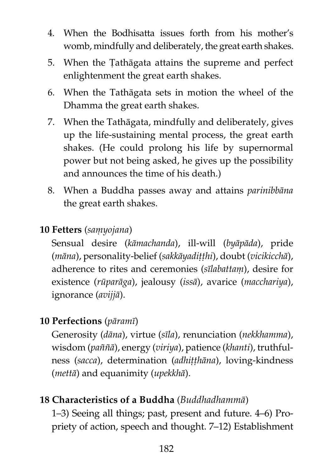- 4. When the Bodhisatta issues forth from his mother's womb, mindfully and deliberately, the great earth shakes.
- 5. When the Tathāgata attains the supreme and perfect enlightenment the great earth shakes.
- 6. When the Tathàgata sets in motion the wheel of the Dhamma the great earth shakes.
- 7. When the Tathàgata, mindfully and deliberately, gives up the life-sustaining mental process, the great earth shakes. (He could prolong his life by supernormal power but not being asked, he gives up the possibility and announces the time of his death.)
- 8. When a Buddha passes away and attains *parinibbàna* the great earth shakes.

### **10 Fetters** (samyojana)

Sensual desire (*kàmachanda*), ill-will (*byàpàda*), pride (*māna*), personality-belief (sakkāyadițțhi), doubt (vicikicchā), adherence to rites and ceremonies (*sãlabattaü*), desire for existence (*råparàga*), jealousy (*issà*), avarice (*macchariya*), ignorance (*avijjà*).

### **10 Perfections** (*pàramã*)

Generosity (*dàna*), virtue (*sãla*), renunciation (*nekkhamma*), wisdom (*pa¤¤à*), energy (*viriya*), patience (*khanti*), truthfulness (sacca), determination (adhițțhāna), loving-kindness (*mettà*) and equanimity (*upekkhà*).

# **18 Characteristics of a Buddha** (*Buddhadhammà*)

1–3) Seeing all things; past, present and future. 4–6) Propriety of action, speech and thought. 7–12) Establishment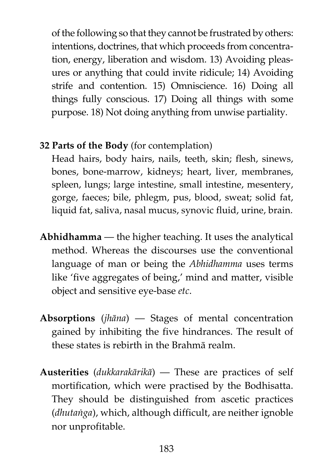of the following so that they cannot be frustrated by others: intentions, doctrines, that which proceeds from concentration, energy, liberation and wisdom. 13) Avoiding pleasures or anything that could invite ridicule; 14) Avoiding strife and contention. 15) Omniscience. 16) Doing all things fully conscious. 17) Doing all things with some purpose. 18) Not doing anything from unwise partiality.

### **32 Parts of the Body** (for contemplation)

Head hairs, body hairs, nails, teeth, skin; flesh, sinews, bones, bone-marrow, kidneys; heart, liver, membranes, spleen, lungs; large intestine, small intestine, mesentery, gorge, faeces; bile, phlegm, pus, blood, sweat; solid fat, liquid fat, saliva, nasal mucus, synovic fluid, urine, brain.

- **Abhidhamma** the higher teaching. It uses the analytical method. Whereas the discourses use the conventional language of man or being the *Abhidhamma* uses terms like 'five aggregates of being,' mind and matter, visible object and sensitive eye-base *etc*.
- **Absorptions** (*jhàna*) Stages of mental concentration gained by inhibiting the five hindrances. The result of these states is rebirth in the Brahmà realm.
- **Austerities** (*dukkarakàrikà*) These are practices of self mortification, which were practised by the Bodhisatta. They should be distinguished from ascetic practices (*dhutaïga*), which, although difficult, are neither ignoble nor unprofitable.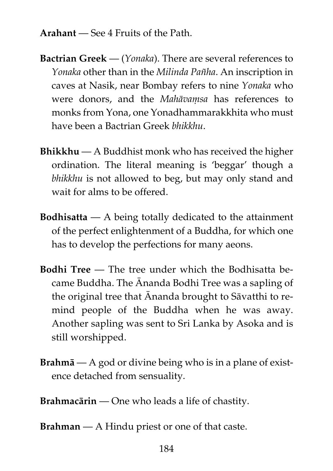**Arahant** — See 4 Fruits of the Path.

- **Bactrian Greek** (*Yonaka*). There are several references to *Yonaka* other than in the *Milinda Pa¤ha*. An inscription in caves at Nasik, near Bombay refers to nine *Yonaka* who were donors, and the *Mahāvamsa* has references to monks from Yona, one Yonadhammarakkhita who must have been a Bactrian Greek *bhikkhu*.
- **Bhikkhu** A Buddhist monk who has received the higher ordination. The literal meaning is 'beggar' though a *bhikkhu* is not allowed to beg, but may only stand and wait for alms to be offered.
- **Bodhisatta** A being totally dedicated to the attainment of the perfect enlightenment of a Buddha, for which one has to develop the perfections for many aeons.
- **Bodhi Tree** The tree under which the Bodhisatta became Buddha. The ânanda Bodhi Tree was a sapling of the original tree that ânanda brought to Sàvatthi to remind people of the Buddha when he was away. Another sapling was sent to Sri Lanka by Asoka and is still worshipped.
- **Brahmà** A god or divine being who is in a plane of existence detached from sensuality.
- **Brahmacàrin** One who leads a life of chastity.
- **Brahman** A Hindu priest or one of that caste.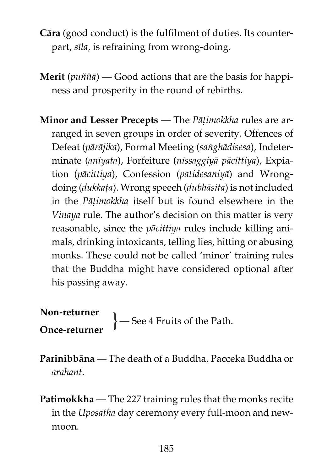- **Càra** (good conduct) is the fulfilment of duties. Its counterpart, *sãla*, is refraining from wrong-doing.
- **Merit** (*puññā*) Good actions that are the basis for happiness and prosperity in the round of rebirths.
- **Minor and Lesser Precepts** The *Pāṭimokkha* rules are arranged in seven groups in order of severity. Offences of Defeat (*pàràjika*), Formal Meeting (*saïghàdisesa*), Indeterminate (*aniyata*), Forfeiture (*nissaggiyà pàcittiya*), Expiation (*pàcittiya*), Confession (*patidesaniyà*) and Wrongdoing (*dukkaṭa*). Wrong speech (*dubhāsita*) is not included in the *Pāṭimokkha* itself but is found elsewhere in the *Vinaya* rule. The author's decision on this matter is very reasonable, since the *pàcittiya* rules include killing animals, drinking intoxicants, telling lies, hitting or abusing monks. These could not be called 'minor' training rules that the Buddha might have considered optional after his passing away.

**Non-returner** — See 4 Fruits of the Path. **Once-returner** }

**Parinibbàna** — The death of a Buddha, Pacceka Buddha or *arahant*.

**Patimokkha** — The 227 training rules that the monks recite in the *Uposatha* day ceremony every full-moon and newmoon.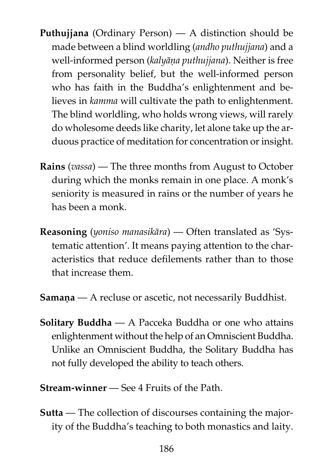- **Puthujjana** (Ordinary Person) A distinction should be made between a blind worldling (*andho puthujjana*) and a well-informed person (*kalyàõa puthujjana*). Neither is free from personality belief, but the well-informed person who has faith in the Buddha's enlightenment and believes in *kamma* will cultivate the path to enlightenment. The blind worldling, who holds wrong views, will rarely do wholesome deeds like charity, let alone take up the arduous practice of meditation for concentration or insight.
- **Rains** (*vassa*) The three months from August to October during which the monks remain in one place. A monk's seniority is measured in rains or the number of years he has been a monk.
- **Reasoning** (*yoniso manasikàra*) Often translated as 'Systematic attention'. It means paying attention to the characteristics that reduce defilements rather than to those that increase them.
- **Samaņa** A recluse or ascetic, not necessarily Buddhist.
- **Solitary Buddha** A Pacceka Buddha or one who attains enlightenment without the help of an Omniscient Buddha. Unlike an Omniscient Buddha, the Solitary Buddha has not fully developed the ability to teach others.
- **Stream-winner** See 4 Fruits of the Path.
- **Sutta** The collection of discourses containing the majority of the Buddha's teaching to both monastics and laity.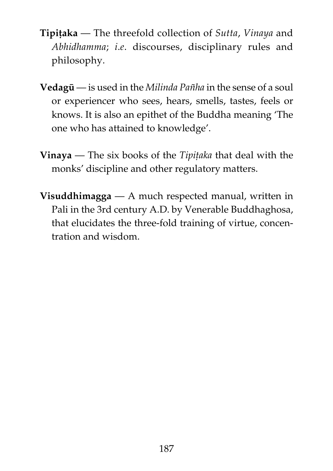- **Tipițaka** The threefold collection of *Sutta*, *Vinaya* and *Abhidhamma*; *i*.*e*. discourses, disciplinary rules and philosophy.
- **Vedagå** is used in the *Milinda Pa¤ha* in the sense of a soul or experiencer who sees, hears, smells, tastes, feels or knows. It is also an epithet of the Buddha meaning 'The one who has attained to knowledge'.
- **Vinaya** The six books of the *Tipițaka* that deal with the monks' discipline and other regulatory matters.
- **Visuddhimagga** A much respected manual, written in Pali in the 3rd century A.D. by Venerable Buddhaghosa, that elucidates the three-fold training of virtue, concentration and wisdom.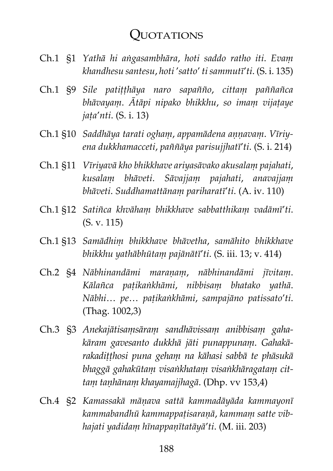# QUOTATIONS

- Ch.1 §1 *Yathà hi aïgasambhàra*, *hoti saddo ratho iti*. *Evaü khandhesu santesu*, *hoti* '*satto*' *ti sammutã*'*ti*. (S. i. 135)
- Ch.1 §9 *Sile patiññhàya naro sapa¤¤o*, *cittaü pa¤¤a¤ca bhāvayam. Ātāpi nipako bhikkhu, so imam vijataye jața'nti*. (S. *i.* 13)
- Ch.1 §10 *Saddhāya tarati ogham, appamādena annavam. Vīriyena dukkhamacceti*, *pa¤¤àya parisujjhatã*'*ti*. (S. i. 214)
- Ch.1 §11 *Vãriyavà kho bhikkhave ariyasàvako akusalaü pajahati*, *kusalaü bhàveti*. *Sàvajjaü pajahati*, *anavajjaü bhàveti*. *Suddhamattànaü pariharatã*'*ti*. (A. iv. 110)
- Ch.1 §12 *Sati¤ca khvàhaü bhikkhave sabbatthikaü vadàmã*'*ti*. (S. v. 115)
- Ch.1 §13 *Samàdhiü bhikkhave bhàvetha*, *samàhito bhikkhave bhikkhu yathàbhåtaü pajànàtã*'*ti*. (S. iii. 13; v. 414)
- Ch.2 §4 *Nàbhinandàmi maraõaü*, *nàbhinandàmi jãvitaü*. *Kàla¤ca pañikaïkhàmi*, *nibbisaü bhatako yathà*. *Nàbhi*… *pe*… *pañikaïkhàmi*, *sampajàno patissato*'*ti*. (Thag. 1002,3)
- Ch.3 §3 Anekajātisamsāram sandhāvissam anibbisam gahakāram gavesanto dukkhā jāti punappunam. Gahakā*rakadiññhosi puna gehaü na kàhasi sabbà te phàsukà bhaggā gahakūtam visankhatam visankhāragatam cittaü taõhànaü khayamajjhagà*. (Dhp. vv 153,4)
- Ch.4 §2 *Kamassakà màõava sattà kammadàyàda kammayonã kammabandhå kammappañisaraõà*, *kammaü satte vibhajati yadidaü hãnappaõãtatàyà*'*ti*. (M. iii. 203)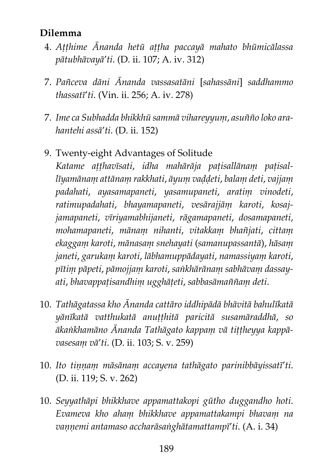#### **Dilemma**

- 4. *Aññhime ânanda hetå aññha paccayà mahato bhåmicàlassa pàtubhàvayà*'*ti*. (D. ii. 107; A. iv. 312)
- 7. *Pa¤ceva dàni ânanda vassasatàni* [*sahassàni*] *saddhammo thassatã*'*ti*. (Vin. ii. 256; A. iv. 278)
- 7. Ime ca Subhadda bhikkhū sammā vihareyyum, asuñño loko ara*hantehi assà*'*ti*. (D. ii. 152)
- 9. Twenty-eight Advantages of Solitude

Katame ațțhavīsati, idha mahārāja pațisallānam pațisal*lãyamànaü attànaü rakkhati*, *àyuü vaóóeti*, *balaü deti*, *vajjaü padahati*, *ayasamapaneti*, *yasamupaneti*, *aratiü vinodeti*, *ratimupadahati*, *bhayamapaneti*, *vesàrajjàü karoti*, *kosajjamapaneti*, *vãriyamabhijaneti*, *ràgamapaneti*, *dosamapaneti*, *mohamapaneti, mānam nihanti, vitakkam bhañjati, cittam ekaggaü karoti*, *mànasaü snehayati* (*samanupassantà*), *hàsaü janeti*, *garukaü karoti*, *làbhamuppàdayati*, *namassiyaü karoti*, *pãtiü pàpeti*, *pàmojjaü karoti*, *saïkhàrànaü sabhàvaü dassayati*, *bhavappañisandhiü ugghàñeti*, *sabbasàma¤¤aü deti*.

- 10. *Tathàgatassa kho ânanda cattàro iddhipàdà bhàvità bahulãkatà yànãkatà vatthukatà anuññhità paricità susamàraddhà*, *so* ākankhamāno Ānanda Tathāgato kappam vā tițtheyya kappā*vasesam vā'ti.* (D. ii. 103; S. v. 259)
- 10. Ito tiņņam māsānam accayena tathāgato parinibbāyissatī'ti. (D. ii. 119; S. v. 262)
- 10. *Seyyathàpi bhikkhave appamattakopi gåtho duggandho hoti*. Evameva kho aham bhikkhave appamattakampi bhavam na *vaõõemi antamaso accharàsaïghàtamattampã*'*ti*. (A. i. 34)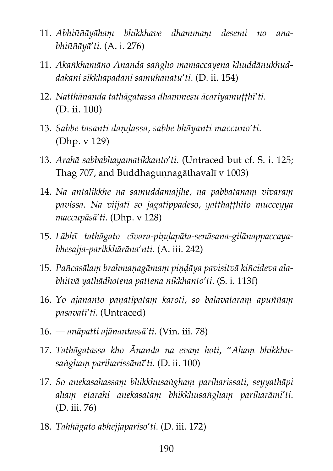- 11. Abhiññāyāham bhikkhave dhammam desemi no ana*bhi¤¤àyà*'*ti*. (A. i. 276)
- 11. *âkaïkhamàno ânanda saïgho mamaccayena khuddànukhuddakàni sikkhàpadàni samåhanatå*'*ti*. (D. ii. 154)
- 12. *Natthānanda tathāgatassa dhammesu ācariyamuṭṭhī'ti*. (D. ii. 100)
- 13. *Sabbe tasanti daõóassa*, *sabbe bhàyanti maccuno*'*ti*. (Dhp. v 129)
- 13. *Arahà sabbabhayamatikkanto*'*ti*. (Untraced but cf. S. i. 125; Thag 707, and Buddhaguṇnagāthavalī v 1003)
- 14. Na antalikkhe na samuddamajjhe, na pabbatānam vivaram  $pa*vissa*$ *. Na vijjatī so jagatippadeso, yatthațțhito mucceyya maccupàsà*'*ti*. (Dhp. v 128)
- 15. Lābhī tathāgato cīvara-piņ*dapāta-senāsana-gilānappaccayabhesajja-parikkhàràna*'*nti*. (A. iii. 242)
- 15. Pañcasālam brahmaņagāmam piņ*dāya pavisitvā kiñcideva alabhitvà yathàdhotena pattena nikkhanto*'*ti*. (S. i. 113f)
- 16. Yo ajānanto pāņātipātam karoti, so balavataram apuññam *pasavatã*'*ti*. (Untraced)
- 16.  *anàpatti ajànantassà*'*ti*. (Vin. iii. 78)
- 17. Tathāgatassa kho Ānanda na evam hoti, "Aham bhikkhu*saïghaü pariharissàmã*'*ti*. (D. ii. 100)
- 17. So anekasahassam bhikkhusangham pariharissati, seyyathāpi *ahaü etarahi anekasataü bhikkhusaïghaü pariharàmi*'*ti*. (D. iii. 76)
- 18. *Tahhàgato abhejjapariso*'*ti*. (D. iii. 172)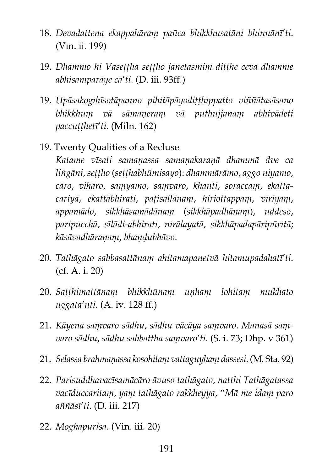- 18. *Devadattena ekappahàraü pa¤ca bhikkhusatàni bhinnànã*'*ti*. (Vin. ii. 199)
- 19. *Dhammo hi Vāsețtha sețtho janetasmim dițthe ceva dhamme abhisamparàye cà*'*ti*. (D. iii. 93ff.)
- 19. *Upāsakogihīsotāpanno pihitāpāyoditthippatto viññātasāsano* bhikkhum vā sāmaneram vā puthujjanam abhivādeti *paccutthetī'ti.* (Miln. 162)
- 19. Twenty Qualities of a Recluse

*Katame vãsati samaõassa samaõakaraõà dhammà dve ca*  $l$ *ingāni*, sețțho (*sețțhabhūmisayo*): *dhammārāmo*, aggo niyamo,  $c\bar{a}$ ro, *vihāro*, samyamo, samvaro, khanti, soraccam, ekatta*cariyà*, *ekattàbhirati*, *pañisallànaü*, *hiriottappaü*, *vãriyaü*, *appamàdo*, *sikkhàsamàdànaü* (*sikkhàpadhànaü*), *uddeso*, *paripucchà*, *sãlàdi-abhirati*, *niràlayatà*, *sikkhàpadapàripårità*;  $k$ āsāvadhāraņam, bhaņḍubhāvo.

- 20. *Tathàgato sabbasattànaü ahitamapanetvà hitamupadahatã*'*ti*. (cf. A. i. 20)
- 20. *Saññhimattànaü bhikkhånaü uõhaü lohitaü mukhato uggata*'*nti*. (A. iv. 128 ff.)
- 21. Kāyena samvaro sādhu, sādhu vācāya samvaro. Manasā sam*varo sàdhu*, *sàdhu sabbattha saüvaro*'*ti*. (S. i. 73; Dhp. v 361)
- 21. *Selassa brahmanassa kosohitam vattaguyham dassesi*. (M. Sta. 92)
- 22. *Parisuddhavacãsamàcàro àvuso tathàgato*, *natthi Tathàgatassa vacãduccaritaü*, *yaü tathàgato rakkheyya*, "*Mà me idaü paro a¤¤àsã*'*ti*. (D. iii. 217)
- 22. *Moghapurisa*. (Vin. iii. 20)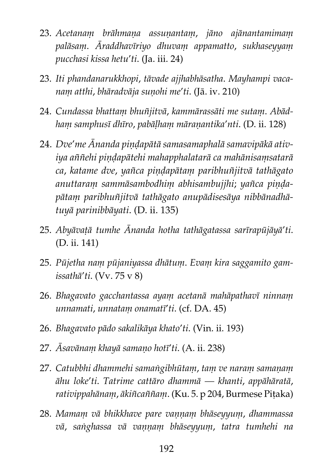- 23. *Acetanaü bràhmaõa assuõantaü*, *jàno ajànantamimaü palàsaü*. *âraddhavãriyo dhuvaü appamatto*, *sukhaseyyaü pucchasi kissa hetu*'*ti*. (Ja. iii. 24)
- 23. *Iti phandanarukkhopi*, *tàvade ajjhabhàsatha*. *Mayhampi vacanaü atthi*, *bhàradvàja suõohi me*'*ti*. (Jà. iv. 210)
- 24. Cundassa bhattam bhuñjitvā, kammārassāti me sutam. Abād*haü samphusã dhãro*, *pabàëhaü màraõantika*'*nti*. (D. ii. 128)
- 24. Dve'me Ānanda piņḍapātā samasamaphalā samavipākā ativiya aññehi piṇḍapātehi mahapphalatarā ca mahānisamsatarā *ca*, *katame dve*, *ya¤ca piõóapàtaü paribhu¤jitvà tathàgato* anuttaram sammāsambodhim abhisambujjhi; yañca piņḍa*pàtaü paribhu¤jitvà tathàgato anupàdisesàya nibbànadhàtuyà parinibbàyati*. (D. ii. 135)
- 25. *Abyàvañà tumhe ânanda hotha tathàgatassa sarãrapåjàyà*'*ti*. (D. ii. 141)
- 25. Pūjetha nam pūjaniyassa dhātum. Evam kira saggamito gam*issathà*'*ti*. (Vv. 75 v 8)
- 26. *Bhagavato gacchantassa ayam acetanā mahāpathavī ninnam unnamati*, *unnataü onamatã*'*ti*. (cf. DA. 45)
- 26. *Bhagavato pàdo sakalikàya khato*'*ti*. (Vin. ii. 193)
- 27. *Asavānam khayā samano hotī'ti*. (A. ii. 238)
- 27. Catubbhi dhammehi samangibhūtam, tam ve naram samanam *àhu loke*'*ti*. *Tatrime cattàro dhammà — khanti*, *appàhàratà*, *rativippahānam, ākiñcaññam.* (Ku. 5. p 204, Burmese Pițaka)
- 28. *Mamaü và bhikkhave pare vaõõaü bhàseyyuü*, *dhammassa và*, *saïghassa và vaõõaü bhàseyyuü*, *tatra tumhehi na*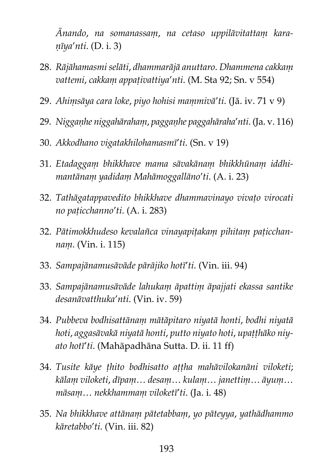$\bar{A}$ nando, na somanassam, na cetaso uppilāvitattam kara*õãya*'*nti*. (D. i. 3)

- 28. *Ràjàhamasmi selàti*, *dhammaràjà anuttaro*. *Dhammena cakkaü vattemi, cakkam appațivattiya'nti.* (M. Sta 92; Sn. v 554)
- 29. *Ahiüsàya cara loke*, *piyo hohisi maümivà*'*ti*. (Jà. iv. 71 v 9)
- 29. *Niggaõhe niggahàrahaü*, *paggaõhe paggahàraha*'*nti*. (Ja. v. 116)
- 30. *Akkodhano vigatakhilohamasmã*'*ti*. (Sn. v 19)
- 31. Etadaggam bhikkhave mama sāvakānam bhikkhūnam iddhi*mantànaü yadidaü Mahàmoggallàno*'*ti*. (A. i. 23)
- 32. *Tathàgatappavedito bhikkhave dhammavinayo vivaño virocati no pañicchanno*'*ti*. (A. i. 283)
- 32. Pātimokkhudeso kevalañca vinayapitakam pihitam paticchan*nam.* (Vin. i. 115)
- 33. *Sampajànamusàvàde pàràjiko hotã*'*ti*. (Vin. iii. 94)
- 33. Sampajānamusāvāde lahukam āpattim āpajjati ekassa santike *desanàvatthuka*'*nti*. (Vin. iv. 59)
- 34. *Pubbeva bodhisattànaü màtàpitaro niyatà honti*, *bodhi niyatà hoti*, *aggasàvakà niyatà honti*, *putto niyato hoti*, *upaññhàko niyato hotã*'*ti*. (Mahàpadhàna Sutta. D. ii. 11 ff)
- 34. Tusite kāye thito bodhisatto attha mahāvilokanāni viloketi; *kàlaü viloketi*, *dãpaü*… *desaü*… *kulaü*… *janettiü*… *àyuü*… *māsam*... nekkhammam viloketī'ti. (Ja. i. 48)
- 35. *Na bhikkhave attànaü pàtetabbaü*, *yo pàteyya*, *yathàdhammo kàretabbo*'*ti*. (Vin. iii. 82)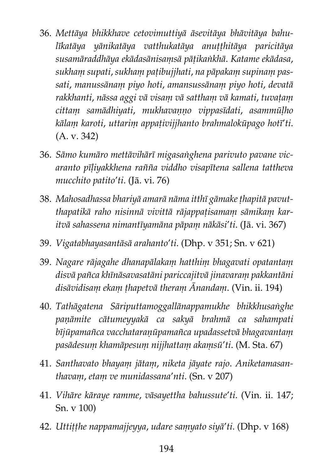- 36. *Mettàya bhikkhave cetovimuttiyà àsevitàya bhàvitàya bahu*līkatāya yānikatāya vatthukatāya anuțțhitāya paricitāya *susamàraddhàya ekàdasànisaüsà pàñikaïkhà*. *Katame ekàdasa*, sukham supati, sukham patibujjhati, na pāpakam supinam pas*sati*, *manussànaü piyo hoti*, *amansussànaü piyo hoti*, *devatà rakkhanti, nāssa aggi vā visam vā sattham vā kamati, tuvatam cittaü samàdhiyati*, *mukhavaõõo vippasãdati*, *asammåëho kàlaü karoti*, *uttariü appañivijjhanto brahmalokåpago hotã*'*ti*. (A. v. 342)
- 36. *Sàmo kumàro mettàvihàrã migasaïghena parivuto pavane vicaranto pãëiyakkhena ra¤¤a viddho visapãtena sallena tattheva mucchito patito*'*ti*. (Jà. vi. 76)
- 38. Mahosadhassa bhariyā amarā nāma itthī gāmake *thapitā pavut*thapatikā raho nisinnā vivittā rājappațisamam sāmikam kar*itvà sahassena nimantãyamàna pàpaü nàkàsi*'*ti*. (Jà. vi. 367)
- 39. *Vigatabhayasantàsà arahanto*'*ti*. (Dhp. v 351; Sn. v 621)
- 39. Nagare rājagahe dhanapālakam hatthim bhagavati opatantam *disvà pa¤ca khãnàsavasatàni pariccajitvà jinavaraü pakkantàni* disāvidisam ekam *thapetvā theram Ānandam.* (Vin. ii. 194)
- 40. *Tathàgatena Sàriputtamoggallànappamukhe bhikkhusaïghe paõàmite càtumeyyakà ca sakyà brahmà ca sahampati* bījūpamañca vacchataraṇūpamañca upadassetvā bhagavantaṃ *pasàdesuü khamàpesuü nijjhattaü akaüså*'*ti*. (M. Sta. 67)
- 41. *Santhavato bhayaü jàtaü*, *niketa jàyate rajo*. *Aniketamasanthavam, etam ve munidassana'nti.* (Sn. v 207)
- 41. *Vihàre kàraye ramme*, *vàsayettha bahussute*'*ti*. (Vin. ii. 147; Sn. v 100)
- 42. *Uttițihe nappamajjeyya, udare samyato siyā'ti*. (Dhp. v 168)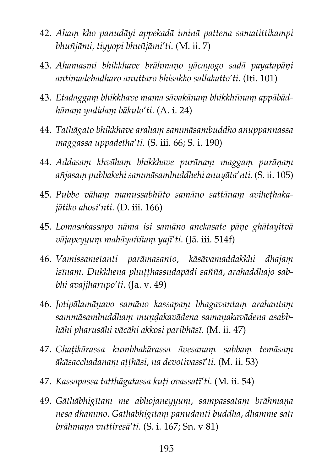- 42. *Ahaü kho panudàyi appekadà iminà pattena samatittikampi bhu¤jàmi*, *tiyyopi bhu¤jàmi*'*ti*. (M. ii. 7)
- 43. *Ahamasmi bhikkhave brāhmaņo yācayogo sadā payatapāņi antimadehadharo anuttaro bhisakko sallakatto*'*ti*. (Iti. 101)
- 43. Etadaggam bhikkhave mama sāvakānam bhikkhūnam appābād*hànaü yadidaü bàkulo*'*ti*. (A. i. 24)
- 44. *Tathàgato bhikkhave arahaü sammàsambuddho anuppannassa maggassa uppàdethà*'*ti*. (S. iii. 66; S. i. 190)
- 44. *Addasam khvāham bhikkhave purānam maggam purānam a¤jasaü pubbakehi sammàsambuddhehi anuyàta*'*nti*. (S. ii. 105)
- 45. Pubbe vāham manussabhūto samāno sattānam avihethaka*jàtiko ahosi*'*nti*. (D. iii. 166)
- 45. *Lomasakassapo nàma isi samàno anekasate pàõe ghàtayitvà vàjapeyyuü mahàya¤¤aü yajã*'*ti*. (Jà. iii. 514f)
- 46. *Vamissametanti paràmasanto*, *kàsàvamaddakkhi dhajaü* isīnam. Dukkhena phuțțhassudapādi saññā, arahaddhajo sab*bhi avajjharåpo*'*ti*. (Jà. v. 49)
- 46. Jotipālamāņavo samāno kassapam bhagavantam arahantam sammāsambuddham mundakavādena samanakavādena asabb*hàhi pharusàhi vàcàhi akkosi paribhàsã*. (M. ii. 47)
- 47. Ghațikārassa kumbhakārassa āvesanam sabbam temāsam  $\bar{a}$ kāsacchadanam aṭṭhāsi, na devotivassī'ti. (M. ii. 53)
- 47. *Kassapassa tatthàgatassa kuñi ovassatã*'*ti*. (M. ii. 54)
- 49. Gāthābhigītam me abhojaneyyum, sampassatam brāhmaņa *nesa dhammo*. *Gàthàbhigãtaü panudanti buddhà*, *dhamme satã bràhmaõa vuttiresà*'*ti*. (S. i. 167; Sn. v 81)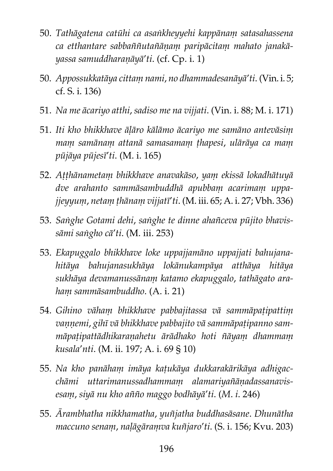- 50. *Tathàgatena catåhi ca asaïkheyyehi kappànaü satasahassena* ca etthantare sabbaññutañāņam paripācitam mahato janakā*yassa samuddharaõàyà*'*ti*. (cf. Cp. i. 1)
- 50. *Appossukkatàya cittaü nami*, *no dhammadesanàyà*'*ti*. (Vin. i. 5; cf. S. i. 136)
- 51. *Na me àcariyo atthi*, *sadiso me na vijjati*. (Vin. i. 88; M. i. 171)
- 51. *Iti kho bhikkhave àëàro kàlàmo àcariyo me samàno antevàsiü maü samànaü attanà samasamaü ñhapesi*, *ulàràya ca maü påjàya påjesã*'*ti*. (M. i. 165)
- 52. Ațțhānametam bhikkhave anavakāso, yam ekissā lokadhātuyā dve arahanto sammāsambuddhā apubbam acarimam uppa*jjeyyum, netam thānam vijjatī' ti.* (M. iii. 65; A. i. 27; Vbh. 336)
- 53. *Saïghe Gotami dehi*, *saïghe te dinne aha¤ceva påjito bhavissàmi saïgho cà*'*ti*. (M. iii. 253)
- 53. *Ekapuggalo bhikkhave loke uppajjamàno uppajjati bahujanahitàya bahujanasukhàya lokànukampàya atthàya hitàya* sukhāya devamanussānam katamo ekapuggalo, tathāgato ara*haü sammàsambuddho*. (A. i. 21)
- 54. Gihino vāham bhikkhave pabbajitassa vā sammāpațipattim vannemi, gihī vā bhikkhave pabbajito vā sammāpatipanno sam*māpațipattādhikaraņahetu ārādhako hoti ñāyam dhammam kusala*'*nti*. (M. ii. 197; A. i. 69 § 10)
- 55. Na kho panāham imāya katukāya dukkarakārikāya adhigacchāmi uttarimanussadhammam alamariyañāņadassanavis*esam, siyā nu kho añño maggo bodhāyā'ti*. (M. *i*. 246)
- 55. *ârambhatha nikkhamatha*, *yu¤jatha buddhasàsane*. *Dhunàtha maccuno senaü*, *naëàgàraüva ku¤jaro*'*ti*. (S. i. 156; Kvu. 203)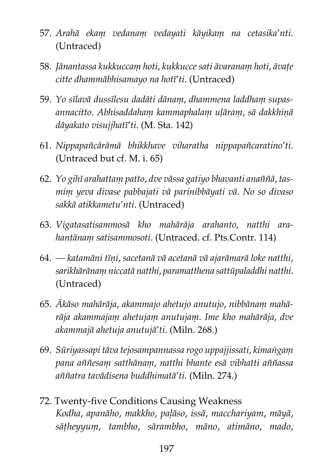- 57. *Arahā ekam vedanam vedayati kāyikam na cetasika'nti*. (Untraced)
- 58. *Jānantassa kukkuccam hoti, kukkucce sati āvaranam hoti, āvațe citte dhammàbhisamayo na hotã*'*ti*. (Untraced)
- 59. Yo sīlavā dussīlesu dadāti dānam, dhammena laddham supas*annacitto*. *Abhisaddahaü kammaphalaü uëàraü*, *sà dakkhiõà dàyakato visujjhatã*'*ti*. (M. Sta. 142)
- 61. *Nippapa¤càràmà bhikkhave viharatha nippapa¤caratino*'*ti*. (Untraced but cf. M. i. 65)
- 62. *Yo gihã arahattaü patto*, *dve vàssa gatiyo bhavanti ana¤¤à*, *tasmiü yeva divase pabbajati và parinibbàyati và*. *No so divaso sakkà atikkametu*'*nti*. (Untraced)
- 63. *Vigatasatisammosà kho mahàràja arahanto*, *natthi ara*hantānam satisammosoti. (Untraced. cf. Pts.Contr. 114)
- 64.  *katamàni tãõi*, *sacetanà và acetanà và ajaràmarà loke natthi*, *sarikhàrànaü niccatà natthi*, *paramatthena sattåpaladdhi natthi*. (Untraced)
- 65. *âkàso mahàràja*, *akammajo ahetujo anutujo*, *nibbànaü mahàràja akammajaü ahetujaü anutujaü*. *Ime kho mahàràja*, *dve akammajà ahetuja anutujà*'*ti*. (Miln. 268.)
- 69. *Såriyassapi tàva tejosampannassa rogo uppajjissati*, *kimaïgaü pana a¤¤esaü satthànaü*, *natthi bhante esà vibhatti a¤¤assa a¤¤atra tavàdisena buddhimatà*'*ti*. (Miln. 274.)
- 72. Twenty-five Conditions Causing Weakness *Kodha*, *apanàho*, *makkho*, *paëàso*, *issà*, *macchariyam*, *màyà*, *sàñheyyuü*, *tambho*, *sàrambho*, *màno*, *atimàno*, *mado*,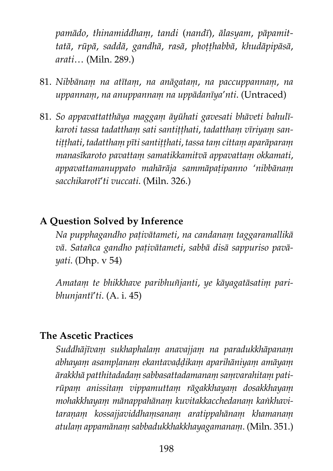*pamàdo*, *thinamiddhaü*, *tandi* (*nandã*), *àlasyam*, *pàpamittatà*, *råpà*, *saddà*, *gandhà*, *rasà*, *phoññhabbà*, *khudàpipàsà*, *arati*… (Miln. 289.)

- 81. *Nibbànaü na atãtaü*, *na anàgataü*, *na paccuppannaü*, *na uppannam, na anuppannam na uppādanīya'nti*. (Untraced)
- 81. So appavattatthāya maggam āyūhati gavesati bhāveti bahulīkaroti tassa tadattham sati santițțhati, tadattham vīriyam san*tiññhati*, *tadatthaü pãti santiññhati*, *tassa taü cittaü aparàparaü* manasīkaroto pavattam samatikkamitvā appavattam okkamati, *appavattamanuppato mahàràja sammàpañipanno* '*nibbànaü sacchikarotã*'*ti vuccati*. (Miln. 326.)

#### **A Question Solved by Inference**

*Na pupphagandho pañivàtameti*, *na candanaü taggaramallikà và*. *Sata¤ca gandho pañivàtameti*, *sabbà disà sappuriso pavàyati*. (Dhp. v 54)

Amatam te bhikkhave paribhuñjanti, ye kāyagatāsatim pari*bhunjantã*'*ti*. (A. i. 45)

#### **The Ascetic Practices**

Suddhājīvam sukhaphalam anavajjam na paradukkhāpanam abhayam asamp*lanam ekantavaddikam aparihāniyam amāyam*  $\bar{a}$ rakkhā patthitadadam sabbasattadamanam samvarahitam patirūpam anissitam vippamuttam rāgakkhayam dosakkhayam mohakkhayam mānappahānam kuvitakkacchedanam kankhavi*taraõaü kossajjaviddhaüsanaü aratippahànaü khamanaü* atulam appamānam sabbadukkhakkhayagamanam. (Miln. 351.)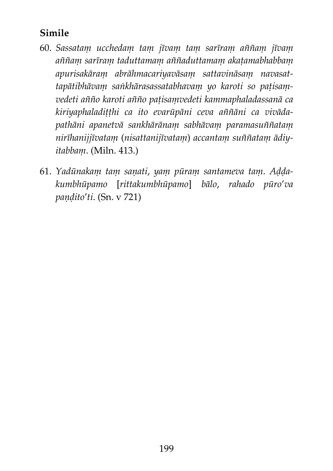# **Simile**

- 60. Sassatam ucchedam tam jīvam tam sarīram aññam jīvam aññam sarīram taduttamam aññaduttamam akatamabhabbam apurisakāram abrāhmacariyavāsam sattavināsam navasattapātibhāvam sankhārasassatabhavam yo karoti so pațisam*vedeti a¤¤o karoti a¤¤o pañisaüvedeti kammaphaladassanà ca* kiriyaphaladițthi ca ito evarūpāni ceva aññāni ca vivādapathāni apanetvā sankhārānam sabhāvam paramasuññatam *nirãhanijjãvataü* (*nisattanijãvataü*) *accantaü su¤¤ataü àdiyitabbam.* (Miln. 413.)
- 61. Yadūnakam tam saņati, yam pūram santameva tam. Adda*kumbhåpamo* [*rittakumbhåpamo*] *bàlo*, *rahado påro*'*va paõóito*'*ti*. (Sn. v 721)